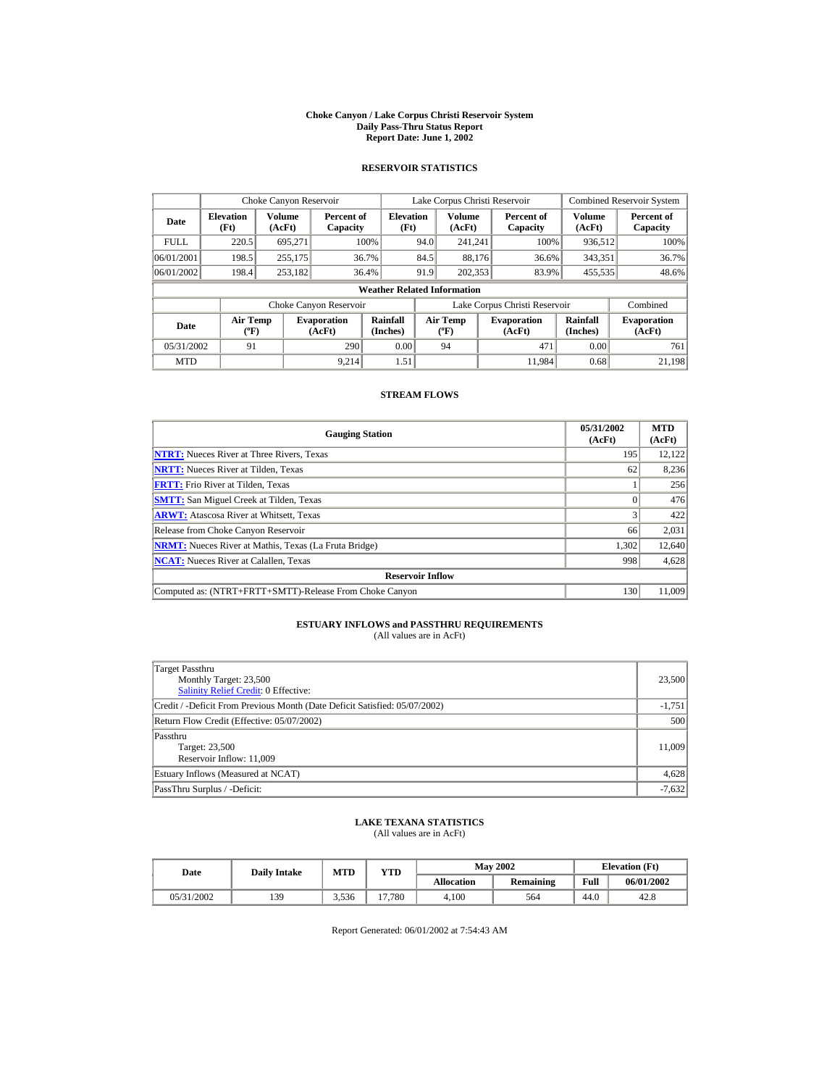#### **Choke Canyon / Lake Corpus Christi Reservoir System Daily Pass-Thru Status Report Report Date: June 1, 2002**

## **RESERVOIR STATISTICS**

|             | Choke Canyon Reservoir             |                         |                              |                          | Lake Corpus Christi Reservoir |                                |  |                               |                      | <b>Combined Reservoir System</b> |  |  |
|-------------|------------------------------------|-------------------------|------------------------------|--------------------------|-------------------------------|--------------------------------|--|-------------------------------|----------------------|----------------------------------|--|--|
| Date        | <b>Elevation</b><br>(Ft)           | <b>Volume</b><br>(AcFt) | Percent of<br>Capacity       | <b>Elevation</b><br>(Ft) |                               | Volume<br>(AcFt)               |  | Percent of<br>Capacity        | Volume<br>(AcFt)     | Percent of<br>Capacity           |  |  |
| <b>FULL</b> | 220.5                              | 695,271                 |                              | 100%                     | 94.0                          | 241,241                        |  | 100%                          | 936,512              | 100%                             |  |  |
| 06/01/2001  | 198.5                              | 255,175                 |                              | 36.7%                    | 84.5                          | 88.176                         |  | 36.6%                         | 343,351              | 36.7%                            |  |  |
| 06/01/2002  | 198.4                              | 253,182                 |                              | 36.4%                    | 91.9                          | 202,353                        |  | 83.9%                         | 455,535              | 48.6%                            |  |  |
|             | <b>Weather Related Information</b> |                         |                              |                          |                               |                                |  |                               |                      |                                  |  |  |
|             |                                    |                         | Choke Canyon Reservoir       |                          |                               |                                |  | Lake Corpus Christi Reservoir |                      | Combined                         |  |  |
| Date        | <b>Air Temp</b><br>(°F)            |                         | <b>Evaporation</b><br>(AcFt) | Rainfall<br>(Inches)     |                               | Air Temp<br>$({}^o\mathrm{F})$ |  | <b>Evaporation</b><br>(AcFt)  | Rainfall<br>(Inches) | <b>Evaporation</b><br>(AcFt)     |  |  |
| 05/31/2002  | 91                                 |                         | 290                          | 0.00                     |                               | 94                             |  | 471                           | 0.00                 | 761                              |  |  |
| <b>MTD</b>  |                                    |                         | 9.214                        | 1.51                     |                               |                                |  | 11.984                        | 0.68                 | 21,198                           |  |  |

#### **STREAM FLOWS**

| <b>Gauging Station</b>                                       | 05/31/2002<br>(AcFt) | <b>MTD</b><br>(AcFt) |
|--------------------------------------------------------------|----------------------|----------------------|
| <b>NTRT:</b> Nueces River at Three Rivers, Texas             | 195                  | 12,122               |
| <b>NRTT:</b> Nueces River at Tilden, Texas                   | 62                   | 8,236                |
| <b>FRTT:</b> Frio River at Tilden, Texas                     |                      | 256                  |
| <b>SMTT:</b> San Miguel Creek at Tilden, Texas               |                      | 476                  |
| <b>ARWT:</b> Atascosa River at Whitsett, Texas               |                      | 422                  |
| Release from Choke Canyon Reservoir                          | 66                   | 2,031                |
| <b>NRMT:</b> Nueces River at Mathis, Texas (La Fruta Bridge) | 1,302                | 12,640               |
| <b>NCAT:</b> Nueces River at Calallen, Texas                 | 998                  | 4,628                |
| <b>Reservoir Inflow</b>                                      |                      |                      |
| Computed as: (NTRT+FRTT+SMTT)-Release From Choke Canyon      | 130                  | 11,009               |

# **ESTUARY INFLOWS and PASSTHRU REQUIREMENTS**<br>(All values are in AcFt)

| Target Passthru<br>Monthly Target: 23,500<br><b>Salinity Relief Credit: 0 Effective:</b> | 23,500   |
|------------------------------------------------------------------------------------------|----------|
| Credit / -Deficit From Previous Month (Date Deficit Satisfied: 05/07/2002)               | $-1,751$ |
| Return Flow Credit (Effective: 05/07/2002)                                               | 500      |
| Passthru<br>Target: 23,500<br>Reservoir Inflow: 11,009                                   | 11,009   |
| Estuary Inflows (Measured at NCAT)                                                       | 4,628    |
| PassThru Surplus / -Deficit:                                                             | $-7,632$ |

# **LAKE TEXANA STATISTICS** (All values are in AcFt)

| Date       | <b>Daily Intake</b> | MTD   | $_{\rm VTD}$ |            | <b>May 2002</b> |      | <b>Elevation</b> (Ft) |
|------------|---------------------|-------|--------------|------------|-----------------|------|-----------------------|
|            |                     |       |              | Allocation | Remaining       | Full | 06/01/2002            |
| 05/31/2002 | 139                 | 3.536 | 17.780       | 4.100      | 564             | 44.0 | 42.8                  |

Report Generated: 06/01/2002 at 7:54:43 AM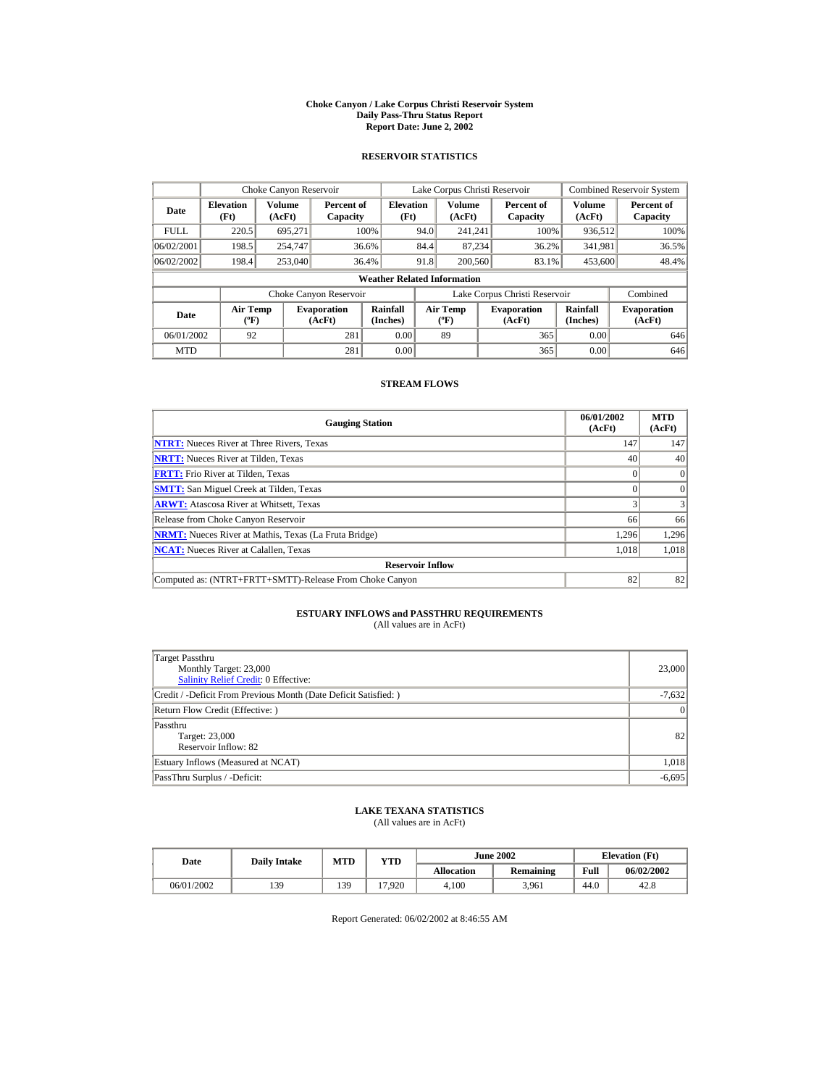#### **Choke Canyon / Lake Corpus Christi Reservoir System Daily Pass-Thru Status Report Report Date: June 2, 2002**

### **RESERVOIR STATISTICS**

|             | Choke Canyon Reservoir                      |                         |                              |                          | Lake Corpus Christi Reservoir |                                          |  |                               |                      | <b>Combined Reservoir System</b> |  |  |
|-------------|---------------------------------------------|-------------------------|------------------------------|--------------------------|-------------------------------|------------------------------------------|--|-------------------------------|----------------------|----------------------------------|--|--|
| Date        | <b>Elevation</b><br>(Ft)                    | <b>Volume</b><br>(AcFt) | Percent of<br>Capacity       | <b>Elevation</b><br>(Ft) |                               | Volume<br>(AcFt)                         |  | Percent of<br>Capacity        | Volume<br>(AcFt)     | Percent of<br>Capacity           |  |  |
| <b>FULL</b> | 220.5                                       | 695.271                 |                              | 100%                     | 94.0                          | 241.241                                  |  | 100%                          | 936,512              | 100%                             |  |  |
| 06/02/2001  | 198.5                                       | 254,747                 | 36.6%                        |                          | 84.4                          | 87,234                                   |  | 36.2%                         | 341,981              | 36.5%                            |  |  |
| 06/02/2002  | 198.4                                       | 253,040                 | 36.4%                        |                          | 91.8                          | 200,560                                  |  | 83.1%                         | 453,600              | 48.4%                            |  |  |
|             | <b>Weather Related Information</b>          |                         |                              |                          |                               |                                          |  |                               |                      |                                  |  |  |
|             |                                             |                         | Choke Canyon Reservoir       |                          |                               |                                          |  | Lake Corpus Christi Reservoir |                      | Combined                         |  |  |
| Date        | <b>Air Temp</b><br>$({}^{\circ}\mathrm{F})$ |                         | <b>Evaporation</b><br>(AcFt) | Rainfall<br>(Inches)     |                               | <b>Air Temp</b><br>$({}^{\circ}{\rm F})$ |  | <b>Evaporation</b><br>(AcFt)  | Rainfall<br>(Inches) | <b>Evaporation</b><br>(AcFt)     |  |  |
| 06/01/2002  | 92                                          |                         | 281                          | 0.00                     |                               | 89                                       |  | 365                           | 0.00                 | 646                              |  |  |
| <b>MTD</b>  |                                             |                         | 281                          | 0.00                     |                               |                                          |  | 365                           | 0.00                 | 646                              |  |  |

### **STREAM FLOWS**

| <b>Gauging Station</b>                                       | 06/01/2002<br>(AcFt) | <b>MTD</b><br>(AcFt) |
|--------------------------------------------------------------|----------------------|----------------------|
| <b>NTRT:</b> Nueces River at Three Rivers, Texas             | 147                  | 147                  |
| <b>NRTT:</b> Nueces River at Tilden, Texas                   | 40                   | 40                   |
| <b>FRTT:</b> Frio River at Tilden, Texas                     |                      | $\mathbf{0}$         |
| <b>SMTT:</b> San Miguel Creek at Tilden, Texas               |                      | $\Omega$             |
| <b>ARWT:</b> Atascosa River at Whitsett, Texas               |                      |                      |
| Release from Choke Canyon Reservoir                          | 66                   | 66                   |
| <b>NRMT:</b> Nueces River at Mathis, Texas (La Fruta Bridge) | 1.296                | 1,296                |
| <b>NCAT:</b> Nueces River at Calallen, Texas                 | 1.018                | 1.018                |
| <b>Reservoir Inflow</b>                                      |                      |                      |
| Computed as: (NTRT+FRTT+SMTT)-Release From Choke Canyon      | 82                   | 82                   |

# **ESTUARY INFLOWS and PASSTHRU REQUIREMENTS**<br>(All values are in AcFt)

| Target Passthru<br>Monthly Target: 23,000<br>Salinity Relief Credit: 0 Effective: | 23,000    |
|-----------------------------------------------------------------------------------|-----------|
| Credit / -Deficit From Previous Month (Date Deficit Satisfied:)                   | $-7,632$  |
| Return Flow Credit (Effective: )                                                  | $\vert$ 0 |
| Passthru<br>Target: 23,000<br>Reservoir Inflow: 82                                | 82        |
| Estuary Inflows (Measured at NCAT)                                                | 1,018     |
| PassThru Surplus / -Deficit:                                                      | $-6.695$  |

## **LAKE TEXANA STATISTICS**

(All values are in AcFt)

| Date       | <b>Daily Intake</b> | <b>MTD</b> | YTD   |                   | <b>June 2002</b> | <b>Elevation</b> (Ft) |            |
|------------|---------------------|------------|-------|-------------------|------------------|-----------------------|------------|
|            |                     |            |       | <b>Allocation</b> | <b>Remaining</b> | Full                  | 06/02/2002 |
| 06/01/2002 | 139                 | 139        | 7.920 | 4.100             | 3.961            | 44.0                  | 42.8       |

Report Generated: 06/02/2002 at 8:46:55 AM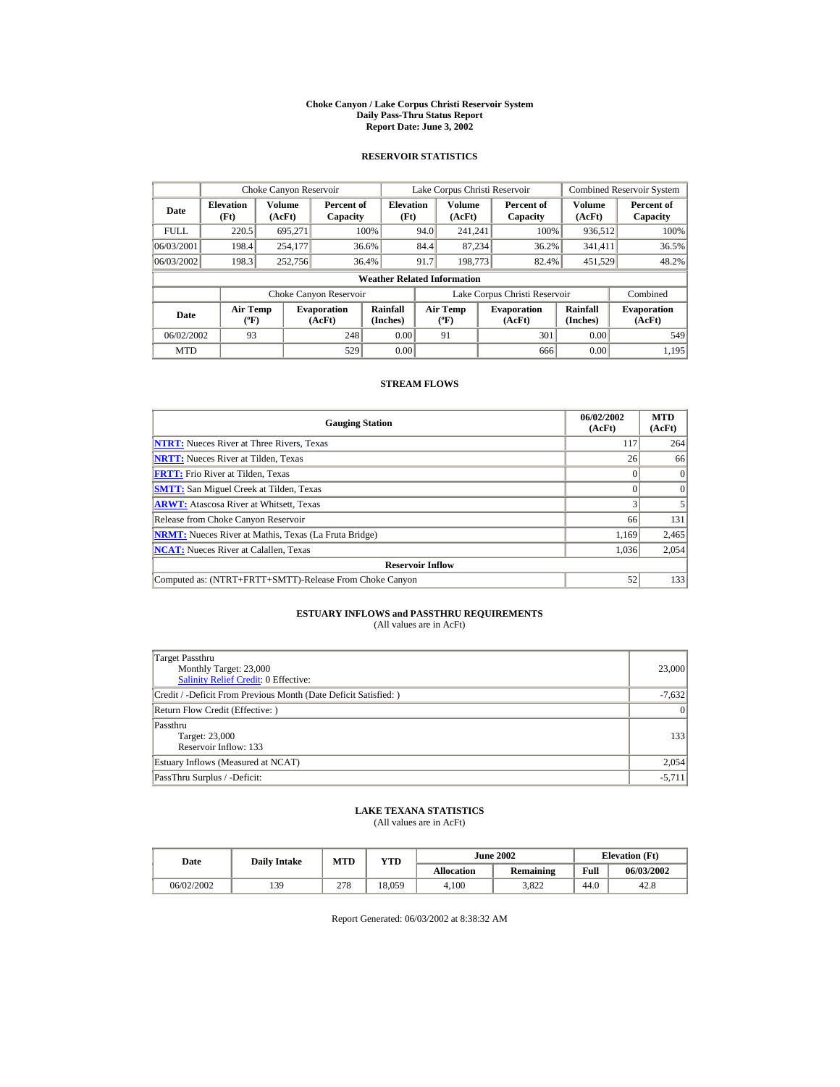#### **Choke Canyon / Lake Corpus Christi Reservoir System Daily Pass-Thru Status Report Report Date: June 3, 2002**

### **RESERVOIR STATISTICS**

|             | Choke Canyon Reservoir                      |                  |                              |                          | Lake Corpus Christi Reservoir |                                          |  |                               |                      | <b>Combined Reservoir System</b> |  |  |
|-------------|---------------------------------------------|------------------|------------------------------|--------------------------|-------------------------------|------------------------------------------|--|-------------------------------|----------------------|----------------------------------|--|--|
| Date        | <b>Elevation</b><br>(Ft)                    | Volume<br>(AcFt) | Percent of<br>Capacity       | <b>Elevation</b><br>(Ft) |                               | Volume<br>(AcFt)                         |  | Percent of<br>Capacity        | Volume<br>(AcFt)     | Percent of<br>Capacity           |  |  |
| <b>FULL</b> | 220.5                                       | 695.271          |                              | 100%                     | 94.0                          | 241.241                                  |  | 100%                          | 936,512              | 100%                             |  |  |
| 06/03/2001  | 198.4                                       | 254,177          |                              | 36.6%                    | 84.4                          | 87,234                                   |  | 36.2%                         | 341,411              | 36.5%                            |  |  |
| 06/03/2002  | 198.3                                       | 252,756          |                              | 36.4%                    | 91.7                          | 198,773                                  |  | 82.4%                         | 451,529              | 48.2%                            |  |  |
|             | <b>Weather Related Information</b>          |                  |                              |                          |                               |                                          |  |                               |                      |                                  |  |  |
|             |                                             |                  | Choke Canyon Reservoir       |                          |                               |                                          |  | Lake Corpus Christi Reservoir |                      | Combined                         |  |  |
| Date        | <b>Air Temp</b><br>$({}^{\circ}\mathrm{F})$ |                  | <b>Evaporation</b><br>(AcFt) | Rainfall<br>(Inches)     |                               | <b>Air Temp</b><br>$({}^{\circ}{\rm F})$ |  | <b>Evaporation</b><br>(AcFt)  | Rainfall<br>(Inches) | <b>Evaporation</b><br>(AcFt)     |  |  |
| 06/02/2002  | 93                                          |                  | 248                          | 0.00                     |                               | 91                                       |  | 301                           | 0.00                 | 549                              |  |  |
| <b>MTD</b>  |                                             |                  | 529                          | 0.00                     |                               |                                          |  | 666                           | 0.00                 | 1.195                            |  |  |

### **STREAM FLOWS**

| <b>Gauging Station</b>                                       | 06/02/2002<br>(AcFt) | <b>MTD</b><br>(AcFt) |
|--------------------------------------------------------------|----------------------|----------------------|
| <b>NTRT:</b> Nueces River at Three Rivers, Texas             | 117                  | 264                  |
| <b>NRTT:</b> Nueces River at Tilden, Texas                   | 26                   | 66                   |
| <b>FRTT:</b> Frio River at Tilden, Texas                     |                      | $\vert$ 0            |
| <b>SMTT:</b> San Miguel Creek at Tilden, Texas               |                      | $\Omega$             |
| <b>ARWT:</b> Atascosa River at Whitsett, Texas               |                      |                      |
| Release from Choke Canyon Reservoir                          | 66                   | 131                  |
| <b>NRMT:</b> Nueces River at Mathis, Texas (La Fruta Bridge) | 1.169                | 2,465                |
| <b>NCAT:</b> Nueces River at Calallen, Texas                 | 1,036                | 2,054                |
| <b>Reservoir Inflow</b>                                      |                      |                      |
| Computed as: (NTRT+FRTT+SMTT)-Release From Choke Canyon      | 52                   | 133                  |

# **ESTUARY INFLOWS and PASSTHRU REQUIREMENTS**<br>(All values are in AcFt)

| Target Passthru<br>Monthly Target: 23,000<br>Salinity Relief Credit: 0 Effective: | 23,000          |
|-----------------------------------------------------------------------------------|-----------------|
| Credit / -Deficit From Previous Month (Date Deficit Satisfied:)                   | $-7,632$        |
| Return Flow Credit (Effective: )                                                  | $\vert 0 \vert$ |
| Passthru<br>Target: 23,000<br>Reservoir Inflow: 133                               | 133             |
| Estuary Inflows (Measured at NCAT)                                                | 2,054           |
| PassThru Surplus / -Deficit:                                                      | $-5,711$        |

## **LAKE TEXANA STATISTICS**

(All values are in AcFt)

| Date       | <b>Daily Intake</b> | <b>MTD</b> | YTD    |                   | <b>June 2002</b> | <b>Elevation</b> (Ft) |            |
|------------|---------------------|------------|--------|-------------------|------------------|-----------------------|------------|
|            |                     |            |        | <b>Allocation</b> | <b>Remaining</b> | Full                  | 06/03/2002 |
| 06/02/2002 | 139                 | 278        | 18.059 | 4.100             | 3.822            | 44.0                  | 42.8       |

Report Generated: 06/03/2002 at 8:38:32 AM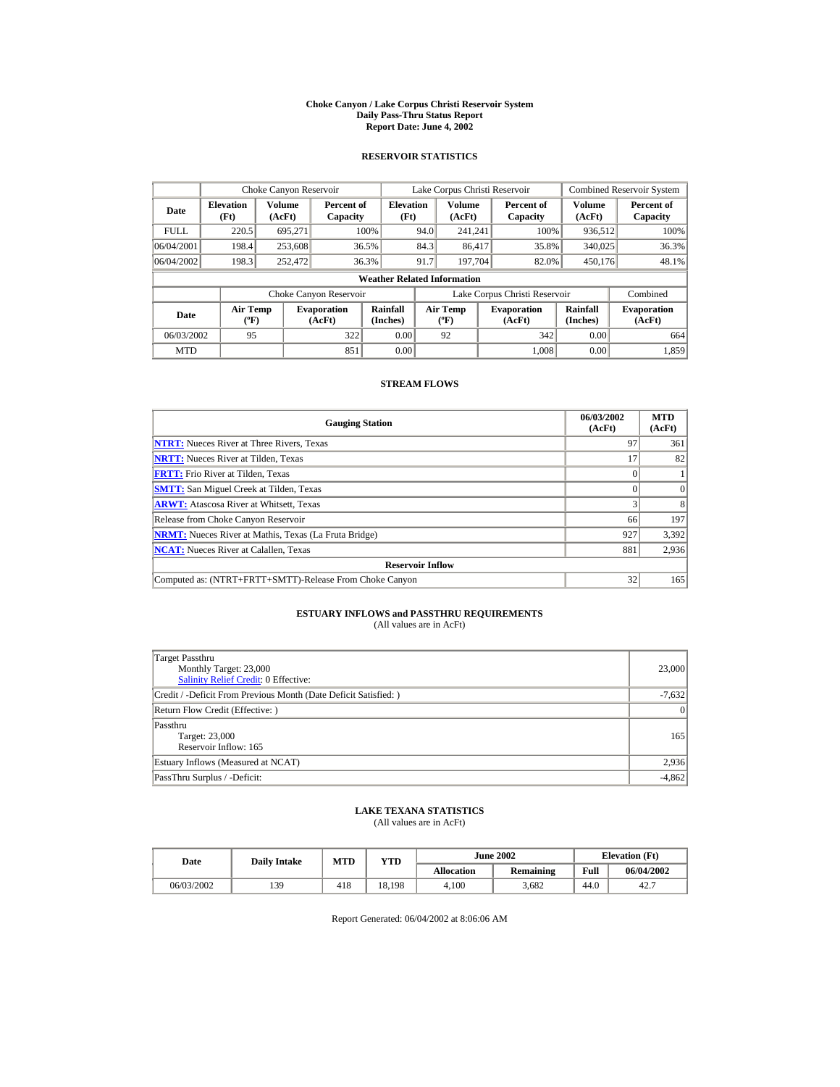#### **Choke Canyon / Lake Corpus Christi Reservoir System Daily Pass-Thru Status Report Report Date: June 4, 2002**

### **RESERVOIR STATISTICS**

|             | Choke Canyon Reservoir                      |                  |                              |                          | Lake Corpus Christi Reservoir |                                           |  |                               |                      | <b>Combined Reservoir System</b> |  |  |
|-------------|---------------------------------------------|------------------|------------------------------|--------------------------|-------------------------------|-------------------------------------------|--|-------------------------------|----------------------|----------------------------------|--|--|
| Date        | <b>Elevation</b><br>(Ft)                    | Volume<br>(AcFt) | Percent of<br>Capacity       | <b>Elevation</b><br>(Ft) |                               | Volume<br>(AcFt)                          |  | Percent of<br>Capacity        | Volume<br>(AcFt)     | Percent of<br>Capacity           |  |  |
| <b>FULL</b> | 220.5                                       | 695.271          |                              | 100%                     | 94.0                          | 241.241                                   |  | 100%                          | 936,512              | 100%                             |  |  |
| 06/04/2001  | 198.4                                       | 253,608          |                              | 36.5%                    | 84.3                          | 86.417                                    |  | 35.8%                         | 340,025              | 36.3%                            |  |  |
| 06/04/2002  | 198.3                                       | 252,472          |                              | 36.3%                    | 91.7                          | 197.704                                   |  | 82.0%                         | 450.176              | 48.1%                            |  |  |
|             | <b>Weather Related Information</b>          |                  |                              |                          |                               |                                           |  |                               |                      |                                  |  |  |
|             |                                             |                  | Choke Canyon Reservoir       |                          |                               |                                           |  | Lake Corpus Christi Reservoir |                      | Combined                         |  |  |
| Date        | <b>Air Temp</b><br>$({}^{\circ}\mathrm{F})$ |                  | <b>Evaporation</b><br>(AcFt) | Rainfall<br>(Inches)     |                               | <b>Air Temp</b><br>$({}^{\circ}\text{F})$ |  | <b>Evaporation</b><br>(AcFt)  | Rainfall<br>(Inches) | <b>Evaporation</b><br>(AcFt)     |  |  |
| 06/03/2002  | 95                                          |                  | 322                          | 0.00                     |                               | 92                                        |  | 342                           | 0.00                 | 664                              |  |  |
| <b>MTD</b>  |                                             |                  | 851                          | 0.00                     |                               |                                           |  | 1.008                         | 0.00                 | 1,859                            |  |  |

### **STREAM FLOWS**

| <b>Gauging Station</b>                                       | 06/03/2002<br>(AcFt) | <b>MTD</b><br>(AcFt) |
|--------------------------------------------------------------|----------------------|----------------------|
| <b>NTRT:</b> Nueces River at Three Rivers, Texas             | 97                   | 361                  |
| <b>NRTT:</b> Nueces River at Tilden, Texas                   |                      | 82                   |
| <b>FRTT:</b> Frio River at Tilden. Texas                     |                      |                      |
| <b>SMTT:</b> San Miguel Creek at Tilden, Texas               |                      | $\Omega$             |
| <b>ARWT:</b> Atascosa River at Whitsett, Texas               |                      | 8                    |
| Release from Choke Canyon Reservoir                          | 66                   | 197                  |
| <b>NRMT:</b> Nueces River at Mathis, Texas (La Fruta Bridge) | 927                  | 3,392                |
| <b>NCAT:</b> Nueces River at Calallen, Texas                 | 881                  | 2,936                |
| <b>Reservoir Inflow</b>                                      |                      |                      |
| Computed as: (NTRT+FRTT+SMTT)-Release From Choke Canyon      | 32                   | 165                  |

# **ESTUARY INFLOWS and PASSTHRU REQUIREMENTS**<br>(All values are in AcFt)

| Target Passthru<br>Monthly Target: 23,000<br>Salinity Relief Credit: 0 Effective: | 23,000          |
|-----------------------------------------------------------------------------------|-----------------|
| Credit / -Deficit From Previous Month (Date Deficit Satisfied: )                  | $-7,632$        |
| Return Flow Credit (Effective: )                                                  | $\vert 0 \vert$ |
| Passthru<br>Target: 23,000<br>Reservoir Inflow: 165                               | 165             |
| Estuary Inflows (Measured at NCAT)                                                | 2,936           |
| PassThru Surplus / -Deficit:                                                      | $-4,862$        |

### **LAKE TEXANA STATISTICS**

(All values are in AcFt)

| Date       | <b>Daily Intake</b> | <b>MTD</b> | YTD    |                   | <b>June 2002</b> | <b>Elevation</b> (Ft) |            |
|------------|---------------------|------------|--------|-------------------|------------------|-----------------------|------------|
|            |                     |            |        | <b>Allocation</b> | Remaining        | Full                  | 06/04/2002 |
| 06/03/2002 | 139                 | 418        | 18.198 | 4.100             | 3.682            | 44.0                  | 42.7       |

Report Generated: 06/04/2002 at 8:06:06 AM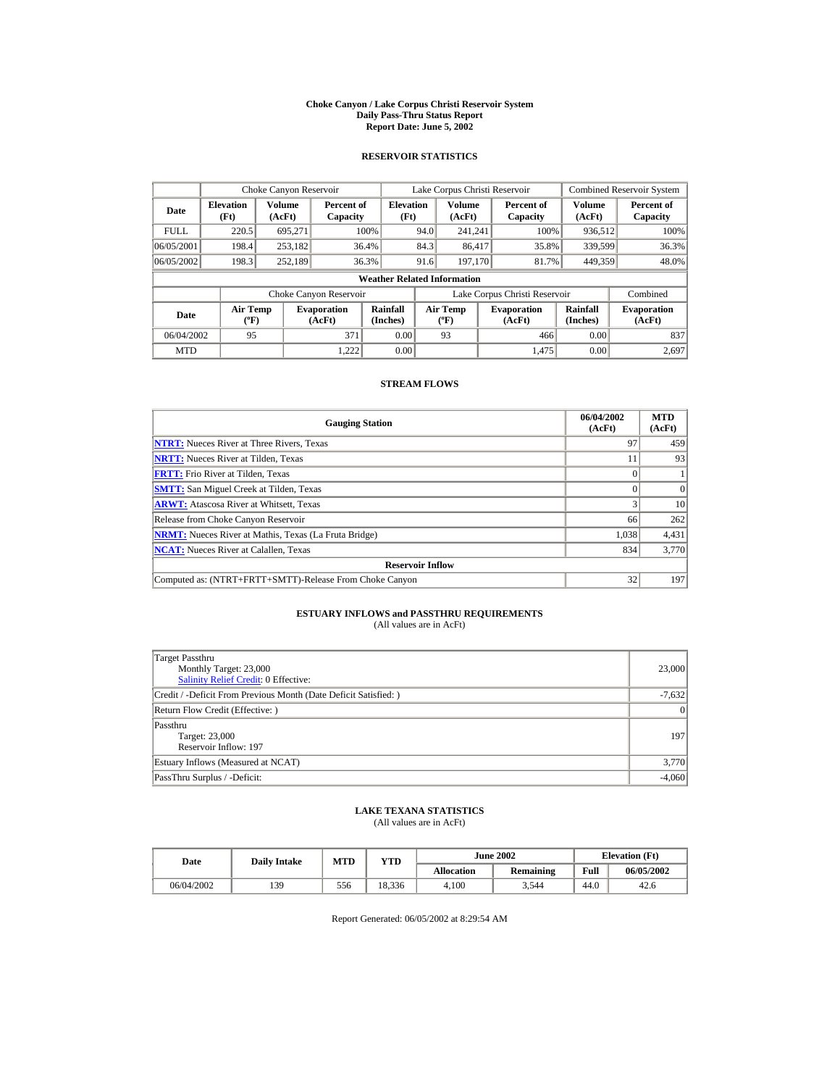#### **Choke Canyon / Lake Corpus Christi Reservoir System Daily Pass-Thru Status Report Report Date: June 5, 2002**

### **RESERVOIR STATISTICS**

|             | Choke Canyon Reservoir                      |                  |                              |                          | Lake Corpus Christi Reservoir |                                  |  |                               |                      | <b>Combined Reservoir System</b> |  |  |
|-------------|---------------------------------------------|------------------|------------------------------|--------------------------|-------------------------------|----------------------------------|--|-------------------------------|----------------------|----------------------------------|--|--|
| Date        | <b>Elevation</b><br>(Ft)                    | Volume<br>(AcFt) | Percent of<br>Capacity       | <b>Elevation</b><br>(Ft) |                               | Volume<br>(AcFt)                 |  | Percent of<br>Capacity        | Volume<br>(AcFt)     | Percent of<br>Capacity           |  |  |
| <b>FULL</b> | 220.5                                       | 695.271          |                              | 100%                     | 94.0                          | 241.241                          |  | 100%                          | 936,512              | 100%                             |  |  |
| 06/05/2001  | 198.4                                       | 253,182          |                              | 36.4%                    | 84.3                          | 86,417                           |  | 35.8%                         | 339.599              | 36.3%                            |  |  |
| 06/05/2002  | 198.3                                       | 252.189          |                              | 36.3%                    | 91.6                          | 197.170                          |  | 81.7%                         | 449.359              | 48.0%                            |  |  |
|             | <b>Weather Related Information</b>          |                  |                              |                          |                               |                                  |  |                               |                      |                                  |  |  |
|             |                                             |                  | Choke Canyon Reservoir       |                          |                               |                                  |  | Lake Corpus Christi Reservoir |                      | Combined                         |  |  |
| Date        | <b>Air Temp</b><br>$({}^{\circ}\mathrm{F})$ |                  | <b>Evaporation</b><br>(AcFt) | Rainfall<br>(Inches)     |                               | <b>Air Temp</b><br>$(^{\circ}F)$ |  | <b>Evaporation</b><br>(AcFt)  | Rainfall<br>(Inches) | <b>Evaporation</b><br>(AcFt)     |  |  |
| 06/04/2002  | 95                                          |                  | 371                          | 0.00                     |                               | 93                               |  | 466                           | 0.00                 | 837                              |  |  |
| <b>MTD</b>  |                                             |                  | 1.222                        | 0.00                     |                               |                                  |  | 1.475                         | 0.00                 | 2.697                            |  |  |

### **STREAM FLOWS**

| <b>Gauging Station</b>                                       | 06/04/2002<br>(AcFt) | <b>MTD</b><br>(AcFt) |
|--------------------------------------------------------------|----------------------|----------------------|
| <b>NTRT:</b> Nueces River at Three Rivers, Texas             | 97                   | 459                  |
| <b>NRTT:</b> Nueces River at Tilden, Texas                   |                      | 93                   |
| <b>FRTT:</b> Frio River at Tilden. Texas                     |                      |                      |
| <b>SMTT:</b> San Miguel Creek at Tilden, Texas               |                      |                      |
| <b>ARWT:</b> Atascosa River at Whitsett, Texas               |                      | 10                   |
| Release from Choke Canyon Reservoir                          | 66                   | 262                  |
| <b>NRMT:</b> Nueces River at Mathis, Texas (La Fruta Bridge) | 1.038                | 4,431                |
| <b>NCAT:</b> Nueces River at Calallen, Texas                 | 834                  | 3,770                |
| <b>Reservoir Inflow</b>                                      |                      |                      |
| Computed as: (NTRT+FRTT+SMTT)-Release From Choke Canyon      | 32                   | 197                  |

# **ESTUARY INFLOWS and PASSTHRU REQUIREMENTS**<br>(All values are in AcFt)

| Target Passthru<br>Monthly Target: 23,000<br>Salinity Relief Credit: 0 Effective: | 23,000          |
|-----------------------------------------------------------------------------------|-----------------|
| Credit / -Deficit From Previous Month (Date Deficit Satisfied:)                   | $-7,632$        |
| Return Flow Credit (Effective: )                                                  | $\vert 0 \vert$ |
| Passthru<br>Target: 23,000<br>Reservoir Inflow: 197                               | 197             |
| Estuary Inflows (Measured at NCAT)                                                | 3,770           |
| PassThru Surplus / -Deficit:                                                      | $-4,060$        |

## **LAKE TEXANA STATISTICS**

(All values are in AcFt)

| Date       | <b>Daily Intake</b> | <b>MTD</b> | $_{\rm VTD}$ |                   | <b>June 2002</b> | <b>Elevation</b> (Ft) |            |
|------------|---------------------|------------|--------------|-------------------|------------------|-----------------------|------------|
|            |                     |            |              | <b>Allocation</b> | <b>Remaining</b> | Full                  | 06/05/2002 |
| 06/04/2002 | 139                 | 556        | 18.336       | 4.100             | 3.544            | 44.0                  | 42.6       |

Report Generated: 06/05/2002 at 8:29:54 AM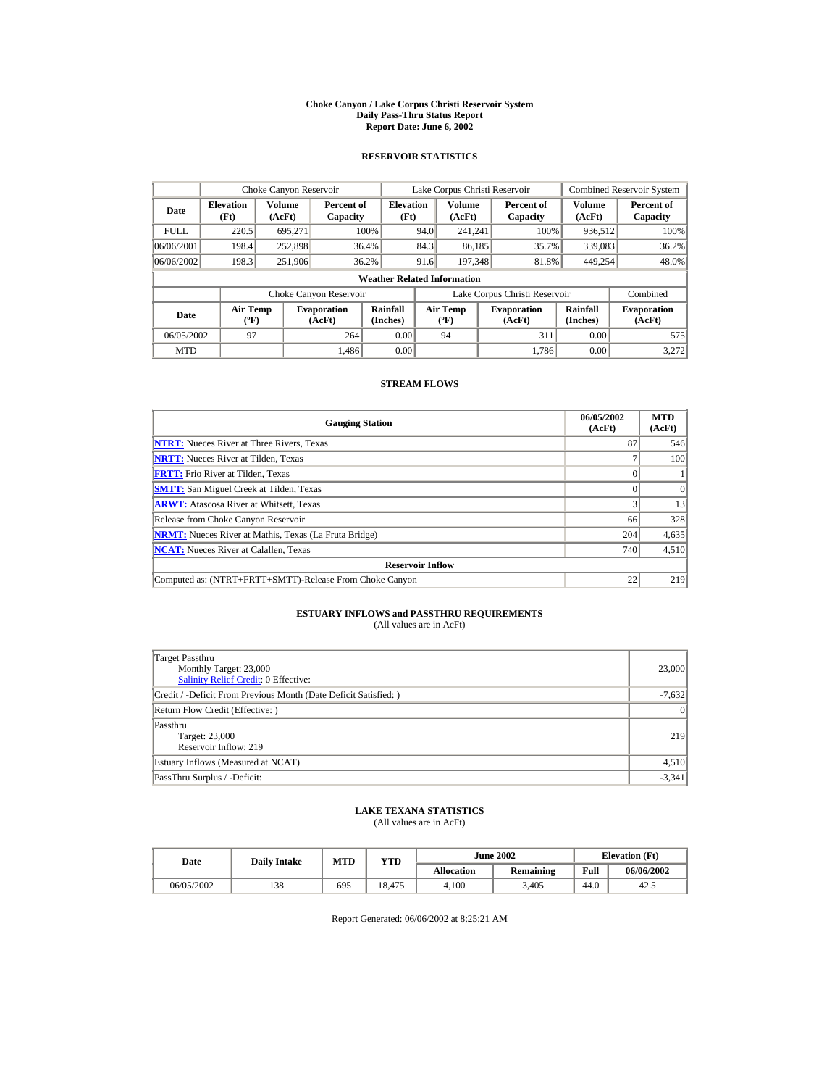#### **Choke Canyon / Lake Corpus Christi Reservoir System Daily Pass-Thru Status Report Report Date: June 6, 2002**

### **RESERVOIR STATISTICS**

|             | Choke Canyon Reservoir                |                  |                              |                          | Lake Corpus Christi Reservoir |                                   |  |                               |                         | <b>Combined Reservoir System</b> |  |  |
|-------------|---------------------------------------|------------------|------------------------------|--------------------------|-------------------------------|-----------------------------------|--|-------------------------------|-------------------------|----------------------------------|--|--|
| Date        | <b>Elevation</b><br>(Ft)              | Volume<br>(AcFt) | Percent of<br>Capacity       | <b>Elevation</b><br>(Ft) |                               | <b>Volume</b><br>(AcFt)           |  | Percent of<br>Capacity        | <b>Volume</b><br>(AcFt) | Percent of<br>Capacity           |  |  |
| <b>FULL</b> | 220.5                                 | 695.271          |                              | 100%                     | 94.0                          | 241.241                           |  | 100%                          | 936,512                 | 100%                             |  |  |
| 06/06/2001  | 198.4                                 | 252,898          |                              | 36.4%                    | 84.3                          | 86,185                            |  | 35.7%                         | 339,083                 | 36.2%                            |  |  |
| 06/06/2002  | 198.3                                 | 251.906          |                              | 36.2%                    | 91.6                          | 197.348                           |  | 81.8%                         | 449.254                 | 48.0%                            |  |  |
|             | <b>Weather Related Information</b>    |                  |                              |                          |                               |                                   |  |                               |                         |                                  |  |  |
|             |                                       |                  | Choke Canyon Reservoir       |                          |                               |                                   |  | Lake Corpus Christi Reservoir |                         | Combined                         |  |  |
| Date        | <b>Air Temp</b><br>$({}^o\mathrm{F})$ |                  | <b>Evaporation</b><br>(AcFt) | Rainfall<br>(Inches)     |                               | Air Temp<br>$({}^{\circ}{\rm F})$ |  | <b>Evaporation</b><br>(AcFt)  | Rainfall<br>(Inches)    | <b>Evaporation</b><br>(AcFt)     |  |  |
| 06/05/2002  | 97                                    |                  | 264                          | 0.00                     |                               | 94                                |  | 311                           | 0.00                    | 575                              |  |  |
| <b>MTD</b>  |                                       |                  | 1.486                        | 0.00                     |                               |                                   |  | 1.786                         | 0.00                    | 3.272                            |  |  |

### **STREAM FLOWS**

| <b>Gauging Station</b>                                       | 06/05/2002<br>(AcFt) | <b>MTD</b><br>(AcFt) |
|--------------------------------------------------------------|----------------------|----------------------|
| <b>NTRT:</b> Nueces River at Three Rivers, Texas             | 87                   | 546                  |
| <b>NRTT:</b> Nueces River at Tilden, Texas                   |                      | 100                  |
| <b>FRTT:</b> Frio River at Tilden, Texas                     |                      |                      |
| <b>SMTT:</b> San Miguel Creek at Tilden, Texas               |                      | $\Omega$             |
| <b>ARWT:</b> Atascosa River at Whitsett, Texas               |                      | 13                   |
| Release from Choke Canyon Reservoir                          | 66                   | 328                  |
| <b>NRMT:</b> Nueces River at Mathis, Texas (La Fruta Bridge) | 204                  | 4,635                |
| <b>NCAT:</b> Nueces River at Calallen, Texas                 | 740                  | 4,510                |
| <b>Reservoir Inflow</b>                                      |                      |                      |
| Computed as: (NTRT+FRTT+SMTT)-Release From Choke Canyon      | 22                   | 219                  |

# **ESTUARY INFLOWS and PASSTHRU REQUIREMENTS**<br>(All values are in AcFt)

| Target Passthru<br>Monthly Target: 23,000<br>Salinity Relief Credit: 0 Effective: | 23,000          |
|-----------------------------------------------------------------------------------|-----------------|
| Credit / -Deficit From Previous Month (Date Deficit Satisfied: )                  | $-7,632$        |
| Return Flow Credit (Effective: )                                                  | $\vert 0 \vert$ |
| Passthru<br>Target: 23,000<br>Reservoir Inflow: 219                               | 219             |
| Estuary Inflows (Measured at NCAT)                                                | 4,510           |
| PassThru Surplus / -Deficit:                                                      | $-3,341$        |

### **LAKE TEXANA STATISTICS**

(All values are in AcFt)

| Date       | <b>Daily Intake</b> | <b>MTD</b> | YTD    |                   | <b>June 2002</b> |      | <b>Elevation</b> (Ft) |
|------------|---------------------|------------|--------|-------------------|------------------|------|-----------------------|
|            |                     |            |        | <b>Allocation</b> | <b>Remaining</b> | Full | 06/06/2002            |
| 06/05/2002 | 138                 | 695        | 18.475 | 4.100             | 3.405            | 44.0 | 42                    |

Report Generated: 06/06/2002 at 8:25:21 AM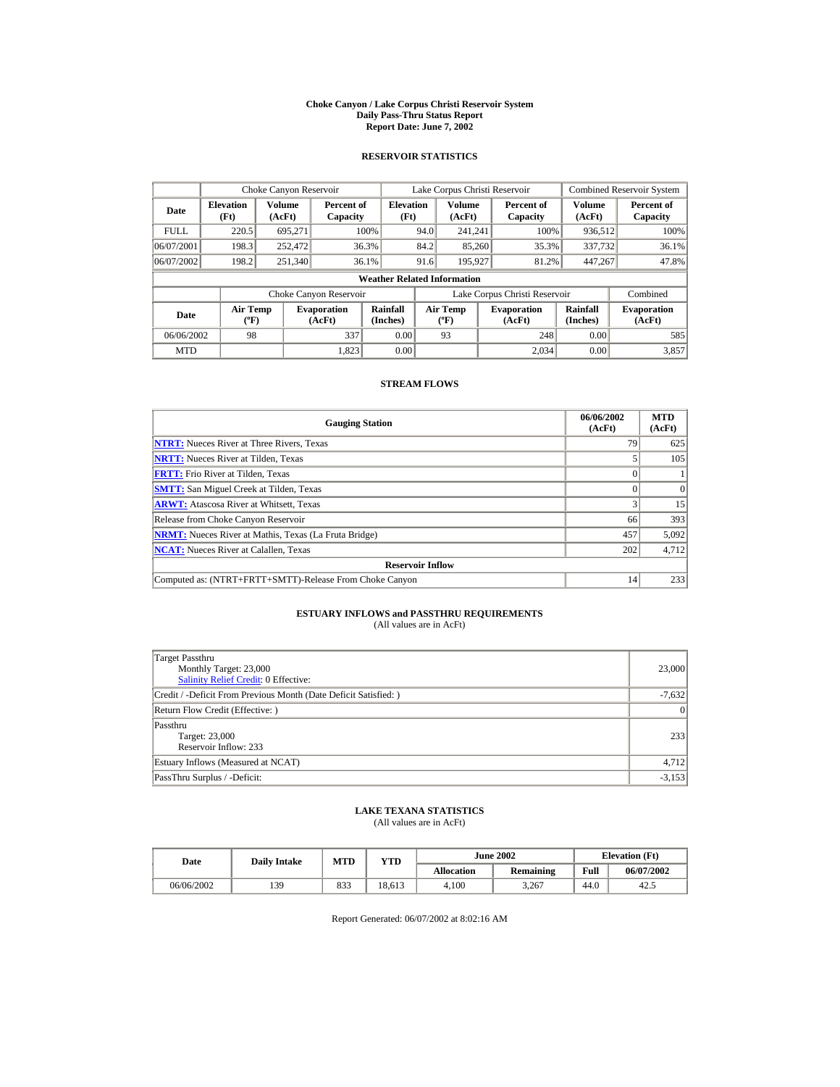#### **Choke Canyon / Lake Corpus Christi Reservoir System Daily Pass-Thru Status Report Report Date: June 7, 2002**

### **RESERVOIR STATISTICS**

|             | Choke Canyon Reservoir                      |                  |                              |                          | Lake Corpus Christi Reservoir |                                         |  |                               |                      | <b>Combined Reservoir System</b> |  |  |
|-------------|---------------------------------------------|------------------|------------------------------|--------------------------|-------------------------------|-----------------------------------------|--|-------------------------------|----------------------|----------------------------------|--|--|
| Date        | <b>Elevation</b><br>(Ft)                    | Volume<br>(AcFt) | Percent of<br>Capacity       | <b>Elevation</b><br>(Ft) |                               | <b>Volume</b><br>(AcFt)                 |  | Percent of<br>Capacity        | Volume<br>(AcFt)     | Percent of<br>Capacity           |  |  |
| <b>FULL</b> | 220.5                                       | 695.271          |                              | 100%                     | 94.0                          | 241.241                                 |  | 100%                          | 936,512              | 100%                             |  |  |
| 06/07/2001  | 198.3                                       | 252,472          |                              | 36.3%                    | 84.2                          | 85,260                                  |  | 35.3%                         | 337,732              | 36.1%                            |  |  |
| 06/07/2002  | 198.2                                       | 251,340          |                              | 36.1%                    | 91.6                          | 195.927                                 |  | 81.2%                         | 447,267              | 47.8%                            |  |  |
|             | <b>Weather Related Information</b>          |                  |                              |                          |                               |                                         |  |                               |                      |                                  |  |  |
|             |                                             |                  | Choke Canyon Reservoir       |                          |                               |                                         |  | Lake Corpus Christi Reservoir |                      | Combined                         |  |  |
| <b>Date</b> | <b>Air Temp</b><br>$({}^{\circ}\mathrm{F})$ |                  | <b>Evaporation</b><br>(AcFt) | Rainfall<br>(Inches)     |                               | <b>Air Temp</b><br>$(^{\circ}\text{F})$ |  | <b>Evaporation</b><br>(AcFt)  | Rainfall<br>(Inches) | <b>Evaporation</b><br>(AcFt)     |  |  |
| 06/06/2002  | 98                                          |                  | 337                          | 0.00                     |                               | 93                                      |  | 248                           | 0.00                 | 585                              |  |  |
| <b>MTD</b>  |                                             |                  | 1.823                        | 0.00                     |                               |                                         |  | 2.034                         | 0.00                 | 3.857                            |  |  |

### **STREAM FLOWS**

| <b>Gauging Station</b>                                       | 06/06/2002<br>(AcFt) | <b>MTD</b><br>(AcFt) |
|--------------------------------------------------------------|----------------------|----------------------|
| <b>NTRT:</b> Nueces River at Three Rivers, Texas             | 79                   | 625                  |
| <b>NRTT:</b> Nueces River at Tilden, Texas                   |                      | 105                  |
| <b>FRTT:</b> Frio River at Tilden. Texas                     |                      |                      |
| <b>SMTT:</b> San Miguel Creek at Tilden, Texas               |                      | $\Omega$             |
| <b>ARWT:</b> Atascosa River at Whitsett, Texas               |                      | 15                   |
| Release from Choke Canyon Reservoir                          | 66                   | 393                  |
| <b>NRMT:</b> Nueces River at Mathis, Texas (La Fruta Bridge) | 457                  | 5,092                |
| <b>NCAT:</b> Nueces River at Calallen, Texas                 | 202                  | 4,712                |
| <b>Reservoir Inflow</b>                                      |                      |                      |
| Computed as: (NTRT+FRTT+SMTT)-Release From Choke Canyon      | 14                   | 233                  |

# **ESTUARY INFLOWS and PASSTHRU REQUIREMENTS**<br>(All values are in AcFt)

| Target Passthru<br>Monthly Target: 23,000<br>Salinity Relief Credit: 0 Effective: | 23,000          |
|-----------------------------------------------------------------------------------|-----------------|
| Credit / -Deficit From Previous Month (Date Deficit Satisfied:)                   | $-7,632$        |
| Return Flow Credit (Effective: )                                                  | $\vert 0 \vert$ |
| Passthru<br>Target: 23,000<br>Reservoir Inflow: 233                               | 233             |
| Estuary Inflows (Measured at NCAT)                                                | 4,712           |
| PassThru Surplus / -Deficit:                                                      | $-3,153$        |

## **LAKE TEXANA STATISTICS**

(All values are in AcFt)

| Date       | <b>Daily Intake</b> | <b>MTD</b> | YTD    |                   | <b>June 2002</b> | <b>Elevation</b> (Ft) |            |
|------------|---------------------|------------|--------|-------------------|------------------|-----------------------|------------|
|            |                     |            |        | <b>Allocation</b> | <b>Remaining</b> | Full                  | 06/07/2002 |
| 06/06/2002 | 139                 | 833        | 18.613 | 4.100             | 3.267            | 44.0                  | 42         |

Report Generated: 06/07/2002 at 8:02:16 AM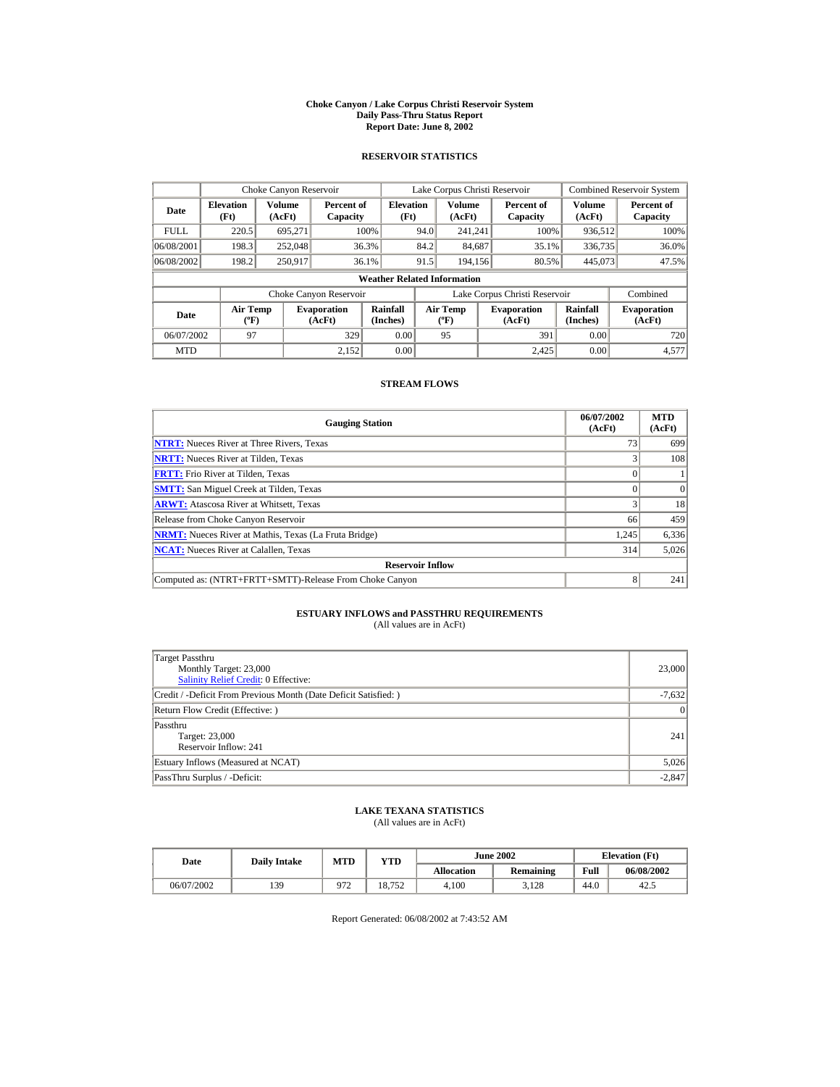#### **Choke Canyon / Lake Corpus Christi Reservoir System Daily Pass-Thru Status Report Report Date: June 8, 2002**

### **RESERVOIR STATISTICS**

|             | Choke Canyon Reservoir                      |                  |                              |                          | Lake Corpus Christi Reservoir |                                  |  |                               |                      | Combined Reservoir System    |  |  |
|-------------|---------------------------------------------|------------------|------------------------------|--------------------------|-------------------------------|----------------------------------|--|-------------------------------|----------------------|------------------------------|--|--|
| Date        | <b>Elevation</b><br>(Ft)                    | Volume<br>(AcFt) | Percent of<br>Capacity       | <b>Elevation</b><br>(Ft) |                               | Volume<br>(AcFt)                 |  | Percent of<br>Capacity        | Volume<br>(AcFt)     | Percent of<br>Capacity       |  |  |
| <b>FULL</b> | 220.5                                       | 695.271          |                              | 100%                     | 94.0                          | 241.241                          |  | 100%                          | 936,512              | 100%                         |  |  |
| 06/08/2001  | 198.3                                       | 252,048          |                              | 36.3%                    | 84.2                          | 84,687                           |  | 35.1%                         | 336,735              | 36.0%                        |  |  |
| 06/08/2002  | 198.2                                       | 250.917          |                              | 36.1%                    | 91.5                          | 194.156                          |  | 80.5%                         | 445.073              | 47.5%                        |  |  |
|             | <b>Weather Related Information</b>          |                  |                              |                          |                               |                                  |  |                               |                      |                              |  |  |
|             |                                             |                  | Choke Canyon Reservoir       |                          |                               |                                  |  | Lake Corpus Christi Reservoir |                      | Combined                     |  |  |
| Date        | <b>Air Temp</b><br>$({}^{\circ}\mathrm{F})$ |                  | <b>Evaporation</b><br>(AcFt) | Rainfall<br>(Inches)     |                               | <b>Air Temp</b><br>$(^{\circ}F)$ |  | <b>Evaporation</b><br>(AcFt)  | Rainfall<br>(Inches) | <b>Evaporation</b><br>(AcFt) |  |  |
| 06/07/2002  | 97                                          |                  | 329                          | 0.00                     |                               | 95                               |  | 391                           | 0.00                 | 720                          |  |  |
| <b>MTD</b>  |                                             |                  | 2.152                        | 0.00                     |                               |                                  |  | 2.425                         | 0.00                 | 4,577                        |  |  |

### **STREAM FLOWS**

| <b>Gauging Station</b>                                       | 06/07/2002<br>(AcFt) | <b>MTD</b><br>(AcFt) |
|--------------------------------------------------------------|----------------------|----------------------|
| <b>NTRT:</b> Nueces River at Three Rivers, Texas             | 73                   | 699                  |
| <b>NRTT:</b> Nueces River at Tilden, Texas                   |                      | 108                  |
| <b>FRTT:</b> Frio River at Tilden. Texas                     |                      |                      |
| <b>SMTT:</b> San Miguel Creek at Tilden, Texas               |                      | $\Omega$             |
| <b>ARWT:</b> Atascosa River at Whitsett, Texas               |                      | 18                   |
| Release from Choke Canyon Reservoir                          | 66                   | 459                  |
| <b>NRMT:</b> Nueces River at Mathis, Texas (La Fruta Bridge) | 1,245                | 6,336                |
| <b>NCAT:</b> Nueces River at Calallen, Texas                 | 314                  | 5,026                |
| <b>Reservoir Inflow</b>                                      |                      |                      |
| Computed as: (NTRT+FRTT+SMTT)-Release From Choke Canyon      | 8                    | 241                  |

# **ESTUARY INFLOWS and PASSTHRU REQUIREMENTS**<br>(All values are in AcFt)

| Target Passthru<br>Monthly Target: 23,000<br>Salinity Relief Credit: 0 Effective: | 23,000          |
|-----------------------------------------------------------------------------------|-----------------|
| Credit / -Deficit From Previous Month (Date Deficit Satisfied: )                  | $-7,632$        |
| Return Flow Credit (Effective: )                                                  | $\vert 0 \vert$ |
| Passthru<br>Target: 23,000<br>Reservoir Inflow: 241                               | 241             |
| Estuary Inflows (Measured at NCAT)                                                | 5,026           |
| PassThru Surplus / -Deficit:                                                      | $-2.847$        |

### **LAKE TEXANA STATISTICS**

(All values are in AcFt)

| Date       | <b>Daily Intake</b> | <b>MTD</b> | YTD    |                   | <b>June 2002</b> | <b>Elevation</b> (Ft) |            |
|------------|---------------------|------------|--------|-------------------|------------------|-----------------------|------------|
|            |                     |            |        | <b>Allocation</b> | <b>Remaining</b> | Full                  | 06/08/2002 |
| 06/07/2002 | 139                 | 072<br>ے ہ | 18.752 | 4.100             | 3.128            | 44.0                  | 42         |

Report Generated: 06/08/2002 at 7:43:52 AM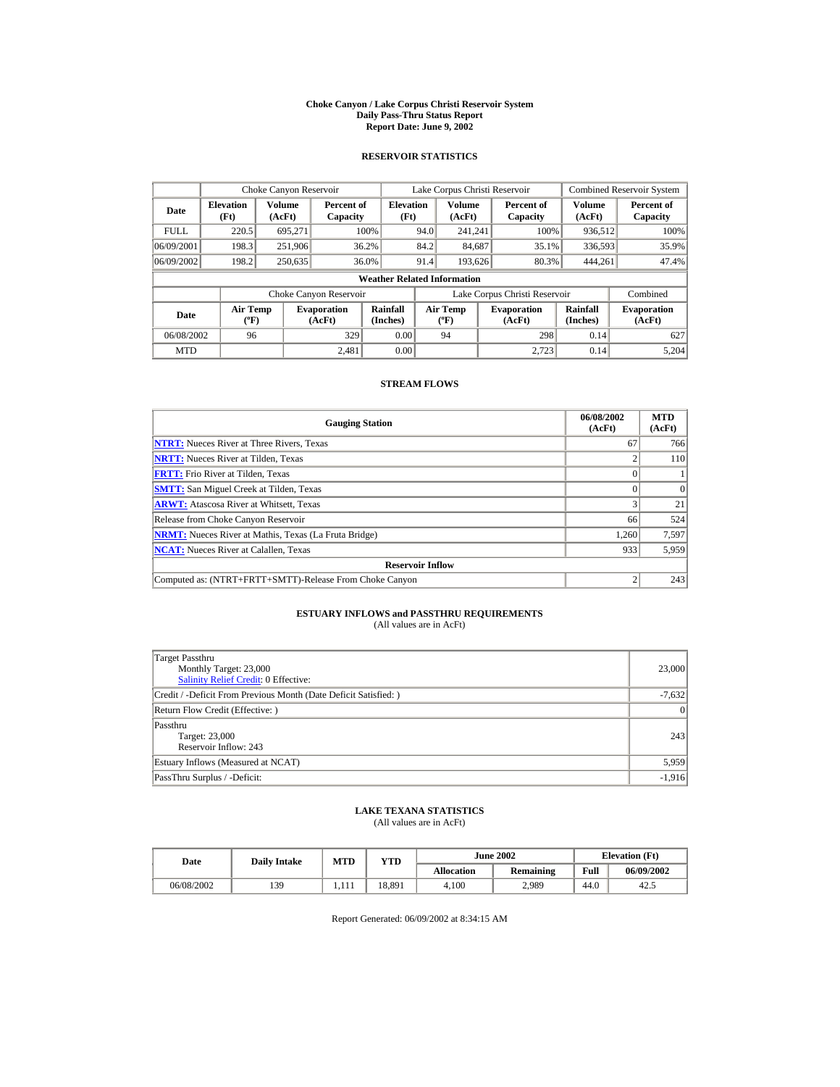#### **Choke Canyon / Lake Corpus Christi Reservoir System Daily Pass-Thru Status Report Report Date: June 9, 2002**

### **RESERVOIR STATISTICS**

|             | Choke Canyon Reservoir                |                  |                              |                          | Lake Corpus Christi Reservoir |                                   |  |                               |                         | <b>Combined Reservoir System</b> |  |  |
|-------------|---------------------------------------|------------------|------------------------------|--------------------------|-------------------------------|-----------------------------------|--|-------------------------------|-------------------------|----------------------------------|--|--|
| Date        | <b>Elevation</b><br>(Ft)              | Volume<br>(AcFt) | Percent of<br>Capacity       | <b>Elevation</b><br>(Ft) |                               | <b>Volume</b><br>(AcFt)           |  | Percent of<br>Capacity        | <b>Volume</b><br>(AcFt) | Percent of<br>Capacity           |  |  |
| <b>FULL</b> | 220.5                                 | 695.271          |                              | 100%                     | 94.0                          | 241.241                           |  | 100%                          | 936,512                 | 100%                             |  |  |
| 06/09/2001  | 198.3                                 | 251.906          |                              | 36.2%                    | 84.2                          | 84,687                            |  | 35.1%                         | 336,593                 | 35.9%                            |  |  |
| 06/09/2002  | 198.2                                 | 250,635          |                              | 36.0%                    | 91.4                          | 193.626                           |  | 80.3%                         | 444.261                 | 47.4%                            |  |  |
|             | <b>Weather Related Information</b>    |                  |                              |                          |                               |                                   |  |                               |                         |                                  |  |  |
|             |                                       |                  | Choke Canyon Reservoir       |                          |                               |                                   |  | Lake Corpus Christi Reservoir |                         | Combined                         |  |  |
| Date        | <b>Air Temp</b><br>$({}^o\mathrm{F})$ |                  | <b>Evaporation</b><br>(AcFt) | Rainfall<br>(Inches)     |                               | Air Temp<br>$({}^{\circ}{\rm F})$ |  | <b>Evaporation</b><br>(AcFt)  | Rainfall<br>(Inches)    | <b>Evaporation</b><br>(AcFt)     |  |  |
| 06/08/2002  | 96                                    |                  | 329                          | 0.00                     |                               | 94                                |  | 298                           | 0.14                    | 627                              |  |  |
| <b>MTD</b>  |                                       |                  | 2.481                        | 0.00                     |                               |                                   |  | 2.723                         | 0.14                    | 5.204                            |  |  |

### **STREAM FLOWS**

| <b>Gauging Station</b>                                       | 06/08/2002<br>(AcFt) | <b>MTD</b><br>(AcFt) |
|--------------------------------------------------------------|----------------------|----------------------|
| <b>NTRT:</b> Nueces River at Three Rivers, Texas             | 67                   | 766                  |
| <b>NRTT:</b> Nueces River at Tilden, Texas                   |                      | 110                  |
| <b>FRTT:</b> Frio River at Tilden. Texas                     |                      |                      |
| <b>SMTT:</b> San Miguel Creek at Tilden, Texas               |                      | $\Omega$             |
| <b>ARWT:</b> Atascosa River at Whitsett, Texas               |                      | 21                   |
| Release from Choke Canyon Reservoir                          | 66                   | 524                  |
| <b>NRMT:</b> Nueces River at Mathis, Texas (La Fruta Bridge) | 1.260                | 7,597                |
| <b>NCAT:</b> Nueces River at Calallen, Texas                 | 933                  | 5,959                |
| <b>Reservoir Inflow</b>                                      |                      |                      |
| Computed as: (NTRT+FRTT+SMTT)-Release From Choke Canyon      |                      | 243                  |

# **ESTUARY INFLOWS and PASSTHRU REQUIREMENTS**<br>(All values are in AcFt)

| Target Passthru<br>Monthly Target: 23,000<br>Salinity Relief Credit: 0 Effective: | 23,000          |
|-----------------------------------------------------------------------------------|-----------------|
| Credit / -Deficit From Previous Month (Date Deficit Satisfied:)                   | $-7,632$        |
| Return Flow Credit (Effective: )                                                  | $\vert 0 \vert$ |
| Passthru<br>Target: 23,000<br>Reservoir Inflow: 243                               | 243             |
| Estuary Inflows (Measured at NCAT)                                                | 5,959           |
| PassThru Surplus / -Deficit:                                                      | $-1,916$        |

## **LAKE TEXANA STATISTICS**

(All values are in AcFt)

| Date       | <b>Daily Intake</b> | <b>MTD</b> | $v_{\rm TD}$ |            | <b>June 2002</b> | <b>Elevation</b> (Ft) |            |
|------------|---------------------|------------|--------------|------------|------------------|-----------------------|------------|
|            |                     |            |              | Allocation | Remaining        | Full                  | 06/09/2002 |
| 06/08/2002 | 139                 | .          | 18.891       | 4.100      | 2.989            | 44.0                  | 42         |

Report Generated: 06/09/2002 at 8:34:15 AM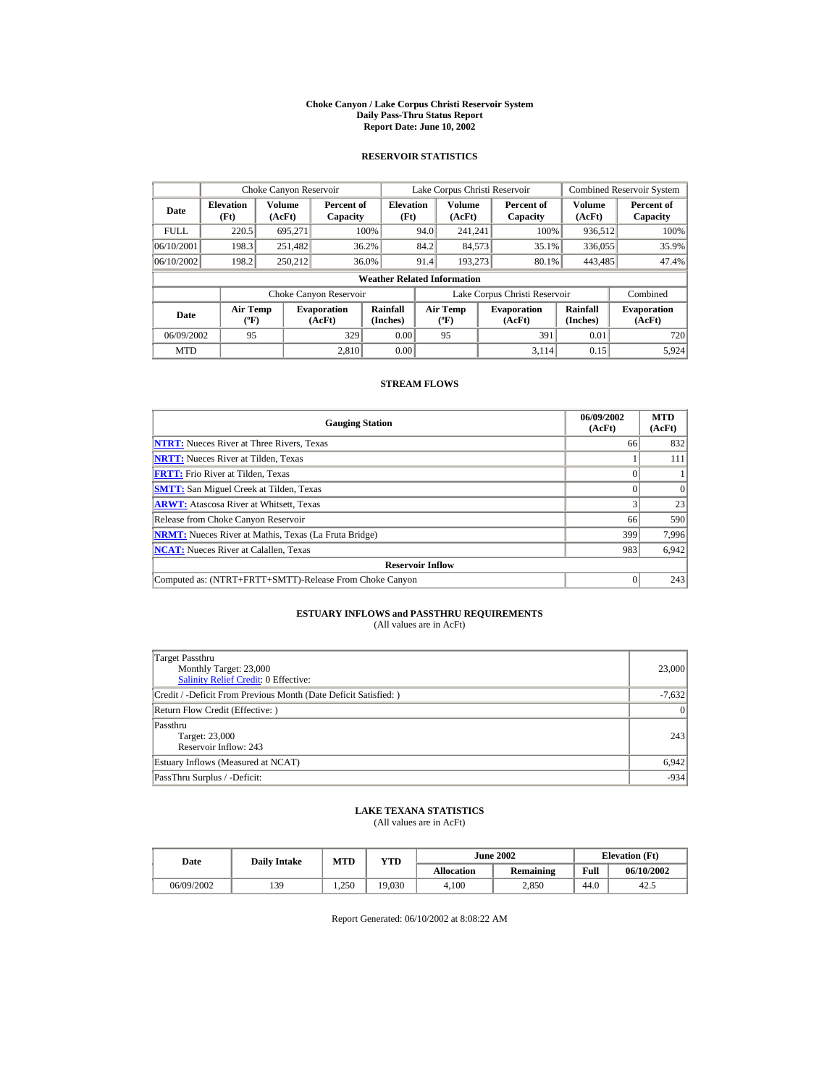#### **Choke Canyon / Lake Corpus Christi Reservoir System Daily Pass-Thru Status Report Report Date: June 10, 2002**

### **RESERVOIR STATISTICS**

|             | Choke Canyon Reservoir                      |                  |                              |                          | Lake Corpus Christi Reservoir |                                             |  |                               |                      | Combined Reservoir System    |  |  |
|-------------|---------------------------------------------|------------------|------------------------------|--------------------------|-------------------------------|---------------------------------------------|--|-------------------------------|----------------------|------------------------------|--|--|
| Date        | <b>Elevation</b><br>(Ft)                    | Volume<br>(AcFt) | Percent of<br>Capacity       | <b>Elevation</b><br>(Ft) |                               | Volume<br>(AcFt)                            |  | Percent of<br>Capacity        | Volume<br>(AcFt)     | Percent of<br>Capacity       |  |  |
| <b>FULL</b> | 220.5                                       | 695.271          |                              | 100%                     | 94.0                          | 241.241                                     |  | 100%                          | 936,512              | 100%                         |  |  |
| 06/10/2001  | 198.3                                       | 251,482          |                              | 36.2%                    | 84.2                          | 84,573                                      |  | 35.1%                         | 336,055              | 35.9%                        |  |  |
| 06/10/2002  | 198.2                                       | 250.212          |                              | 36.0%                    | 91.4                          | 193.273                                     |  | 80.1%                         | 443,485              | 47.4%                        |  |  |
|             | <b>Weather Related Information</b>          |                  |                              |                          |                               |                                             |  |                               |                      |                              |  |  |
|             |                                             |                  | Choke Canyon Reservoir       |                          |                               |                                             |  | Lake Corpus Christi Reservoir |                      | Combined                     |  |  |
| Date        | <b>Air Temp</b><br>$({}^{\circ}\mathrm{F})$ |                  | <b>Evaporation</b><br>(AcFt) | Rainfall<br>(Inches)     |                               | <b>Air Temp</b><br>$({}^{\circ}\mathbf{F})$ |  | <b>Evaporation</b><br>(AcFt)  | Rainfall<br>(Inches) | <b>Evaporation</b><br>(AcFt) |  |  |
| 06/09/2002  | 95                                          |                  | 329                          | 0.00                     |                               | 95                                          |  | 391                           | 0.01                 | 720                          |  |  |
| <b>MTD</b>  |                                             |                  | 2.810                        | 0.00                     |                               |                                             |  | 3.114                         | 0.15                 | 5.924                        |  |  |

### **STREAM FLOWS**

| <b>Gauging Station</b>                                       | 06/09/2002<br>(AcFt) | <b>MTD</b><br>(AcFt) |
|--------------------------------------------------------------|----------------------|----------------------|
| <b>NTRT:</b> Nueces River at Three Rivers, Texas             | 66                   | 832                  |
| <b>NRTT:</b> Nueces River at Tilden, Texas                   |                      | 111                  |
| <b>FRTT:</b> Frio River at Tilden, Texas                     |                      |                      |
| <b>SMTT:</b> San Miguel Creek at Tilden, Texas               |                      | $\Omega$             |
| <b>ARWT:</b> Atascosa River at Whitsett, Texas               |                      | 23                   |
| Release from Choke Canyon Reservoir                          | 66                   | 590                  |
| <b>NRMT:</b> Nueces River at Mathis, Texas (La Fruta Bridge) | 399                  | 7.996                |
| <b>NCAT:</b> Nueces River at Calallen, Texas                 | 983                  | 6,942                |
| <b>Reservoir Inflow</b>                                      |                      |                      |
| Computed as: (NTRT+FRTT+SMTT)-Release From Choke Canyon      |                      | 243                  |

# **ESTUARY INFLOWS and PASSTHRU REQUIREMENTS**<br>(All values are in AcFt)

| Target Passthru<br>Monthly Target: 23,000<br>Salinity Relief Credit: 0 Effective: | 23,000          |
|-----------------------------------------------------------------------------------|-----------------|
| Credit / -Deficit From Previous Month (Date Deficit Satisfied:)                   | $-7,632$        |
| Return Flow Credit (Effective: )                                                  | $\vert 0 \vert$ |
| Passthru<br>Target: 23,000<br>Reservoir Inflow: 243                               | 243             |
| Estuary Inflows (Measured at NCAT)                                                | 6,942           |
| PassThru Surplus / -Deficit:                                                      | $-934$          |

## **LAKE TEXANA STATISTICS**

(All values are in AcFt)

| Date       | <b>Daily Intake</b> | <b>MTD</b> | YTD    |                   | <b>June 2002</b> | <b>Elevation</b> (Ft) |            |
|------------|---------------------|------------|--------|-------------------|------------------|-----------------------|------------|
|            |                     |            |        | <b>Allocation</b> | <b>Remaining</b> | Full                  | 06/10/2002 |
| 06/09/2002 | 139                 | . 250      | 19.030 | 4.100             | 2.850            | 44.0                  | 42         |

Report Generated: 06/10/2002 at 8:08:22 AM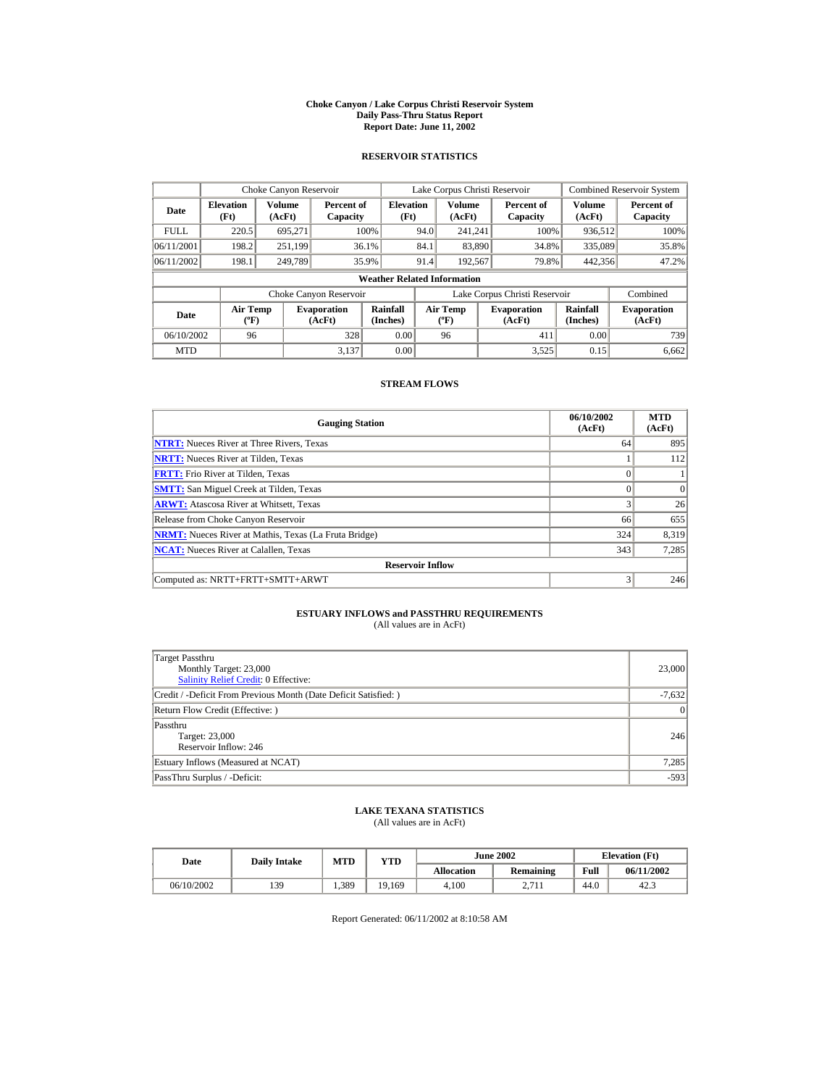#### **Choke Canyon / Lake Corpus Christi Reservoir System Daily Pass-Thru Status Report Report Date: June 11, 2002**

### **RESERVOIR STATISTICS**

|             | Choke Canyon Reservoir                      |                  |                              |                          | Lake Corpus Christi Reservoir |                                             |  |                               |                      | <b>Combined Reservoir System</b> |  |  |
|-------------|---------------------------------------------|------------------|------------------------------|--------------------------|-------------------------------|---------------------------------------------|--|-------------------------------|----------------------|----------------------------------|--|--|
| Date        | <b>Elevation</b><br>(Ft)                    | Volume<br>(AcFt) | Percent of<br>Capacity       | <b>Elevation</b><br>(Ft) |                               | Volume<br>(AcFt)                            |  | Percent of<br>Capacity        | Volume<br>(AcFt)     | Percent of<br>Capacity           |  |  |
| <b>FULL</b> | 220.5                                       | 695.271          |                              | 100%                     | 94.0                          | 241.241                                     |  | 100%                          | 936,512              | 100%                             |  |  |
| 06/11/2001  | 198.2                                       | 251,199          |                              | 36.1%                    | 84.1                          | 83,890                                      |  | 34.8%                         | 335,089              | 35.8%                            |  |  |
| 06/11/2002  | 198.1                                       | 249.789          |                              | 35.9%                    | 91.4                          | 192,567                                     |  | 79.8%                         | 442,356              | 47.2%                            |  |  |
|             | <b>Weather Related Information</b>          |                  |                              |                          |                               |                                             |  |                               |                      |                                  |  |  |
|             |                                             |                  | Choke Canyon Reservoir       |                          |                               |                                             |  | Lake Corpus Christi Reservoir |                      | Combined                         |  |  |
| Date        | <b>Air Temp</b><br>$({}^{\circ}\mathrm{F})$ |                  | <b>Evaporation</b><br>(AcFt) | Rainfall<br>(Inches)     |                               | <b>Air Temp</b><br>$({}^{\circ}\mathbf{F})$ |  | <b>Evaporation</b><br>(AcFt)  | Rainfall<br>(Inches) | <b>Evaporation</b><br>(AcFt)     |  |  |
| 06/10/2002  | 96                                          |                  | 328                          | 0.00                     |                               | 96                                          |  | 411                           | 0.00                 | 739                              |  |  |
| <b>MTD</b>  |                                             |                  | 3.137                        | 0.00                     |                               |                                             |  | 3.525                         | 0.15                 | 6,662                            |  |  |

### **STREAM FLOWS**

| <b>Gauging Station</b>                                       | 06/10/2002<br>(AcFt) | <b>MTD</b><br>(AcFt) |
|--------------------------------------------------------------|----------------------|----------------------|
| <b>NTRT:</b> Nueces River at Three Rivers, Texas             | 64                   | 895                  |
| <b>NRTT:</b> Nueces River at Tilden, Texas                   |                      | 112                  |
| <b>FRTT:</b> Frio River at Tilden, Texas                     |                      |                      |
| <b>SMTT:</b> San Miguel Creek at Tilden, Texas               | $\Omega$             | $\Omega$             |
| <b>ARWT:</b> Atascosa River at Whitsett, Texas               | 3                    | 26                   |
| Release from Choke Canyon Reservoir                          | 66                   | 655                  |
| <b>NRMT:</b> Nueces River at Mathis, Texas (La Fruta Bridge) | 324                  | 8,319                |
| <b>NCAT:</b> Nueces River at Calallen, Texas                 | 343                  | 7,285                |
| <b>Reservoir Inflow</b>                                      |                      |                      |
| Computed as: NRTT+FRTT+SMTT+ARWT                             | 3                    | 246                  |

# **ESTUARY INFLOWS and PASSTHRU REQUIREMENTS**<br>(All values are in AcFt)

| Target Passthru<br>Monthly Target: 23,000<br>Salinity Relief Credit: 0 Effective: | 23,000          |
|-----------------------------------------------------------------------------------|-----------------|
| Credit / -Deficit From Previous Month (Date Deficit Satisfied: )                  | $-7,632$        |
| Return Flow Credit (Effective: )                                                  | $\vert 0 \vert$ |
| Passthru<br>Target: 23,000<br>Reservoir Inflow: 246                               | 246             |
| Estuary Inflows (Measured at NCAT)                                                | 7,285           |
| PassThru Surplus / -Deficit:                                                      | $-593$          |

## **LAKE TEXANA STATISTICS**

(All values are in AcFt)

| Date       | <b>Daily Intake</b> | <b>MTD</b> | YTD    |                   | <b>June 2002</b>   | <b>Elevation</b> (Ft) |            |
|------------|---------------------|------------|--------|-------------------|--------------------|-----------------------|------------|
|            |                     |            |        | <b>Allocation</b> | Remaining          | Full                  | 06/11/2002 |
| 06/10/2002 | 139                 | 1,389      | 19.169 | 4.100             | 2711<br>، ،<br>- 1 | 44.0                  | 42.3       |

Report Generated: 06/11/2002 at 8:10:58 AM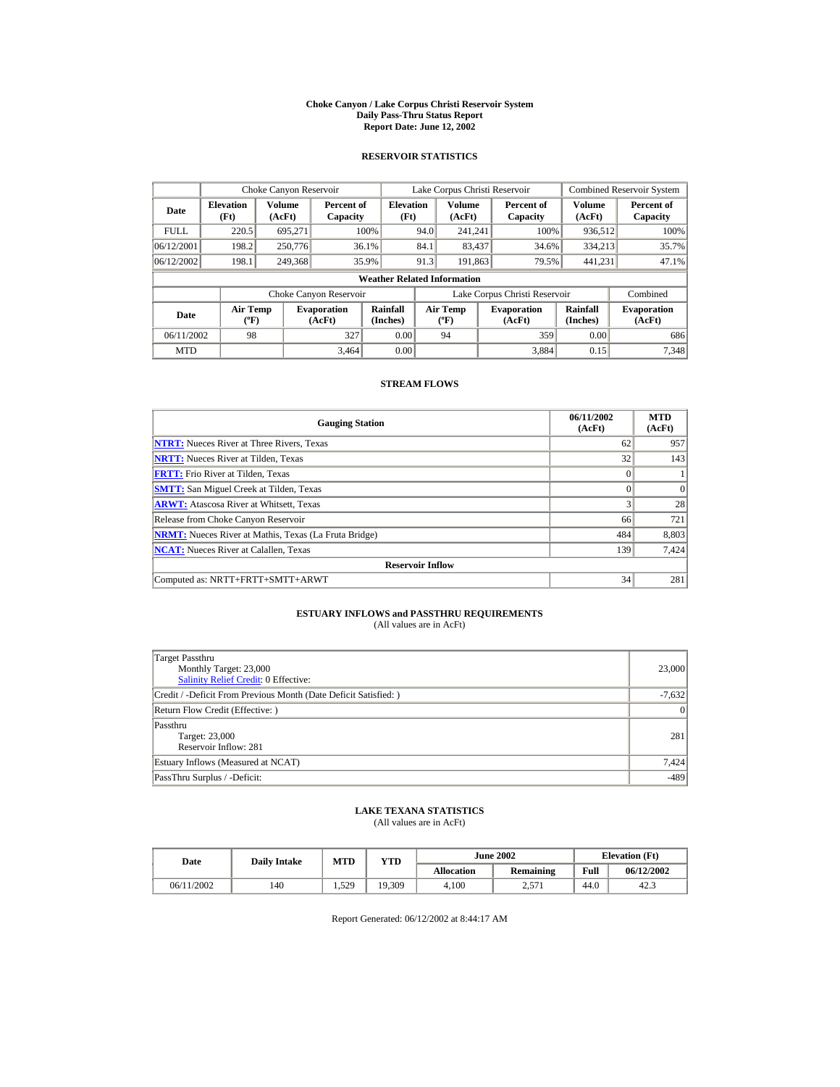#### **Choke Canyon / Lake Corpus Christi Reservoir System Daily Pass-Thru Status Report Report Date: June 12, 2002**

### **RESERVOIR STATISTICS**

|             | Choke Canyon Reservoir                      |                  |                              |                          | Lake Corpus Christi Reservoir |                                             |  |                               |                      | Combined Reservoir System    |  |  |
|-------------|---------------------------------------------|------------------|------------------------------|--------------------------|-------------------------------|---------------------------------------------|--|-------------------------------|----------------------|------------------------------|--|--|
| Date        | <b>Elevation</b><br>(Ft)                    | Volume<br>(AcFt) | Percent of<br>Capacity       | <b>Elevation</b><br>(Ft) |                               | Volume<br>(AcFt)                            |  | Percent of<br>Capacity        | Volume<br>(AcFt)     | Percent of<br>Capacity       |  |  |
| <b>FULL</b> | 220.5                                       | 695.271          |                              | 100%                     | 94.0                          | 241.241                                     |  | 100%                          | 936,512              | 100%                         |  |  |
| 06/12/2001  | 198.2                                       | 250,776          |                              | 36.1%                    | 84.1                          | 83,437                                      |  | 34.6%                         | 334,213              | 35.7%                        |  |  |
| 06/12/2002  | 198.1                                       | 249,368          |                              | 35.9%                    | 91.3                          | 191.863                                     |  | 79.5%                         | 441.231              | 47.1%                        |  |  |
|             | <b>Weather Related Information</b>          |                  |                              |                          |                               |                                             |  |                               |                      |                              |  |  |
|             |                                             |                  | Choke Canyon Reservoir       |                          |                               |                                             |  | Lake Corpus Christi Reservoir |                      | Combined                     |  |  |
| Date        | <b>Air Temp</b><br>$({}^{\circ}\mathrm{F})$ |                  | <b>Evaporation</b><br>(AcFt) | Rainfall<br>(Inches)     |                               | <b>Air Temp</b><br>$({}^{\circ}\mathbf{F})$ |  | <b>Evaporation</b><br>(AcFt)  | Rainfall<br>(Inches) | <b>Evaporation</b><br>(AcFt) |  |  |
| 06/11/2002  | 98                                          |                  | 327                          | 0.00                     |                               | 94                                          |  | 359                           | 0.00                 | 686                          |  |  |
| <b>MTD</b>  |                                             |                  | 3.464                        | 0.00                     |                               |                                             |  | 3.884                         | 0.15                 | 7.348                        |  |  |

### **STREAM FLOWS**

| <b>Gauging Station</b>                                       | 06/11/2002<br>(AcFt) | <b>MTD</b><br>(AcFt) |
|--------------------------------------------------------------|----------------------|----------------------|
| <b>NTRT:</b> Nueces River at Three Rivers, Texas             | 62                   | 957                  |
| <b>NRTT:</b> Nueces River at Tilden, Texas                   | 32                   | 143                  |
| <b>FRTT:</b> Frio River at Tilden, Texas                     | $\theta$             |                      |
| <b>SMTT:</b> San Miguel Creek at Tilden, Texas               | $\Omega$             | $\Omega$             |
| <b>ARWT:</b> Atascosa River at Whitsett, Texas               | 3                    | 28                   |
| Release from Choke Canyon Reservoir                          | 66                   | 721                  |
| <b>NRMT:</b> Nueces River at Mathis, Texas (La Fruta Bridge) | 484                  | 8,803                |
| <b>NCAT:</b> Nueces River at Calallen, Texas                 | 139                  | 7,424                |
| <b>Reservoir Inflow</b>                                      |                      |                      |
| Computed as: NRTT+FRTT+SMTT+ARWT                             | 34                   | 281                  |

# **ESTUARY INFLOWS and PASSTHRU REQUIREMENTS**<br>(All values are in AcFt)

| Target Passthru<br>Monthly Target: 23,000<br><b>Salinity Relief Credit: 0 Effective:</b> | 23,000          |
|------------------------------------------------------------------------------------------|-----------------|
| Credit / -Deficit From Previous Month (Date Deficit Satisfied: )                         | $-7,632$        |
| Return Flow Credit (Effective: )                                                         | $\vert 0 \vert$ |
| Passthru<br>Target: 23,000<br>Reservoir Inflow: 281                                      | 281             |
| Estuary Inflows (Measured at NCAT)                                                       | 7,424           |
| PassThru Surplus / -Deficit:                                                             | $-489$          |

## **LAKE TEXANA STATISTICS**

(All values are in AcFt)

| Date       | <b>Daily Intake</b> | <b>MTD</b> | YTD    |                   | <b>June 2002</b> | <b>Elevation</b> (Ft) |            |
|------------|---------------------|------------|--------|-------------------|------------------|-----------------------|------------|
|            |                     |            |        | <b>Allocation</b> | Remaining        | Full                  | 06/12/2002 |
| 06/11/2002 | 140                 | 1,529      | 19,309 | 4.100             | , 571<br>2.71    | 44.0                  | 42.3       |

Report Generated: 06/12/2002 at 8:44:17 AM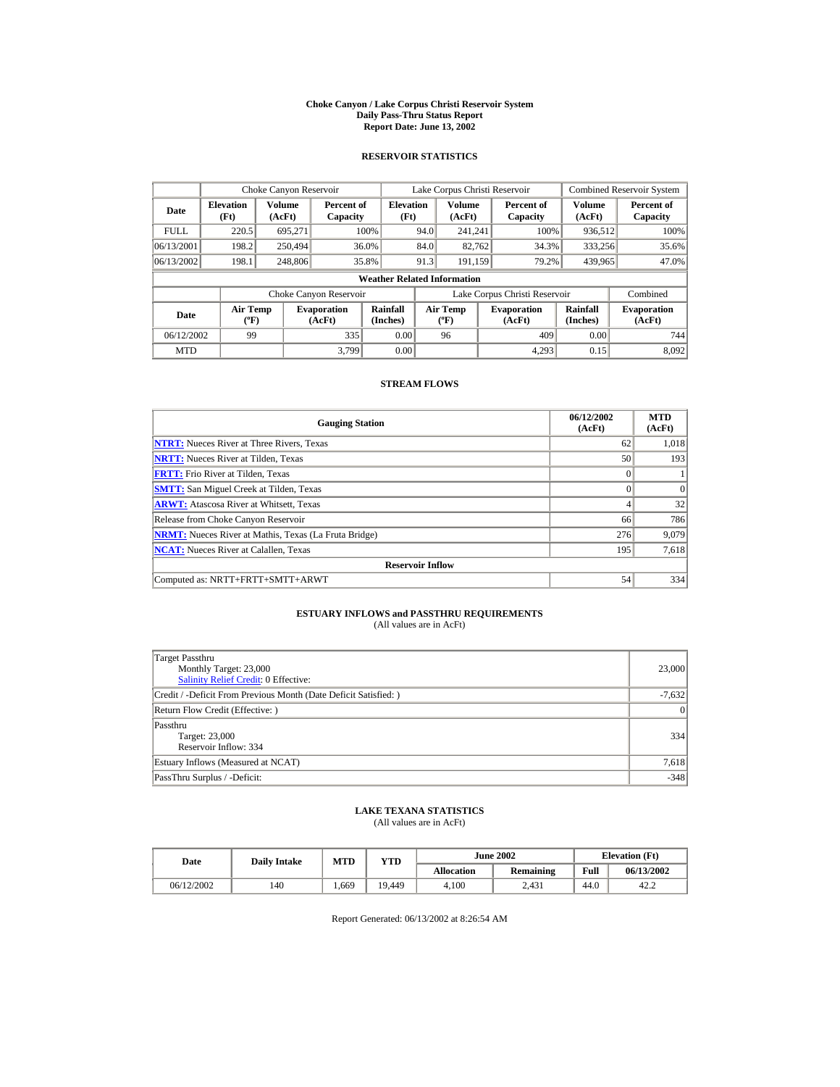#### **Choke Canyon / Lake Corpus Christi Reservoir System Daily Pass-Thru Status Report Report Date: June 13, 2002**

### **RESERVOIR STATISTICS**

|             | Choke Canyon Reservoir                      |                  |                              |                          | Lake Corpus Christi Reservoir |                                             |  |                               | Combined Reservoir System |                              |  |  |
|-------------|---------------------------------------------|------------------|------------------------------|--------------------------|-------------------------------|---------------------------------------------|--|-------------------------------|---------------------------|------------------------------|--|--|
| Date        | <b>Elevation</b><br>(Ft)                    | Volume<br>(AcFt) | Percent of<br>Capacity       | <b>Elevation</b><br>(Ft) |                               | Volume<br>(AcFt)                            |  | Percent of<br>Capacity        | Volume<br>(AcFt)          | Percent of<br>Capacity       |  |  |
| <b>FULL</b> | 220.5                                       | 695.271          |                              | 100%                     | 94.0                          | 241.241                                     |  | 100%                          | 936,512                   | 100%                         |  |  |
| 06/13/2001  | 198.2                                       | 250,494          |                              | 36.0%                    | 84.0                          | 82,762                                      |  | 34.3%                         | 333,256                   | 35.6%                        |  |  |
| 06/13/2002  | 198.1                                       | 248,806          |                              | 35.8%                    | 91.3                          | 191.159                                     |  | 79.2%                         | 439,965                   | 47.0%                        |  |  |
|             | <b>Weather Related Information</b>          |                  |                              |                          |                               |                                             |  |                               |                           |                              |  |  |
|             |                                             |                  | Choke Canyon Reservoir       |                          |                               |                                             |  | Lake Corpus Christi Reservoir |                           | Combined                     |  |  |
| Date        | <b>Air Temp</b><br>$({}^{\circ}\mathrm{F})$ |                  | <b>Evaporation</b><br>(AcFt) | Rainfall<br>(Inches)     |                               | <b>Air Temp</b><br>$({}^{\circ}\mathbf{F})$ |  | <b>Evaporation</b><br>(AcFt)  | Rainfall<br>(Inches)      | <b>Evaporation</b><br>(AcFt) |  |  |
| 06/12/2002  | 99                                          |                  | 335                          | 0.00                     |                               | 96                                          |  | 409                           | 0.00                      | 744                          |  |  |
| <b>MTD</b>  |                                             |                  | 3.799                        | 0.00                     |                               |                                             |  | 4.293                         | 0.15                      | 8.092                        |  |  |

### **STREAM FLOWS**

| <b>Gauging Station</b>                                       | 06/12/2002<br>(AcFt) | <b>MTD</b><br>(AcFt) |  |  |  |  |  |  |
|--------------------------------------------------------------|----------------------|----------------------|--|--|--|--|--|--|
| <b>NTRT:</b> Nueces River at Three Rivers, Texas             | 62                   | 1,018                |  |  |  |  |  |  |
| <b>NRTT:</b> Nueces River at Tilden, Texas                   | 50                   | 193                  |  |  |  |  |  |  |
| <b>FRTT:</b> Frio River at Tilden, Texas                     | $\theta$             |                      |  |  |  |  |  |  |
| <b>SMTT:</b> San Miguel Creek at Tilden, Texas               | $\Omega$             | $\vert$ 0            |  |  |  |  |  |  |
| <b>ARWT:</b> Atascosa River at Whitsett, Texas               | 4                    | 32                   |  |  |  |  |  |  |
| Release from Choke Canyon Reservoir                          | 66                   | 786                  |  |  |  |  |  |  |
| <b>NRMT:</b> Nueces River at Mathis, Texas (La Fruta Bridge) | 276                  | 9.079                |  |  |  |  |  |  |
| <b>NCAT:</b> Nueces River at Calallen, Texas                 | 195                  | 7,618                |  |  |  |  |  |  |
| <b>Reservoir Inflow</b>                                      |                      |                      |  |  |  |  |  |  |
| Computed as: NRTT+FRTT+SMTT+ARWT                             | 54                   | 334                  |  |  |  |  |  |  |

# **ESTUARY INFLOWS and PASSTHRU REQUIREMENTS**<br>(All values are in AcFt)

| <b>Target Passthru</b><br>Monthly Target: 23,000<br>Salinity Relief Credit: 0 Effective: | 23,000          |  |  |  |  |
|------------------------------------------------------------------------------------------|-----------------|--|--|--|--|
| Credit / -Deficit From Previous Month (Date Deficit Satisfied:)                          | $-7,632$        |  |  |  |  |
| Return Flow Credit (Effective: )                                                         | $\vert 0 \vert$ |  |  |  |  |
| Passthru<br>Target: 23,000<br>Reservoir Inflow: 334                                      | 334             |  |  |  |  |
| Estuary Inflows (Measured at NCAT)                                                       |                 |  |  |  |  |
| PassThru Surplus / -Deficit:                                                             | $-348$          |  |  |  |  |

## **LAKE TEXANA STATISTICS**

(All values are in AcFt)

| Date       | <b>Daily Intake</b> | <b>MTD</b> | YTD    |                   | <b>June 2002</b> | <b>Elevation</b> (Ft) |            |
|------------|---------------------|------------|--------|-------------------|------------------|-----------------------|------------|
|            |                     |            |        | <b>Allocation</b> | Remaining        | Full                  | 06/13/2002 |
| 06/12/2002 | 140                 | . 669      | 19.449 | 4.100             | 2.431            | 44.0                  | 42.2       |

Report Generated: 06/13/2002 at 8:26:54 AM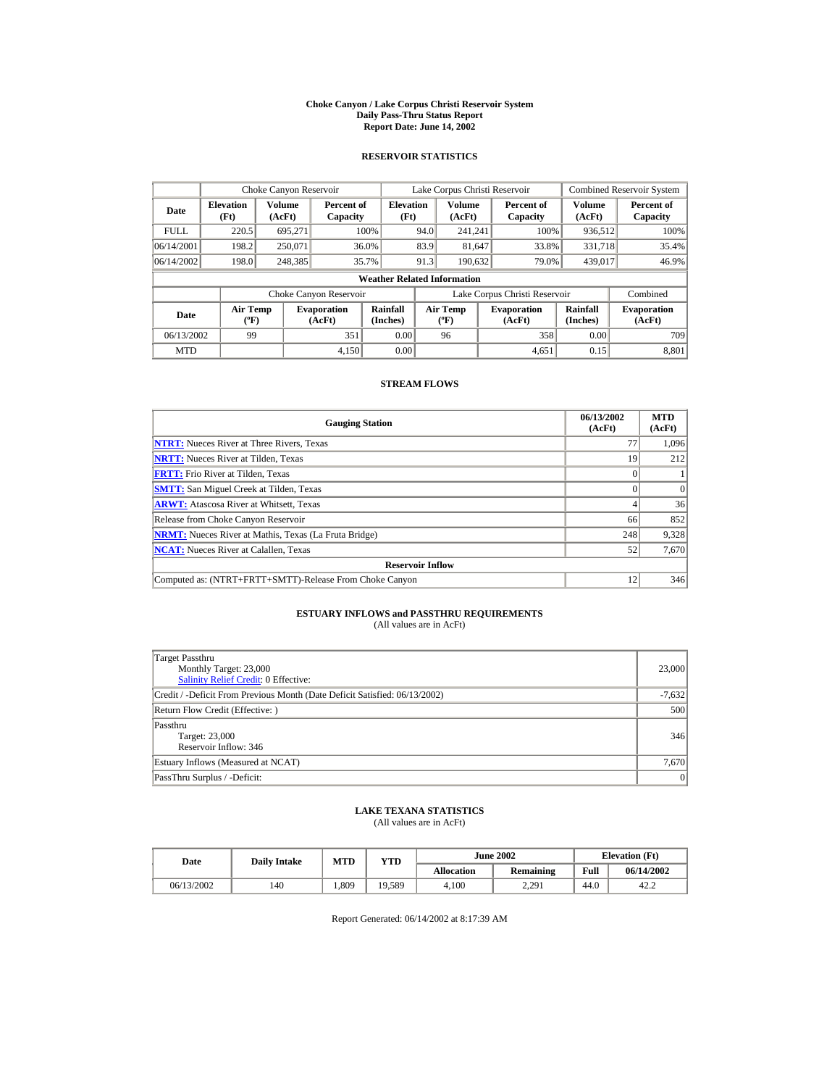#### **Choke Canyon / Lake Corpus Christi Reservoir System Daily Pass-Thru Status Report Report Date: June 14, 2002**

### **RESERVOIR STATISTICS**

|             | Choke Canyon Reservoir                                                                                                                             |                  |                        |                                    | Lake Corpus Christi Reservoir |                              |  |                               | <b>Combined Reservoir System</b> |                        |
|-------------|----------------------------------------------------------------------------------------------------------------------------------------------------|------------------|------------------------|------------------------------------|-------------------------------|------------------------------|--|-------------------------------|----------------------------------|------------------------|
| Date        | <b>Elevation</b><br>(Ft)                                                                                                                           | Volume<br>(AcFt) | Percent of<br>Capacity | <b>Elevation</b><br>(Ft)           |                               | Volume<br>(AcFt)             |  | Percent of<br>Capacity        | Volume<br>(AcFt)                 | Percent of<br>Capacity |
| <b>FULL</b> | 220.5                                                                                                                                              | 695.271          |                        | 100%                               | 94.0                          | 241.241                      |  | 100%                          | 936,512                          | 100%                   |
| 06/14/2001  | 198.2                                                                                                                                              | 250,071          |                        | 36.0%                              | 83.9                          | 81,647                       |  | 33.8%                         | 331,718                          | 35.4%                  |
| 06/14/2002  | 198.0                                                                                                                                              | 248,385          |                        | 35.7%                              | 91.3                          | 190.632                      |  | 79.0%                         | 439,017                          | 46.9%                  |
|             |                                                                                                                                                    |                  |                        | <b>Weather Related Information</b> |                               |                              |  |                               |                                  |                        |
|             |                                                                                                                                                    |                  | Choke Canyon Reservoir |                                    |                               |                              |  | Lake Corpus Christi Reservoir |                                  | Combined               |
| Date        | Rainfall<br><b>Air Temp</b><br><b>Air Temp</b><br><b>Evaporation</b><br>$({}^{\circ}\mathrm{F})$<br>(Inches)<br>(AcFt)<br>$({}^{\circ}\mathbf{F})$ |                  |                        | <b>Evaporation</b><br>(AcFt)       | Rainfall<br>(Inches)          | <b>Evaporation</b><br>(AcFt) |  |                               |                                  |                        |
| 06/13/2002  | 99                                                                                                                                                 |                  | 351                    | 0.00                               |                               | 96                           |  | 358                           | 0.00                             | 709                    |
| <b>MTD</b>  |                                                                                                                                                    |                  | 4.150                  | 0.00                               |                               |                              |  | 4.651                         | 0.15                             | 8.801                  |

### **STREAM FLOWS**

| <b>Gauging Station</b>                                       | 06/13/2002<br>(AcFt) | <b>MTD</b><br>(AcFt) |
|--------------------------------------------------------------|----------------------|----------------------|
| <b>NTRT:</b> Nueces River at Three Rivers, Texas             | 77                   | 1,096                |
| <b>NRTT:</b> Nueces River at Tilden, Texas                   | 19                   | 212                  |
| <b>FRTT:</b> Frio River at Tilden. Texas                     |                      |                      |
| <b>SMTT:</b> San Miguel Creek at Tilden, Texas               |                      |                      |
| <b>ARWT:</b> Atascosa River at Whitsett, Texas               |                      | 36                   |
| Release from Choke Canyon Reservoir                          | 66                   | 852                  |
| <b>NRMT:</b> Nueces River at Mathis, Texas (La Fruta Bridge) | 248                  | 9,328                |
| <b>NCAT:</b> Nueces River at Calallen, Texas                 | 52                   | 7,670                |
| <b>Reservoir Inflow</b>                                      |                      |                      |
| Computed as: (NTRT+FRTT+SMTT)-Release From Choke Canyon      | 12                   | 346                  |

# **ESTUARY INFLOWS and PASSTHRU REQUIREMENTS**<br>(All values are in AcFt)

| Target Passthru<br>Monthly Target: 23,000<br>Salinity Relief Credit: 0 Effective: | 23,000   |
|-----------------------------------------------------------------------------------|----------|
| Credit / -Deficit From Previous Month (Date Deficit Satisfied: 06/13/2002)        | $-7,632$ |
| Return Flow Credit (Effective: )                                                  | 500      |
| Passthru<br>Target: 23,000<br>Reservoir Inflow: 346                               | 346      |
| Estuary Inflows (Measured at NCAT)                                                | 7,670    |
| PassThru Surplus / -Deficit:                                                      | 0        |

## **LAKE TEXANA STATISTICS**

(All values are in AcFt)

| Date       | <b>Daily Intake</b> | <b>MTD</b> | YTD    |                   | <b>June 2002</b> | <b>Elevation</b> (Ft) |            |
|------------|---------------------|------------|--------|-------------------|------------------|-----------------------|------------|
|            |                     |            |        | <b>Allocation</b> | Remaining        | Full                  | 06/14/2002 |
| 06/13/2002 | 140                 | . 809      | 19,589 | 4.100             | 2.291            | 44.0                  | 42.2       |

Report Generated: 06/14/2002 at 8:17:39 AM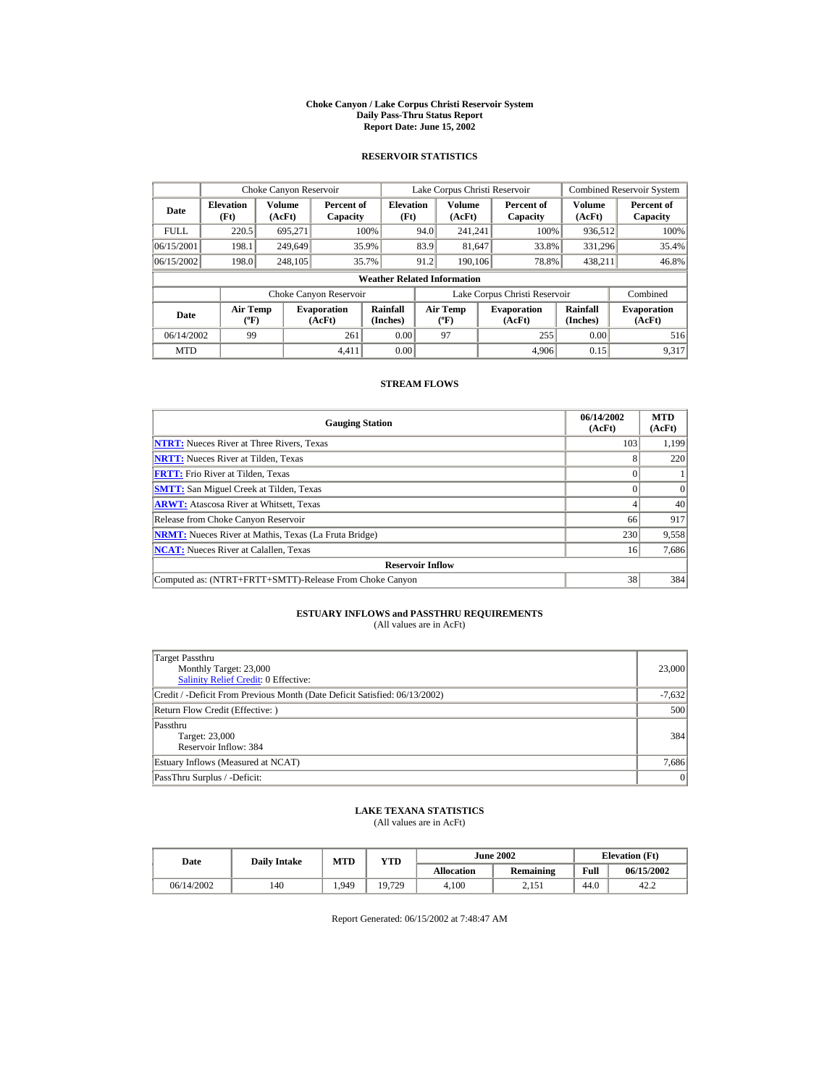#### **Choke Canyon / Lake Corpus Christi Reservoir System Daily Pass-Thru Status Report Report Date: June 15, 2002**

### **RESERVOIR STATISTICS**

|             | Choke Canyon Reservoir                      |                  |                              |                          | Lake Corpus Christi Reservoir |                                           |  |                               | <b>Combined Reservoir System</b> |                              |  |
|-------------|---------------------------------------------|------------------|------------------------------|--------------------------|-------------------------------|-------------------------------------------|--|-------------------------------|----------------------------------|------------------------------|--|
| Date        | <b>Elevation</b><br>(Ft)                    | Volume<br>(AcFt) | Percent of<br>Capacity       | <b>Elevation</b><br>(Ft) |                               | Volume<br>(AcFt)                          |  | Percent of<br>Capacity        | Volume<br>(AcFt)                 | Percent of<br>Capacity       |  |
| <b>FULL</b> | 220.5                                       | 695,271          |                              | 100%                     | 94.0                          | 241.241                                   |  | 100%                          | 936,512                          | 100%                         |  |
| 06/15/2001  | 198.1                                       | 249,649          |                              | 35.9%                    | 83.9                          | 81,647                                    |  | 33.8%                         | 331,296                          | 35.4%                        |  |
| 06/15/2002  | 198.0                                       | 248,105          |                              | 35.7%                    | 91.2                          | 190,106                                   |  | 78.8%                         | 438,211                          | 46.8%                        |  |
|             | <b>Weather Related Information</b>          |                  |                              |                          |                               |                                           |  |                               |                                  |                              |  |
|             |                                             |                  | Choke Canyon Reservoir       |                          |                               |                                           |  | Lake Corpus Christi Reservoir |                                  | Combined                     |  |
| Date        | <b>Air Temp</b><br>$({}^{\circ}\mathrm{F})$ |                  | <b>Evaporation</b><br>(AcFt) | Rainfall<br>(Inches)     |                               | <b>Air Temp</b><br>$({}^{\circ}\text{F})$ |  | <b>Evaporation</b><br>(AcFt)  | Rainfall<br>(Inches)             | <b>Evaporation</b><br>(AcFt) |  |
| 06/14/2002  | 99                                          |                  | 261                          | 0.00                     |                               | 97                                        |  | 255                           | 0.00                             | 516                          |  |
| <b>MTD</b>  |                                             |                  | 4.411                        | 0.00                     |                               |                                           |  | 4.906                         | 0.15                             | 9,317                        |  |

### **STREAM FLOWS**

| <b>Gauging Station</b>                                       | 06/14/2002<br>(AcFt) | <b>MTD</b><br>(AcFt) |
|--------------------------------------------------------------|----------------------|----------------------|
| <b>NTRT:</b> Nueces River at Three Rivers, Texas             | 103                  | 1,199                |
| <b>NRTT:</b> Nueces River at Tilden, Texas                   |                      | 220                  |
| <b>FRTT:</b> Frio River at Tilden. Texas                     |                      |                      |
| <b>SMTT:</b> San Miguel Creek at Tilden, Texas               |                      | $\Omega$             |
| <b>ARWT:</b> Atascosa River at Whitsett, Texas               |                      | 40                   |
| Release from Choke Canyon Reservoir                          | 66                   | 917                  |
| <b>NRMT:</b> Nueces River at Mathis, Texas (La Fruta Bridge) | 230                  | 9,558                |
| <b>NCAT:</b> Nueces River at Calallen, Texas                 | 16                   | 7,686                |
| <b>Reservoir Inflow</b>                                      |                      |                      |
| Computed as: (NTRT+FRTT+SMTT)-Release From Choke Canyon      | 38                   | 384                  |

# **ESTUARY INFLOWS and PASSTHRU REQUIREMENTS**<br>(All values are in AcFt)

|  | $(2.11 \times 0.005)$ are $(1.1 \times 0.00)$ |  |  |  |
|--|-----------------------------------------------|--|--|--|
|  |                                               |  |  |  |
|  |                                               |  |  |  |

| Target Passthru<br>Monthly Target: 23,000<br>Salinity Relief Credit: 0 Effective: | 23,000         |  |  |  |
|-----------------------------------------------------------------------------------|----------------|--|--|--|
| Credit / -Deficit From Previous Month (Date Deficit Satisfied: 06/13/2002)        | $-7,632$       |  |  |  |
| Return Flow Credit (Effective: )                                                  |                |  |  |  |
| Passthru<br>Target: 23,000<br>Reservoir Inflow: 384                               | 384            |  |  |  |
| Estuary Inflows (Measured at NCAT)                                                | 7,686          |  |  |  |
| PassThru Surplus / -Deficit:                                                      | $\overline{0}$ |  |  |  |

## **LAKE TEXANA STATISTICS**

(All values are in AcFt)

| Date       | <b>Daily Intake</b> | MTD   | YTD    |                   | <b>June 2002</b> | <b>Elevation</b> (Ft) |            |  |
|------------|---------------------|-------|--------|-------------------|------------------|-----------------------|------------|--|
|            |                     |       |        | <b>Allocation</b> | <b>Remaining</b> | Full                  | 06/15/2002 |  |
| 06/14/2002 | 140                 | 1.949 | 19,729 | 4.100             | 2.151            | 44.0                  | 42.2       |  |

Report Generated: 06/15/2002 at 7:48:47 AM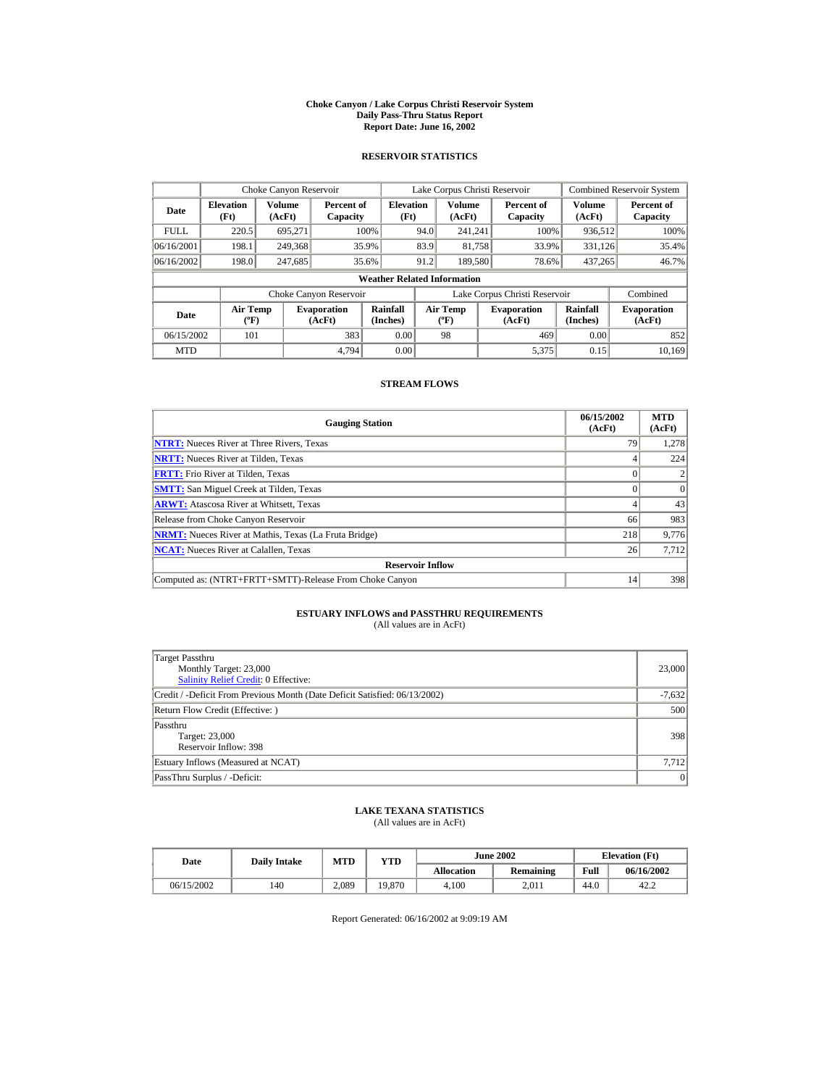#### **Choke Canyon / Lake Corpus Christi Reservoir System Daily Pass-Thru Status Report Report Date: June 16, 2002**

### **RESERVOIR STATISTICS**

|             | Choke Canyon Reservoir                      |                  |                              |                                    |      | Lake Corpus Christi Reservoir             |                               |                      | Combined Reservoir System    |
|-------------|---------------------------------------------|------------------|------------------------------|------------------------------------|------|-------------------------------------------|-------------------------------|----------------------|------------------------------|
| Date        | <b>Elevation</b><br>(Ft)                    | Volume<br>(AcFt) | Percent of<br>Capacity       | <b>Elevation</b><br>(Ft)           |      | Volume<br>(AcFt)                          | Percent of<br>Capacity        | Volume<br>(AcFt)     | Percent of<br>Capacity       |
| <b>FULL</b> | 220.5                                       | 695.271          |                              | 100%                               | 94.0 | 241.241                                   | 100%                          | 936,512              | 100%                         |
| 06/16/2001  | 198.1                                       | 249,368          |                              | 35.9%                              | 83.9 | 81,758                                    | 33.9%                         | 331,126              | 35.4%                        |
| 06/16/2002  | 198.0                                       | 247.685          |                              | 35.6%                              | 91.2 | 189,580                                   | 78.6%                         | 437.265              | 46.7%                        |
|             |                                             |                  |                              | <b>Weather Related Information</b> |      |                                           |                               |                      |                              |
|             |                                             |                  | Choke Canyon Reservoir       |                                    |      |                                           | Lake Corpus Christi Reservoir |                      | Combined                     |
| Date        | <b>Air Temp</b><br>$({}^{\circ}\mathrm{F})$ |                  | <b>Evaporation</b><br>(AcFt) | Rainfall<br>(Inches)               |      | <b>Air Temp</b><br>$({}^{\circ}\text{F})$ | <b>Evaporation</b><br>(AcFt)  | Rainfall<br>(Inches) | <b>Evaporation</b><br>(AcFt) |
| 06/15/2002  | 101                                         |                  | 383                          | 0.00                               |      | 98                                        | 469                           | 0.00                 | 852                          |
| <b>MTD</b>  |                                             |                  | 4.794                        | 0.00                               |      |                                           | 5,375                         | 0.15                 | 10.169                       |

### **STREAM FLOWS**

| <b>Gauging Station</b>                                       | 06/15/2002<br>(AcFt) | <b>MTD</b><br>(AcFt) |
|--------------------------------------------------------------|----------------------|----------------------|
| <b>NTRT:</b> Nueces River at Three Rivers, Texas             | 79                   | 1,278                |
| <b>NRTT:</b> Nueces River at Tilden, Texas                   |                      | 224                  |
| <b>FRTT:</b> Frio River at Tilden, Texas                     |                      |                      |
| <b>SMTT:</b> San Miguel Creek at Tilden, Texas               |                      | $\Omega$             |
| <b>ARWT:</b> Atascosa River at Whitsett, Texas               |                      | 43                   |
| Release from Choke Canyon Reservoir                          | 66                   | 983                  |
| <b>NRMT:</b> Nueces River at Mathis, Texas (La Fruta Bridge) | 218                  | 9,776                |
| <b>NCAT:</b> Nueces River at Calallen, Texas                 | 26                   | 7,712                |
| <b>Reservoir Inflow</b>                                      |                      |                      |
| Computed as: (NTRT+FRTT+SMTT)-Release From Choke Canyon      | 14                   | 398                  |

# **ESTUARY INFLOWS and PASSTHRU REQUIREMENTS**<br>(All values are in AcFt)

| Target Passthru<br>Monthly Target: 23,000<br>Salinity Relief Credit: 0 Effective: | 23,000   |
|-----------------------------------------------------------------------------------|----------|
| Credit / -Deficit From Previous Month (Date Deficit Satisfied: 06/13/2002)        | $-7,632$ |
| Return Flow Credit (Effective: )                                                  | 500      |
| Passthru<br>Target: 23,000<br>Reservoir Inflow: 398                               | 398      |
| Estuary Inflows (Measured at NCAT)                                                | 7.712    |
| PassThru Surplus / -Deficit:                                                      | 0        |

## **LAKE TEXANA STATISTICS**

(All values are in AcFt)

| Date       | <b>Daily Intake</b> | MTD   | $_{\rm VTD}$ |                   | <b>June 2002</b> | <b>Elevation</b> (Ft) |            |
|------------|---------------------|-------|--------------|-------------------|------------------|-----------------------|------------|
|            |                     |       |              | <b>Allocation</b> | <b>Remaining</b> | Full                  | 06/16/2002 |
| 06/15/2002 | 140                 | 2.089 | 19,870       | 4.100             | 2.011            | 44.0                  | 42.2       |

Report Generated: 06/16/2002 at 9:09:19 AM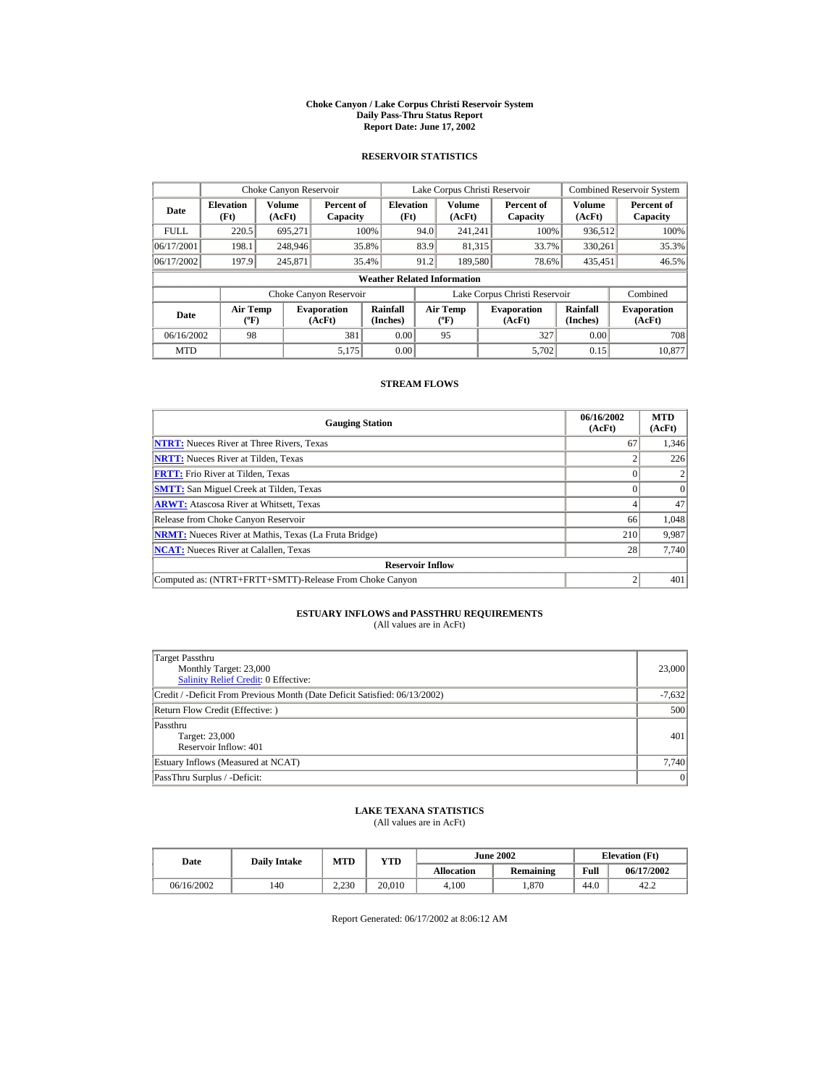#### **Choke Canyon / Lake Corpus Christi Reservoir System Daily Pass-Thru Status Report Report Date: June 17, 2002**

### **RESERVOIR STATISTICS**

|             | Choke Canyon Reservoir                       |         |                              |                                    |      | Lake Corpus Christi Reservoir    |                               |                      | <b>Combined Reservoir System</b> |
|-------------|----------------------------------------------|---------|------------------------------|------------------------------------|------|----------------------------------|-------------------------------|----------------------|----------------------------------|
| Date        | Volume<br><b>Elevation</b><br>(Ft)<br>(AcFt) |         | Percent of<br>Capacity       | <b>Elevation</b><br>(Ft)           |      | Volume<br>(AcFt)                 | Percent of<br>Capacity        | Volume<br>(AcFt)     | Percent of<br>Capacity           |
| <b>FULL</b> | 220.5                                        | 695.271 |                              | 100%                               | 94.0 | 241.241                          | 100%                          | 936,512              | 100%                             |
| 06/17/2001  | 198.1                                        | 248,946 |                              | 35.8%                              | 83.9 | 81,315                           | 33.7%                         | 330.261              | 35.3%                            |
| 06/17/2002  | 197.9                                        | 245,871 |                              | 35.4%                              | 91.2 | 189,580                          | 78.6%                         | 435,451              | 46.5%                            |
|             |                                              |         |                              | <b>Weather Related Information</b> |      |                                  |                               |                      |                                  |
|             |                                              |         | Choke Canyon Reservoir       |                                    |      |                                  | Lake Corpus Christi Reservoir |                      | Combined                         |
| Date        | <b>Air Temp</b><br>$({}^{\circ}\mathrm{F})$  |         | <b>Evaporation</b><br>(AcFt) | Rainfall<br>(Inches)               |      | <b>Air Temp</b><br>$(^{\circ}F)$ | <b>Evaporation</b><br>(AcFt)  | Rainfall<br>(Inches) | <b>Evaporation</b><br>(AcFt)     |
| 06/16/2002  | 98                                           |         | 381                          | 0.00                               |      | 95                               | 327                           | 0.00                 | 708                              |
| <b>MTD</b>  |                                              |         | 5.175                        | 0.00                               |      |                                  | 5.702                         | 0.15                 | 10.877                           |

### **STREAM FLOWS**

| <b>Gauging Station</b>                                       | 06/16/2002<br>(AcFt) | <b>MTD</b><br>(AcFt) |
|--------------------------------------------------------------|----------------------|----------------------|
| <b>NTRT:</b> Nueces River at Three Rivers, Texas             | 67                   | 1,346                |
| <b>NRTT:</b> Nueces River at Tilden, Texas                   |                      | 226                  |
| <b>FRTT:</b> Frio River at Tilden. Texas                     |                      |                      |
| <b>SMTT:</b> San Miguel Creek at Tilden, Texas               |                      | $\Omega$             |
| <b>ARWT:</b> Atascosa River at Whitsett, Texas               |                      | 47                   |
| Release from Choke Canyon Reservoir                          | 66                   | 1,048                |
| <b>NRMT:</b> Nueces River at Mathis, Texas (La Fruta Bridge) | 210                  | 9,987                |
| <b>NCAT:</b> Nueces River at Calallen, Texas                 | 28                   | 7,740                |
| <b>Reservoir Inflow</b>                                      |                      |                      |
| Computed as: (NTRT+FRTT+SMTT)-Release From Choke Canyon      |                      | 401                  |

# **ESTUARY INFLOWS and PASSTHRU REQUIREMENTS**<br>(All values are in AcFt)

| Target Passthru<br>Monthly Target: 23,000<br><b>Salinity Relief Credit: 0 Effective:</b> | 23,000   |  |  |  |
|------------------------------------------------------------------------------------------|----------|--|--|--|
| Credit / -Deficit From Previous Month (Date Deficit Satisfied: 06/13/2002)               | $-7,632$ |  |  |  |
| Return Flow Credit (Effective: )                                                         |          |  |  |  |
| Passthru<br>Target: 23,000<br>Reservoir Inflow: 401                                      | 401      |  |  |  |
| Estuary Inflows (Measured at NCAT)                                                       | 7,740    |  |  |  |
| PassThru Surplus / -Deficit:                                                             | 0        |  |  |  |

## **LAKE TEXANA STATISTICS**

(All values are in AcFt)

| Date       | <b>Daily Intake</b> | MTD   | $\mathbf{v_{TD}}$ |                   | <b>June 2002</b> | <b>Elevation</b> (Ft) |            |  |
|------------|---------------------|-------|-------------------|-------------------|------------------|-----------------------|------------|--|
|            |                     |       |                   | <b>Allocation</b> | Remaining        | Full                  | 06/17/2002 |  |
| 06/16/2002 | 140                 | 2.230 | 20.010            | 4.100             | .870             | 44.0                  | 42.2       |  |

Report Generated: 06/17/2002 at 8:06:12 AM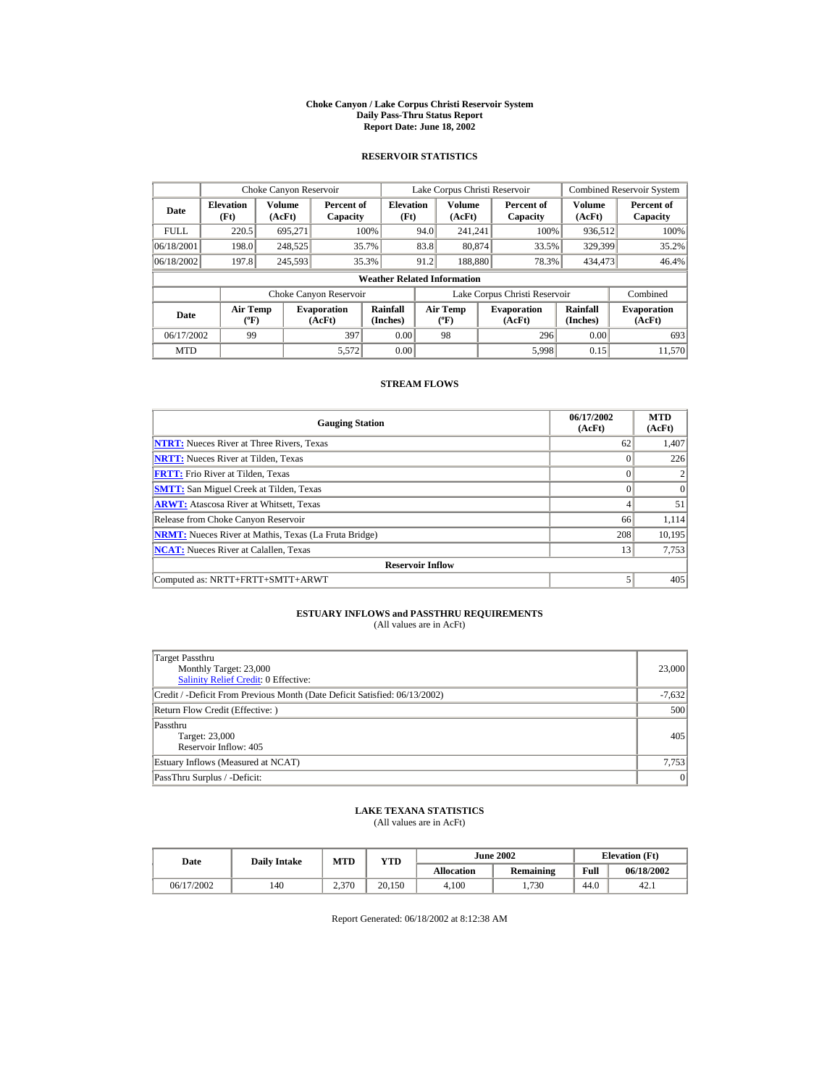#### **Choke Canyon / Lake Corpus Christi Reservoir System Daily Pass-Thru Status Report Report Date: June 18, 2002**

### **RESERVOIR STATISTICS**

|                                                      | Choke Canyon Reservoir               |         |                              |                                    |      | Lake Corpus Christi Reservoir    |  |                               |                      | <b>Combined Reservoir System</b> |
|------------------------------------------------------|--------------------------------------|---------|------------------------------|------------------------------------|------|----------------------------------|--|-------------------------------|----------------------|----------------------------------|
| Volume<br><b>Elevation</b><br>Date<br>(Ft)<br>(AcFt) |                                      |         | Percent of<br>Capacity       | <b>Elevation</b><br>(Ft)           |      | <b>Volume</b><br>(AcFt)          |  | Percent of<br>Capacity        | Volume<br>(AcFt)     | Percent of<br>Capacity           |
| <b>FULL</b>                                          | 220.5                                | 695.271 |                              | 100%                               | 94.0 | 241.241                          |  | 100%                          | 936,512              | 100%                             |
| 06/18/2001                                           | 198.0                                | 248,525 |                              | 35.7%                              | 83.8 | 80,874                           |  | 33.5%                         | 329,399              | 35.2%                            |
| 06/18/2002                                           | 197.8                                | 245,593 |                              | 35.3%                              | 91.2 | 188,880                          |  | 78.3%                         | 434,473              | 46.4%                            |
|                                                      |                                      |         |                              | <b>Weather Related Information</b> |      |                                  |  |                               |                      |                                  |
|                                                      |                                      |         | Choke Canyon Reservoir       |                                    |      |                                  |  | Lake Corpus Christi Reservoir |                      | Combined                         |
| Date                                                 | Air Temp<br>$({}^{\circ}\mathrm{F})$ |         | <b>Evaporation</b><br>(AcFt) | Rainfall<br>(Inches)               |      | <b>Air Temp</b><br>$(^{\circ}F)$ |  | <b>Evaporation</b><br>(AcFt)  | Rainfall<br>(Inches) | <b>Evaporation</b><br>(AcFt)     |
| 06/17/2002                                           | 99                                   |         | 397                          | 0.00                               |      | 98                               |  | 296                           | 0.00                 | 693                              |
| <b>MTD</b>                                           |                                      |         | 5,572                        | 0.00                               |      |                                  |  | 5,998                         | 0.15                 | 11.570                           |

# **STREAM FLOWS**

| <b>Gauging Station</b>                                       | 06/17/2002<br>(AcFt) | <b>MTD</b><br>(AcFt) |
|--------------------------------------------------------------|----------------------|----------------------|
| <b>NTRT:</b> Nueces River at Three Rivers, Texas             | 62                   | 1,407                |
| <b>NRTT:</b> Nueces River at Tilden, Texas                   | $\Omega$             | 226                  |
| <b>FRTT:</b> Frio River at Tilden, Texas                     | 0                    |                      |
| <b>SMTT:</b> San Miguel Creek at Tilden, Texas               | $\Omega$             | $\Omega$             |
| <b>ARWT:</b> Atascosa River at Whitsett, Texas               | 4                    | 51                   |
| Release from Choke Canyon Reservoir                          | 66                   | 1,114                |
| <b>NRMT:</b> Nueces River at Mathis, Texas (La Fruta Bridge) | 208                  | 10,195               |
| <b>NCAT:</b> Nueces River at Calallen, Texas                 | 13                   | 7,753                |
| <b>Reservoir Inflow</b>                                      |                      |                      |
| Computed as: NRTT+FRTT+SMTT+ARWT                             | 5                    | 405                  |

# **ESTUARY INFLOWS and PASSTHRU REQUIREMENTS**<br>(All values are in AcFt)

| Target Passthru<br>Monthly Target: 23,000<br>Salinity Relief Credit: 0 Effective: | 23,000   |  |  |  |
|-----------------------------------------------------------------------------------|----------|--|--|--|
| Credit / -Deficit From Previous Month (Date Deficit Satisfied: 06/13/2002)        | $-7,632$ |  |  |  |
| Return Flow Credit (Effective: )                                                  |          |  |  |  |
| Passthru<br>Target: 23,000<br>Reservoir Inflow: 405                               | 405      |  |  |  |
| Estuary Inflows (Measured at NCAT)                                                | 7,753    |  |  |  |
| PassThru Surplus / -Deficit:                                                      | 0        |  |  |  |

## **LAKE TEXANA STATISTICS**

(All values are in AcFt)

| Date       | <b>Daily Intake</b> | MTD   | $_{\rm VTD}$ |                   | <b>June 2002</b> |      | <b>Elevation</b> (Ft) |
|------------|---------------------|-------|--------------|-------------------|------------------|------|-----------------------|
|            |                     |       |              | <b>Allocation</b> | Remaining        | Full | 06/18/2002            |
| 06/17/2002 | 140                 | 2,370 | 20.150       | 4.100             | 730              | 44.0 | 42.1                  |

Report Generated: 06/18/2002 at 8:12:38 AM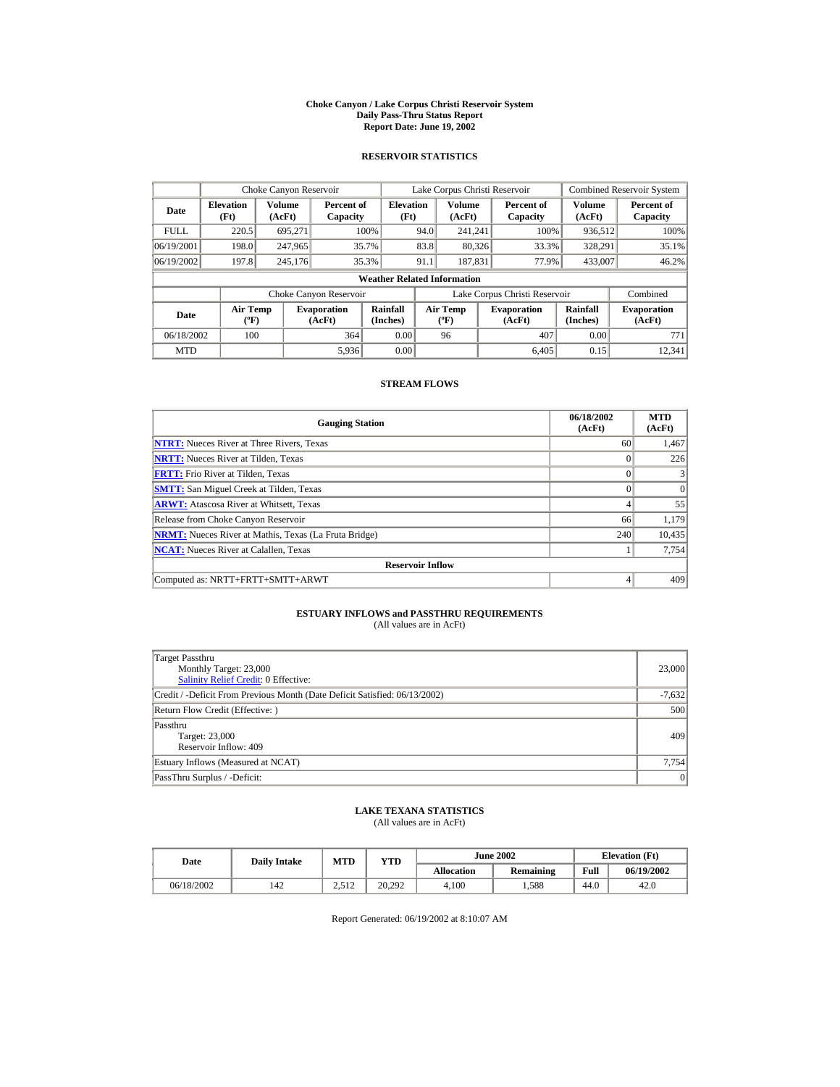#### **Choke Canyon / Lake Corpus Christi Reservoir System Daily Pass-Thru Status Report Report Date: June 19, 2002**

### **RESERVOIR STATISTICS**

|             | Choke Canyon Reservoir                      |                  |                              |                                    |      | Lake Corpus Christi Reservoir    |                               |                      | <b>Combined Reservoir System</b> |
|-------------|---------------------------------------------|------------------|------------------------------|------------------------------------|------|----------------------------------|-------------------------------|----------------------|----------------------------------|
| Date        | <b>Elevation</b><br>(Ft)                    | Volume<br>(AcFt) | Percent of<br>Capacity       | <b>Elevation</b><br>(Ft)           |      | <b>Volume</b><br>(AcFt)          | Percent of<br>Capacity        | Volume<br>(AcFt)     | Percent of<br>Capacity           |
| <b>FULL</b> | 220.5                                       | 695.271          |                              | 100%                               | 94.0 | 241.241                          | 100%                          | 936,512              | 100%                             |
| 06/19/2001  | 198.0                                       | 247,965          |                              | 35.7%                              | 83.8 | 80,326                           | 33.3%                         | 328,291              | 35.1%                            |
| 06/19/2002  | 197.8                                       | 245.176          |                              | 35.3%                              | 91.1 | 187.831                          | 77.9%                         | 433,007              | 46.2%                            |
|             |                                             |                  |                              | <b>Weather Related Information</b> |      |                                  |                               |                      |                                  |
|             |                                             |                  | Choke Canyon Reservoir       |                                    |      |                                  | Lake Corpus Christi Reservoir |                      | Combined                         |
| Date        | <b>Air Temp</b><br>$({}^{\circ}\mathrm{F})$ |                  | <b>Evaporation</b><br>(AcFt) | Rainfall<br>(Inches)               |      | <b>Air Temp</b><br>$(^{\circ}F)$ | <b>Evaporation</b><br>(AcFt)  | Rainfall<br>(Inches) | <b>Evaporation</b><br>(AcFt)     |
| 06/18/2002  | 100                                         |                  | 364                          | 0.00                               |      | 96                               | 407                           | 0.00                 | 771                              |
| <b>MTD</b>  |                                             |                  | 5,936                        | 0.00                               |      |                                  | 6.405                         | 0.15                 | 12,341                           |

# **STREAM FLOWS**

| <b>Gauging Station</b>                                       | 06/18/2002<br>(AcFt) | <b>MTD</b><br>(AcFt) |
|--------------------------------------------------------------|----------------------|----------------------|
| <b>NTRT:</b> Nueces River at Three Rivers, Texas             | 60                   | 1,467                |
| <b>NRTT:</b> Nueces River at Tilden, Texas                   | $\Omega$             | 226                  |
| <b>FRTT:</b> Frio River at Tilden, Texas                     | $\theta$             |                      |
| <b>SMTT:</b> San Miguel Creek at Tilden, Texas               |                      | $\Omega$             |
| <b>ARWT:</b> Atascosa River at Whitsett, Texas               | 4                    | 55                   |
| Release from Choke Canyon Reservoir                          | 66                   | 1,179                |
| <b>NRMT:</b> Nueces River at Mathis, Texas (La Fruta Bridge) | 240                  | 10,435               |
| <b>NCAT:</b> Nueces River at Calallen, Texas                 |                      | 7,754                |
| <b>Reservoir Inflow</b>                                      |                      |                      |
| Computed as: NRTT+FRTT+SMTT+ARWT                             | 4                    | 409                  |

# **ESTUARY INFLOWS and PASSTHRU REQUIREMENTS**<br>(All values are in AcFt)

| Target Passthru<br>Monthly Target: 23,000<br>Salinity Relief Credit: 0 Effective: | 23,000   |
|-----------------------------------------------------------------------------------|----------|
| Credit / -Deficit From Previous Month (Date Deficit Satisfied: 06/13/2002)        | $-7,632$ |
| Return Flow Credit (Effective: )                                                  | 500      |
| Passthru<br>Target: 23,000<br>Reservoir Inflow: 409                               | 409      |
| Estuary Inflows (Measured at NCAT)                                                | 7,754    |
| PassThru Surplus / -Deficit:                                                      | 0        |

## **LAKE TEXANA STATISTICS**

(All values are in AcFt)

| Date       | <b>Daily Intake</b> | MTD               | $_{\rm VTD}$ |            | <b>June 2002</b> |      | <b>Elevation</b> (Ft) |
|------------|---------------------|-------------------|--------------|------------|------------------|------|-----------------------|
|            |                     |                   |              | Allocation | Remaining        | Full | 06/19/2002            |
| 06/18/2002 | 142                 | າ ເາາ<br>$-0.011$ | 20.292       | 4.100      | .588             | 44.0 | 42.0                  |

Report Generated: 06/19/2002 at 8:10:07 AM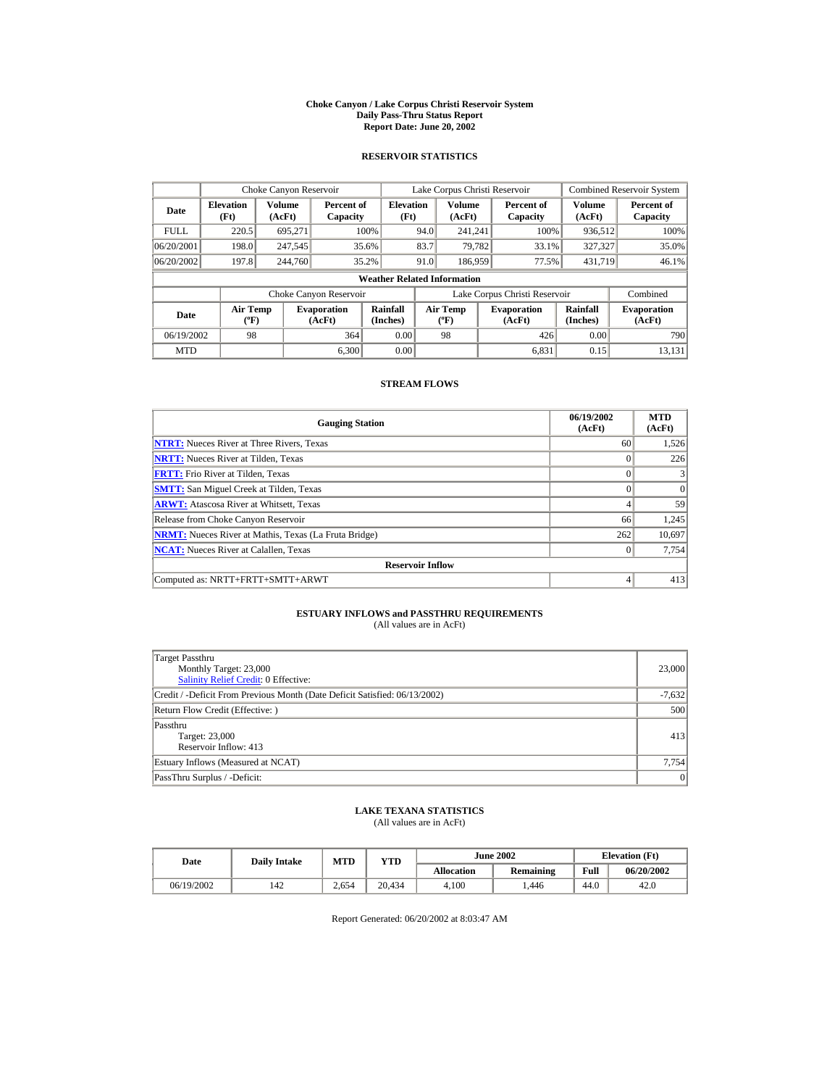#### **Choke Canyon / Lake Corpus Christi Reservoir System Daily Pass-Thru Status Report Report Date: June 20, 2002**

### **RESERVOIR STATISTICS**

|             | Choke Canyon Reservoir                      |                  |                              |                                    |      | Lake Corpus Christi Reservoir    |                               |                      | <b>Combined Reservoir System</b> |
|-------------|---------------------------------------------|------------------|------------------------------|------------------------------------|------|----------------------------------|-------------------------------|----------------------|----------------------------------|
| Date        | <b>Elevation</b><br>(Ft)                    | Volume<br>(AcFt) | Percent of<br>Capacity       | <b>Elevation</b><br>(Ft)           |      | Volume<br>(AcFt)                 | Percent of<br>Capacity        | Volume<br>(AcFt)     | Percent of<br>Capacity           |
| <b>FULL</b> | 220.5                                       | 695.271          |                              | 100%                               | 94.0 | 241.241                          | 100%                          | 936,512              | 100%                             |
| 06/20/2001  | 198.0                                       | 247,545          |                              | 35.6%                              | 83.7 | 79.782                           | 33.1%                         | 327,327              | 35.0%                            |
| 06/20/2002  | 197.8                                       | 244,760          |                              | 35.2%                              | 91.0 | 186,959                          | 77.5%                         | 431,719              | 46.1%                            |
|             |                                             |                  |                              | <b>Weather Related Information</b> |      |                                  |                               |                      |                                  |
|             |                                             |                  | Choke Canyon Reservoir       |                                    |      |                                  | Lake Corpus Christi Reservoir |                      | Combined                         |
| Date        | <b>Air Temp</b><br>$({}^{\circ}\mathrm{F})$ |                  | <b>Evaporation</b><br>(AcFt) | Rainfall<br>(Inches)               |      | <b>Air Temp</b><br>$(^{\circ}F)$ | <b>Evaporation</b><br>(AcFt)  | Rainfall<br>(Inches) | <b>Evaporation</b><br>(AcFt)     |
| 06/19/2002  | 98                                          |                  | 364                          | 0.00                               |      | 98                               | 426                           | 0.00                 | 790                              |
| <b>MTD</b>  |                                             |                  | 6.300                        | 0.00                               |      |                                  | 6.831                         | 0.15                 | 13.131                           |

# **STREAM FLOWS**

| <b>Gauging Station</b>                                       | 06/19/2002<br>(AcFt) | <b>MTD</b><br>(AcFt) |
|--------------------------------------------------------------|----------------------|----------------------|
| <b>NTRT:</b> Nueces River at Three Rivers, Texas             | 60                   | 1,526                |
| <b>NRTT:</b> Nueces River at Tilden, Texas                   |                      | 226                  |
| <b>FRTT:</b> Frio River at Tilden, Texas                     |                      |                      |
| <b>SMTT:</b> San Miguel Creek at Tilden, Texas               |                      | $\Omega$             |
| <b>ARWT:</b> Atascosa River at Whitsett, Texas               |                      | 59                   |
| Release from Choke Canyon Reservoir                          | 66                   | 1,245                |
| <b>NRMT:</b> Nueces River at Mathis, Texas (La Fruta Bridge) | 262                  | 10,697               |
| <b>NCAT:</b> Nueces River at Calallen, Texas                 | $\Omega$             | 7,754                |
| <b>Reservoir Inflow</b>                                      |                      |                      |
| Computed as: NRTT+FRTT+SMTT+ARWT                             | 4                    | 413                  |

# **ESTUARY INFLOWS and PASSTHRU REQUIREMENTS**<br>(All values are in AcFt)

| Target Passthru<br>Monthly Target: 23,000<br>Salinity Relief Credit: 0 Effective: | 23,000   |  |  |  |
|-----------------------------------------------------------------------------------|----------|--|--|--|
| Credit / -Deficit From Previous Month (Date Deficit Satisfied: 06/13/2002)        | $-7,632$ |  |  |  |
| Return Flow Credit (Effective: )                                                  |          |  |  |  |
| Passthru<br>Target: 23,000<br>Reservoir Inflow: 413                               | 413      |  |  |  |
| Estuary Inflows (Measured at NCAT)                                                | 7,754    |  |  |  |
| PassThru Surplus / -Deficit:                                                      | 0        |  |  |  |

## **LAKE TEXANA STATISTICS**

(All values are in AcFt)

| Date       | <b>Daily Intake</b> | MTD   | YTD    |                   | <b>June 2002</b> |      | <b>Elevation</b> (Ft) |
|------------|---------------------|-------|--------|-------------------|------------------|------|-----------------------|
|            |                     |       |        | <b>Allocation</b> | <b>Remaining</b> | Full | 06/20/2002            |
| 06/19/2002 | 142                 | 2,654 | 20.434 | 4.100             | .446             | 44.0 | 42.0                  |

Report Generated: 06/20/2002 at 8:03:47 AM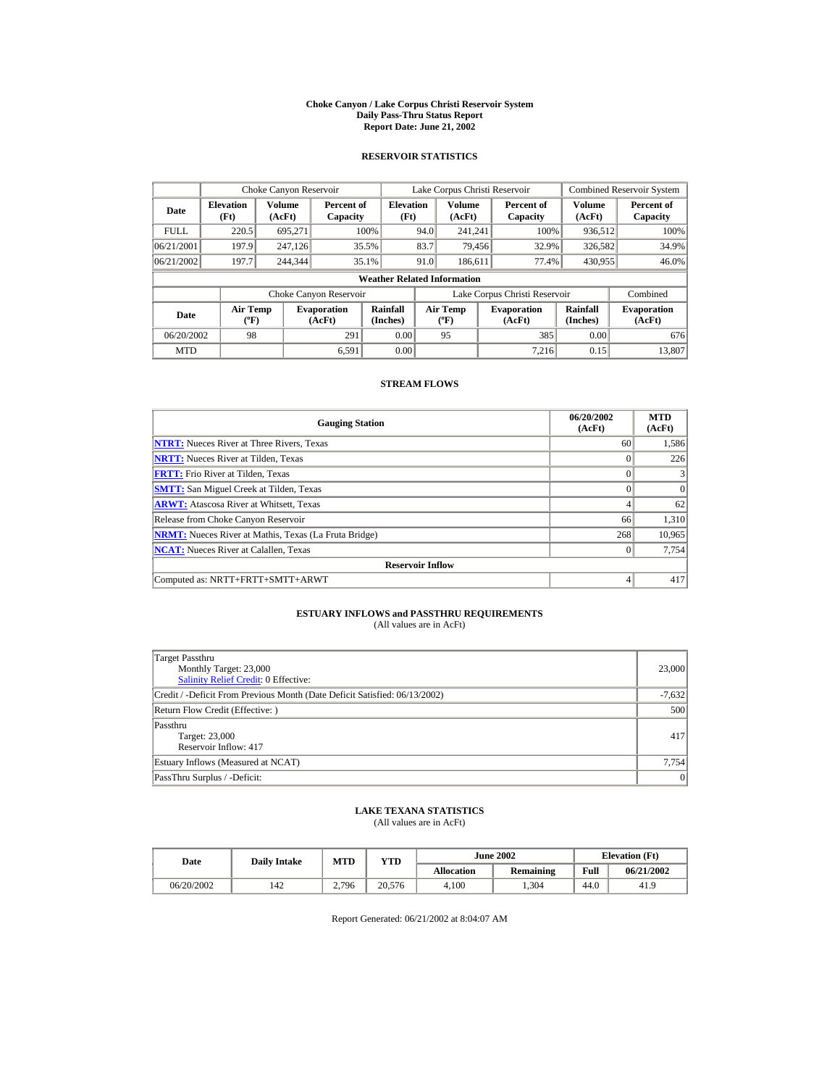#### **Choke Canyon / Lake Corpus Christi Reservoir System Daily Pass-Thru Status Report Report Date: June 21, 2002**

### **RESERVOIR STATISTICS**

|             | Choke Canyon Reservoir               |                  |                              |                                    |      | Lake Corpus Christi Reservoir    |                               |                      | <b>Combined Reservoir System</b> |
|-------------|--------------------------------------|------------------|------------------------------|------------------------------------|------|----------------------------------|-------------------------------|----------------------|----------------------------------|
| Date        | <b>Elevation</b><br>(Ft)             | Volume<br>(AcFt) | Percent of<br>Capacity       | <b>Elevation</b><br>(Ft)           |      | Volume<br>(AcFt)                 | Percent of<br>Capacity        | Volume<br>(AcFt)     | Percent of<br>Capacity           |
| <b>FULL</b> | 220.5                                | 695.271          |                              | 100%                               | 94.0 | 241.241                          | 100%                          | 936,512              | 100%                             |
| 06/21/2001  | 197.9                                | 247,126          |                              | 35.5%                              | 83.7 | 79.456                           | 32.9%                         | 326,582              | 34.9%                            |
| 06/21/2002  | 197.7                                | 244,344          |                              | 35.1%                              | 91.0 | 186.611                          | 77.4%                         | 430.955              | 46.0%                            |
|             |                                      |                  |                              | <b>Weather Related Information</b> |      |                                  |                               |                      |                                  |
|             |                                      |                  | Choke Canyon Reservoir       |                                    |      |                                  | Lake Corpus Christi Reservoir |                      | Combined                         |
| Date        | Air Temp<br>$({}^{\circ}\mathrm{F})$ |                  | <b>Evaporation</b><br>(AcFt) | Rainfall<br>(Inches)               |      | <b>Air Temp</b><br>$(^{\circ}F)$ | <b>Evaporation</b><br>(AcFt)  | Rainfall<br>(Inches) | <b>Evaporation</b><br>(AcFt)     |
| 06/20/2002  | 98                                   |                  | 291                          | 0.00                               |      | 95                               | 385                           | 0.00                 | 676                              |
| <b>MTD</b>  |                                      |                  | 6.591                        | 0.00                               |      |                                  | 7.216                         | 0.15                 | 13,807                           |

### **STREAM FLOWS**

| <b>Gauging Station</b>                                       | 06/20/2002<br>(AcFt) | <b>MTD</b><br>(AcFt) |
|--------------------------------------------------------------|----------------------|----------------------|
| <b>NTRT:</b> Nueces River at Three Rivers, Texas             | 60                   | 1,586                |
| <b>NRTT:</b> Nueces River at Tilden, Texas                   | $\Omega$             | 226                  |
| <b>FRTT:</b> Frio River at Tilden, Texas                     | $\theta$             |                      |
| <b>SMTT:</b> San Miguel Creek at Tilden, Texas               |                      | $\Omega$             |
| <b>ARWT:</b> Atascosa River at Whitsett, Texas               | 4                    | 62                   |
| Release from Choke Canyon Reservoir                          | 66                   | 1,310                |
| <b>NRMT:</b> Nueces River at Mathis, Texas (La Fruta Bridge) | 268                  | 10,965               |
| <b>NCAT:</b> Nueces River at Calallen, Texas                 | $\Omega$             | 7,754                |
| <b>Reservoir Inflow</b>                                      |                      |                      |
| Computed as: NRTT+FRTT+SMTT+ARWT                             | 4                    | 417                  |

# **ESTUARY INFLOWS and PASSTHRU REQUIREMENTS**<br>(All values are in AcFt)

| Target Passthru<br>Monthly Target: 23,000<br>Salinity Relief Credit: 0 Effective: | 23,000   |  |  |  |
|-----------------------------------------------------------------------------------|----------|--|--|--|
| Credit / -Deficit From Previous Month (Date Deficit Satisfied: 06/13/2002)        | $-7,632$ |  |  |  |
| Return Flow Credit (Effective: )                                                  |          |  |  |  |
| Passthru<br>Target: 23,000<br>Reservoir Inflow: 417                               | 417      |  |  |  |
| Estuary Inflows (Measured at NCAT)                                                | 7,754    |  |  |  |
| PassThru Surplus / -Deficit:                                                      | 0        |  |  |  |

## **LAKE TEXANA STATISTICS**

(All values are in AcFt)

| Date       | <b>Daily Intake</b> | MTD   | YTD    | <b>June 2002</b>  |                  |      | <b>Elevation</b> (Ft) |  |
|------------|---------------------|-------|--------|-------------------|------------------|------|-----------------------|--|
|            |                     |       |        | <b>Allocation</b> | <b>Remaining</b> | Full | 06/21/2002            |  |
| 06/20/2002 | 142                 | 2.796 | 20.576 | 4.100             | .304             | 44.0 | 41.9                  |  |

Report Generated: 06/21/2002 at 8:04:07 AM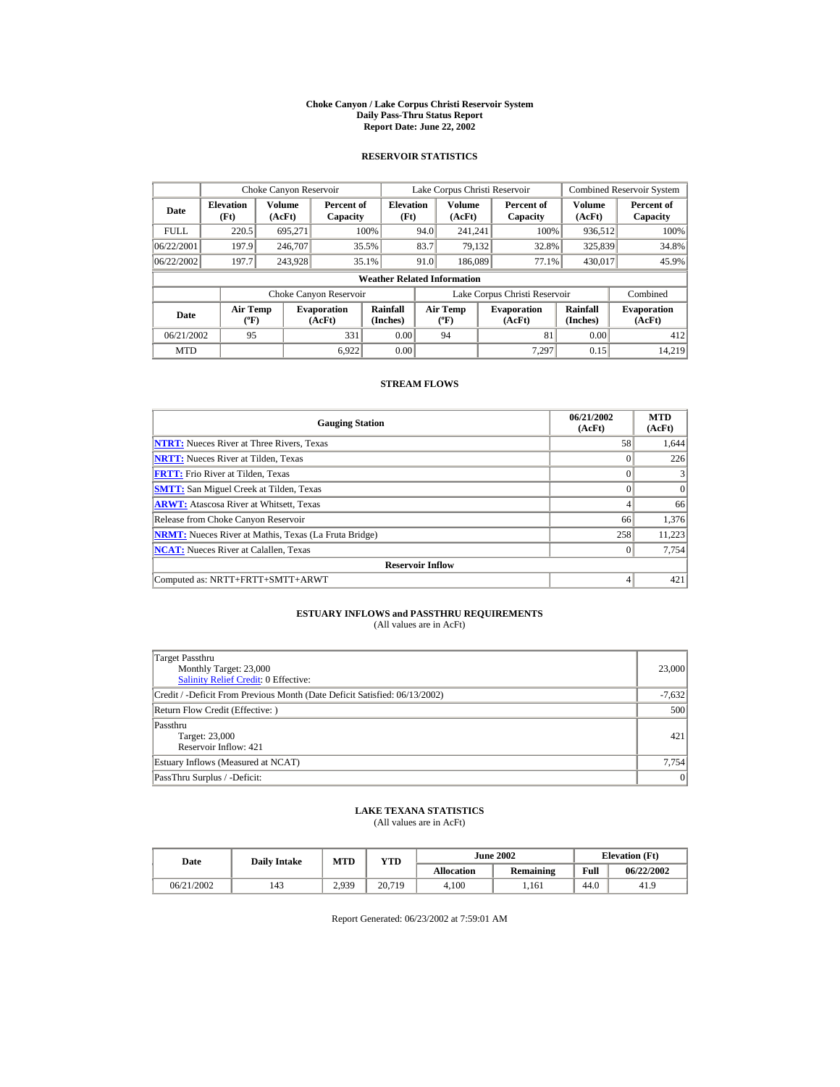#### **Choke Canyon / Lake Corpus Christi Reservoir System Daily Pass-Thru Status Report Report Date: June 22, 2002**

### **RESERVOIR STATISTICS**

|             | Choke Canyon Reservoir                      |                  |                              |                                    |      | Lake Corpus Christi Reservoir    |                               |                      | Combined Reservoir System    |
|-------------|---------------------------------------------|------------------|------------------------------|------------------------------------|------|----------------------------------|-------------------------------|----------------------|------------------------------|
| Date        | <b>Elevation</b><br>(Ft)                    | Volume<br>(AcFt) | Percent of<br>Capacity       | <b>Elevation</b><br>(Ft)           |      | Volume<br>(AcFt)                 | Percent of<br>Capacity        | Volume<br>(AcFt)     | Percent of<br>Capacity       |
| <b>FULL</b> | 220.5                                       | 695.271          |                              | 100%                               | 94.0 | 241.241                          | 100%                          | 936,512              | 100%                         |
| 06/22/2001  | 197.9                                       | 246,707          |                              | 35.5%                              | 83.7 | 79.132                           | 32.8%                         | 325,839              | 34.8%                        |
| 06/22/2002  | 197.7                                       | 243.928          |                              | 35.1%                              | 91.0 | 186,089                          | 77.1%                         | 430,017              | 45.9%                        |
|             |                                             |                  |                              | <b>Weather Related Information</b> |      |                                  |                               |                      |                              |
|             |                                             |                  | Choke Canyon Reservoir       |                                    |      |                                  | Lake Corpus Christi Reservoir |                      | Combined                     |
| Date        | <b>Air Temp</b><br>$({}^{\circ}\mathrm{F})$ |                  | <b>Evaporation</b><br>(AcFt) | Rainfall<br>(Inches)               |      | <b>Air Temp</b><br>$(^{\circ}F)$ | <b>Evaporation</b><br>(AcFt)  | Rainfall<br>(Inches) | <b>Evaporation</b><br>(AcFt) |
| 06/21/2002  | 95                                          |                  | 331                          | 0.00                               |      | 94                               | 81                            | 0.00                 | 412                          |
| <b>MTD</b>  |                                             |                  | 6.922                        | 0.00                               |      |                                  | 7.297                         | 0.15                 | 14.219                       |

# **STREAM FLOWS**

| <b>Gauging Station</b>                                       | 06/21/2002<br>(AcFt) | <b>MTD</b><br>(AcFt) |
|--------------------------------------------------------------|----------------------|----------------------|
| <b>NTRT:</b> Nueces River at Three Rivers, Texas             | 58                   | 1,644                |
| <b>NRTT:</b> Nueces River at Tilden, Texas                   |                      | 226                  |
| <b>FRTT:</b> Frio River at Tilden, Texas                     |                      |                      |
| <b>SMTT:</b> San Miguel Creek at Tilden, Texas               |                      | $\Omega$             |
| <b>ARWT:</b> Atascosa River at Whitsett, Texas               |                      | 66                   |
| Release from Choke Canyon Reservoir                          | 66                   | 1,376                |
| <b>NRMT:</b> Nueces River at Mathis, Texas (La Fruta Bridge) | 258                  | 11,223               |
| <b>NCAT:</b> Nueces River at Calallen, Texas                 | $\Omega$             | 7,754                |
| <b>Reservoir Inflow</b>                                      |                      |                      |
| Computed as: NRTT+FRTT+SMTT+ARWT                             | 4                    | 421                  |

# **ESTUARY INFLOWS and PASSTHRU REQUIREMENTS**<br>(All values are in AcFt)

| Target Passthru<br>Monthly Target: 23,000<br>Salinity Relief Credit: 0 Effective: | 23,000   |
|-----------------------------------------------------------------------------------|----------|
| Credit / -Deficit From Previous Month (Date Deficit Satisfied: 06/13/2002)        | $-7,632$ |
| Return Flow Credit (Effective: )                                                  | 500      |
| Passthru<br>Target: 23,000<br>Reservoir Inflow: 421                               | 421      |
| Estuary Inflows (Measured at NCAT)                                                | 7,754    |
| PassThru Surplus / -Deficit:                                                      | 0        |

## **LAKE TEXANA STATISTICS**

(All values are in AcFt)

| Date       | <b>Daily Intake</b> | MTD<br>YTD |        |                   | <b>June 2002</b> |      | <b>Elevation</b> (Ft) |
|------------|---------------------|------------|--------|-------------------|------------------|------|-----------------------|
|            |                     |            |        | <b>Allocation</b> | <b>Remaining</b> | Full | 06/22/2002            |
| 06/21/2002 | 143                 | 2.939      | 20,719 | 4.100             | 1.161            | 44.0 | 41.9                  |

Report Generated: 06/23/2002 at 7:59:01 AM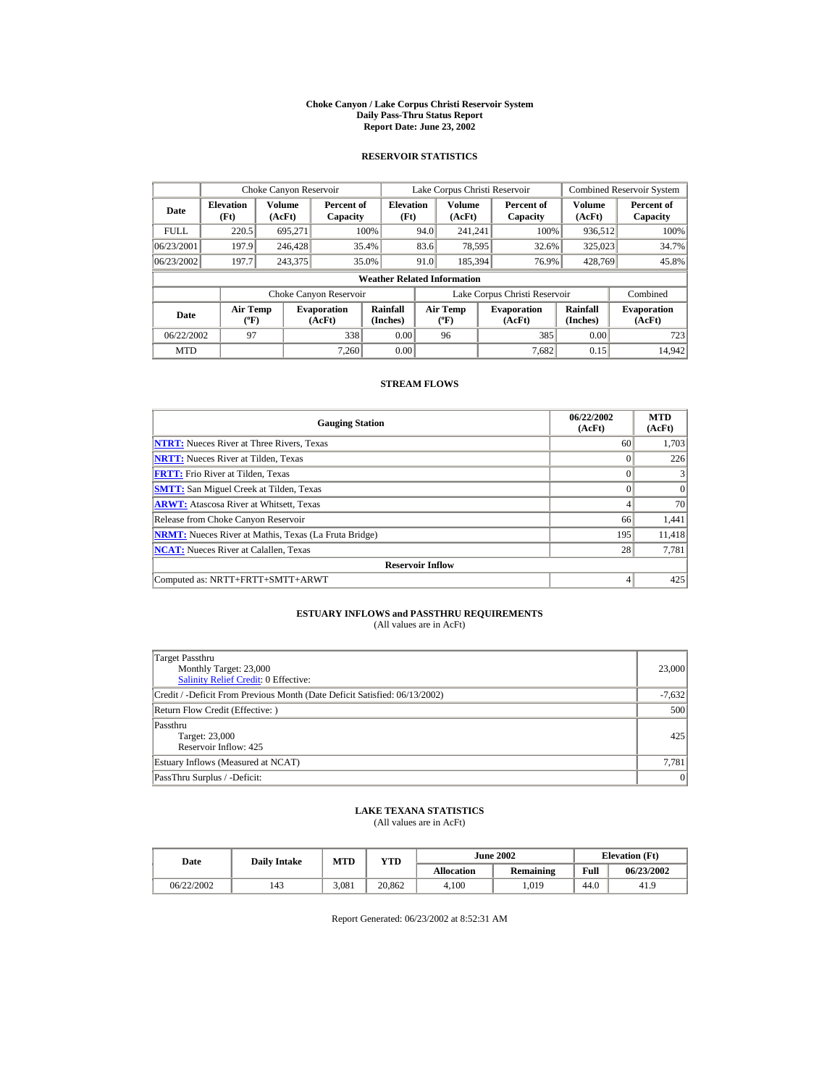#### **Choke Canyon / Lake Corpus Christi Reservoir System Daily Pass-Thru Status Report Report Date: June 23, 2002**

### **RESERVOIR STATISTICS**

|             | Choke Canyon Reservoir               |                  |                              |                                    |      | Lake Corpus Christi Reservoir    |                               |                      | Combined Reservoir System    |
|-------------|--------------------------------------|------------------|------------------------------|------------------------------------|------|----------------------------------|-------------------------------|----------------------|------------------------------|
| Date        | <b>Elevation</b><br>(Ft)             | Volume<br>(AcFt) | Percent of<br>Capacity       | <b>Elevation</b><br>(Ft)           |      | Volume<br>(AcFt)                 | Percent of<br>Capacity        | Volume<br>(AcFt)     | Percent of<br>Capacity       |
| <b>FULL</b> | 220.5                                | 695.271          |                              | 100%                               | 94.0 | 241.241                          | 100%                          | 936,512              | 100%                         |
| 06/23/2001  | 197.9                                | 246,428          |                              | 35.4%                              | 83.6 | 78,595                           | 32.6%                         | 325,023              | 34.7%                        |
| 06/23/2002  | 197.7                                | 243,375          |                              | 35.0%                              | 91.0 | 185,394                          | 76.9%                         | 428,769              | 45.8%                        |
|             |                                      |                  |                              | <b>Weather Related Information</b> |      |                                  |                               |                      |                              |
|             |                                      |                  | Choke Canyon Reservoir       |                                    |      |                                  | Lake Corpus Christi Reservoir |                      | Combined                     |
| Date        | Air Temp<br>$({}^{\circ}\mathrm{F})$ |                  | <b>Evaporation</b><br>(AcFt) | Rainfall<br>(Inches)               |      | <b>Air Temp</b><br>$(^{\circ}F)$ | <b>Evaporation</b><br>(AcFt)  | Rainfall<br>(Inches) | <b>Evaporation</b><br>(AcFt) |
| 06/22/2002  | 97                                   |                  | 338                          | 0.00                               |      | 96                               | 385                           | 0.00                 | 723                          |
| <b>MTD</b>  |                                      |                  | 7.260                        | 0.00                               |      |                                  | 7.682                         | 0.15                 | 14,942                       |

# **STREAM FLOWS**

| <b>Gauging Station</b>                                       | 06/22/2002<br>(AcFt) | <b>MTD</b><br>(AcFt) |
|--------------------------------------------------------------|----------------------|----------------------|
| <b>NTRT:</b> Nueces River at Three Rivers, Texas             | 60                   | 1,703                |
| <b>NRTT:</b> Nueces River at Tilden, Texas                   | $\Omega$             | 226                  |
| <b>FRTT:</b> Frio River at Tilden, Texas                     | $\theta$             |                      |
| <b>SMTT:</b> San Miguel Creek at Tilden, Texas               | $\Omega$             | $\Omega$             |
| <b>ARWT:</b> Atascosa River at Whitsett, Texas               | 4                    | 70                   |
| Release from Choke Canyon Reservoir                          | 66                   | 1,441                |
| <b>NRMT:</b> Nueces River at Mathis, Texas (La Fruta Bridge) | 195                  | 11,418               |
| <b>NCAT:</b> Nueces River at Calallen, Texas                 | 28                   | 7,781                |
| <b>Reservoir Inflow</b>                                      |                      |                      |
| Computed as: NRTT+FRTT+SMTT+ARWT                             | 4                    | 425                  |

# **ESTUARY INFLOWS and PASSTHRU REQUIREMENTS**<br>(All values are in AcFt)

| Target Passthru<br>Monthly Target: 23,000<br>Salinity Relief Credit: 0 Effective: | 23,000   |
|-----------------------------------------------------------------------------------|----------|
| Credit / -Deficit From Previous Month (Date Deficit Satisfied: 06/13/2002)        | $-7,632$ |
| Return Flow Credit (Effective: )                                                  | 500      |
| Passthru<br>Target: 23,000<br>Reservoir Inflow: 425                               | 425      |
| Estuary Inflows (Measured at NCAT)                                                | 7,781    |
| PassThru Surplus / -Deficit:                                                      | 0        |

## **LAKE TEXANA STATISTICS**

(All values are in AcFt)

| Date       | <b>Daily Intake</b> | MTD   | YTD    |                   | <b>June 2002</b> | <b>Elevation</b> (Ft) |            |
|------------|---------------------|-------|--------|-------------------|------------------|-----------------------|------------|
|            |                     |       |        | <b>Allocation</b> | <b>Remaining</b> | Full                  | 06/23/2002 |
| 06/22/2002 | 143                 | 3.081 | 20.862 | 4.100             | .019             | 44.0                  | 41.9       |

Report Generated: 06/23/2002 at 8:52:31 AM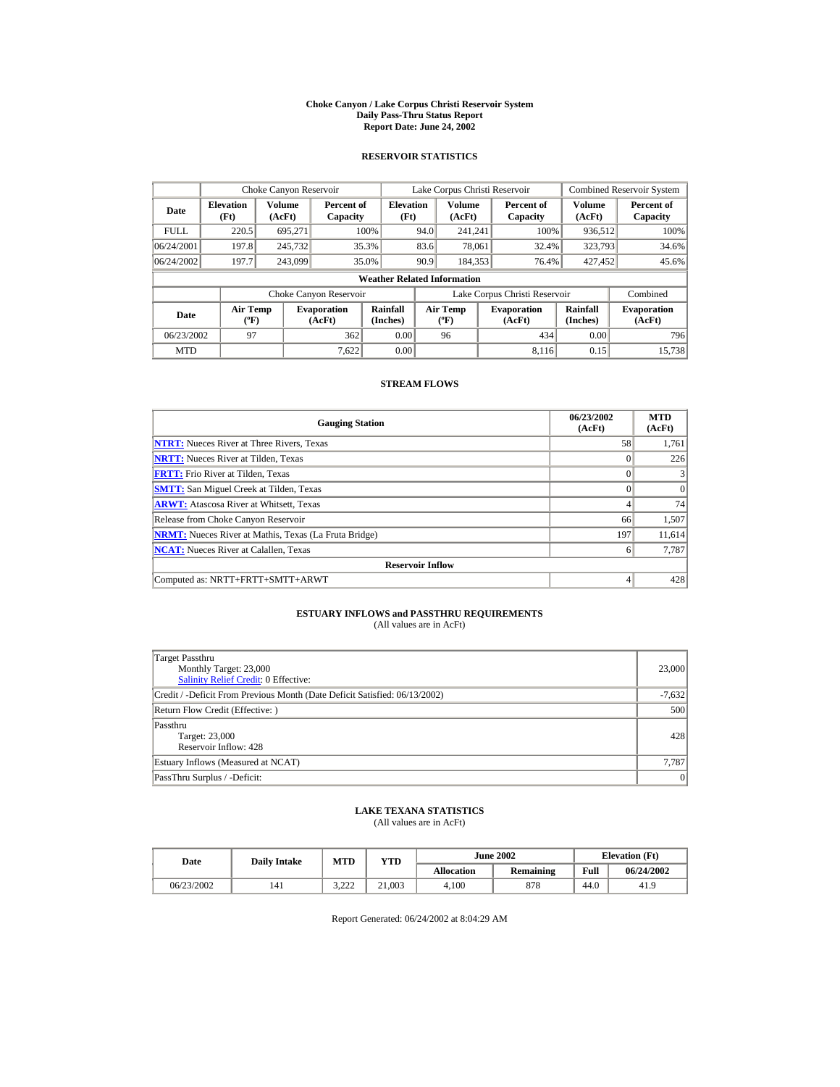#### **Choke Canyon / Lake Corpus Christi Reservoir System Daily Pass-Thru Status Report Report Date: June 24, 2002**

### **RESERVOIR STATISTICS**

|             | Choke Canyon Reservoir               |                  |                              |                                    |      | Lake Corpus Christi Reservoir    |                               |                      | <b>Combined Reservoir System</b> |
|-------------|--------------------------------------|------------------|------------------------------|------------------------------------|------|----------------------------------|-------------------------------|----------------------|----------------------------------|
| Date        | <b>Elevation</b><br>(Ft)             | Volume<br>(AcFt) | Percent of<br>Capacity       | <b>Elevation</b><br>(Ft)           |      | Volume<br>(AcFt)                 | Percent of<br>Capacity        | Volume<br>(AcFt)     | Percent of<br>Capacity           |
| <b>FULL</b> | 220.5                                | 695.271          |                              | 100%                               | 94.0 | 241.241                          | 100%                          | 936,512              | 100%                             |
| 06/24/2001  | 197.8                                | 245,732          |                              | 35.3%                              | 83.6 | 78.061                           | 32.4%                         | 323,793              | 34.6%                            |
| 06/24/2002  | 197.7                                | 243,099          |                              | 35.0%                              | 90.9 | 184,353                          | 76.4%                         | 427.452              | 45.6%                            |
|             |                                      |                  |                              | <b>Weather Related Information</b> |      |                                  |                               |                      |                                  |
|             |                                      |                  | Choke Canyon Reservoir       |                                    |      |                                  | Lake Corpus Christi Reservoir |                      | Combined                         |
| Date        | Air Temp<br>$({}^{\circ}\mathrm{F})$ |                  | <b>Evaporation</b><br>(AcFt) | Rainfall<br>(Inches)               |      | <b>Air Temp</b><br>$(^{\circ}F)$ | <b>Evaporation</b><br>(AcFt)  | Rainfall<br>(Inches) | <b>Evaporation</b><br>(AcFt)     |
| 06/23/2002  | 97                                   |                  | 362                          | 0.00                               |      | 96                               | 434                           | 0.00                 | 796                              |
| <b>MTD</b>  |                                      |                  | 7.622                        | 0.00                               |      |                                  | 8.116                         | 0.15                 | 15.738                           |

# **STREAM FLOWS**

| <b>Gauging Station</b>                                       | 06/23/2002<br>(AcFt) | <b>MTD</b><br>(AcFt) |
|--------------------------------------------------------------|----------------------|----------------------|
| <b>NTRT:</b> Nueces River at Three Rivers, Texas             | 58                   | 1,761                |
| <b>NRTT:</b> Nueces River at Tilden, Texas                   | $\Omega$             | 226                  |
| <b>FRTT:</b> Frio River at Tilden, Texas                     | $\theta$             |                      |
| <b>SMTT:</b> San Miguel Creek at Tilden, Texas               | $\Omega$             | $\Omega$             |
| <b>ARWT:</b> Atascosa River at Whitsett, Texas               | 4                    | 74                   |
| Release from Choke Canyon Reservoir                          | 66                   | 1,507                |
| <b>NRMT:</b> Nueces River at Mathis, Texas (La Fruta Bridge) | 197                  | 11,614               |
| <b>NCAT:</b> Nueces River at Calallen, Texas                 | 6                    | 7,787                |
| <b>Reservoir Inflow</b>                                      |                      |                      |
| Computed as: NRTT+FRTT+SMTT+ARWT                             | 4                    | 428                  |

# **ESTUARY INFLOWS and PASSTHRU REQUIREMENTS**<br>(All values are in AcFt)

| Target Passthru<br>Monthly Target: 23,000<br>Salinity Relief Credit: 0 Effective: | 23,000   |
|-----------------------------------------------------------------------------------|----------|
| Credit / -Deficit From Previous Month (Date Deficit Satisfied: 06/13/2002)        | $-7,632$ |
| Return Flow Credit (Effective: )                                                  | 500      |
| Passthru<br>Target: 23,000<br>Reservoir Inflow: 428                               | 428      |
| Estuary Inflows (Measured at NCAT)                                                | 7,787    |
| PassThru Surplus / -Deficit:                                                      | 0        |

## **LAKE TEXANA STATISTICS**

(All values are in AcFt)

| Date       | <b>Daily Intake</b> | <b>MTD</b>      | YTD    |                   | <b>June 2002</b> | <b>Elevation</b> (Ft) |            |
|------------|---------------------|-----------------|--------|-------------------|------------------|-----------------------|------------|
|            |                     |                 |        | <b>Allocation</b> | Remaining        | Full                  | 06/24/2002 |
| 06/23/2002 | 141                 | າ າາາ<br>ے کے د | 21,003 | 4.100             | 878              | 44.0                  | 41.9       |

Report Generated: 06/24/2002 at 8:04:29 AM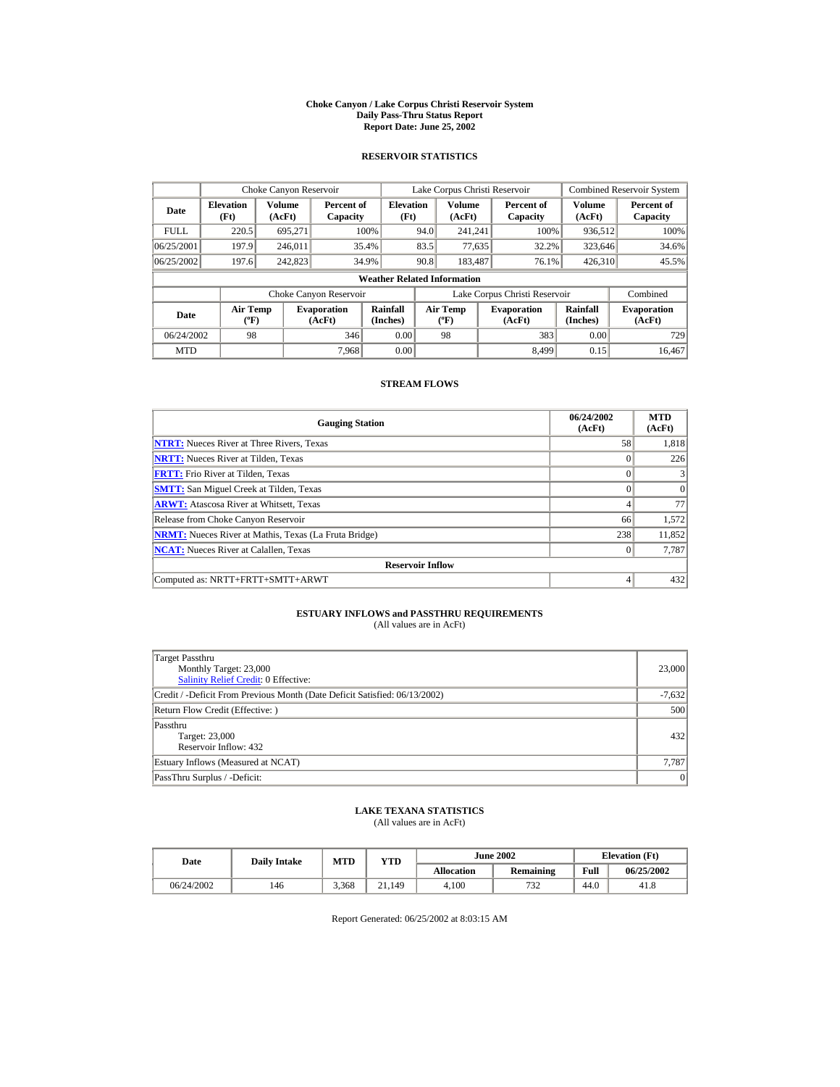#### **Choke Canyon / Lake Corpus Christi Reservoir System Daily Pass-Thru Status Report Report Date: June 25, 2002**

### **RESERVOIR STATISTICS**

|             | Choke Canyon Reservoir               |                  |                              |                                    | Lake Corpus Christi Reservoir |                                           |  |                               |                      | Combined Reservoir System    |
|-------------|--------------------------------------|------------------|------------------------------|------------------------------------|-------------------------------|-------------------------------------------|--|-------------------------------|----------------------|------------------------------|
| Date        | <b>Elevation</b><br>(Ft)             | Volume<br>(AcFt) | Percent of<br>Capacity       | <b>Elevation</b><br>(Ft)           |                               | Volume<br>(AcFt)                          |  | Percent of<br>Capacity        | Volume<br>(AcFt)     | Percent of<br>Capacity       |
| <b>FULL</b> | 220.5                                | 695.271          |                              | 100%                               | 94.0                          | 241.241                                   |  | 100%                          | 936,512              | 100%                         |
| 06/25/2001  | 197.9                                | 246.011          |                              | 35.4%                              | 83.5                          | 77,635                                    |  | 32.2%                         | 323,646              | 34.6%                        |
| 06/25/2002  | 197.6                                | 242,823          |                              | 34.9%                              | 90.8                          | 183.487                                   |  | 76.1%                         | 426.310              | 45.5%                        |
|             |                                      |                  |                              | <b>Weather Related Information</b> |                               |                                           |  |                               |                      |                              |
|             |                                      |                  | Choke Canyon Reservoir       |                                    |                               |                                           |  | Lake Corpus Christi Reservoir |                      | Combined                     |
| Date        | Air Temp<br>$({}^{\circ}\mathrm{F})$ |                  | <b>Evaporation</b><br>(AcFt) | Rainfall<br>(Inches)               |                               | <b>Air Temp</b><br>$({}^{\circ}\text{F})$ |  | <b>Evaporation</b><br>(AcFt)  | Rainfall<br>(Inches) | <b>Evaporation</b><br>(AcFt) |
| 06/24/2002  | 98                                   |                  | 346                          | 0.00                               |                               | 98                                        |  | 383                           | 0.00                 | 729                          |
| <b>MTD</b>  |                                      |                  | 7.968                        | 0.00                               |                               |                                           |  | 8.499                         | 0.15                 | 16.467                       |

# **STREAM FLOWS**

| <b>Gauging Station</b>                                       | 06/24/2002<br>(AcFt) | <b>MTD</b><br>(AcFt) |
|--------------------------------------------------------------|----------------------|----------------------|
| <b>NTRT:</b> Nueces River at Three Rivers, Texas             | 58                   | 1,818                |
| <b>NRTT:</b> Nueces River at Tilden, Texas                   | $\Omega$             | 226                  |
| <b>FRTT:</b> Frio River at Tilden, Texas                     | $\theta$             |                      |
| <b>SMTT:</b> San Miguel Creek at Tilden, Texas               |                      | $\Omega$             |
| <b>ARWT:</b> Atascosa River at Whitsett, Texas               |                      | 77                   |
| Release from Choke Canyon Reservoir                          | 66                   | 1,572                |
| <b>NRMT:</b> Nueces River at Mathis, Texas (La Fruta Bridge) | 238                  | 11,852               |
| <b>NCAT:</b> Nueces River at Calallen, Texas                 | $\Omega$             | 7,787                |
| <b>Reservoir Inflow</b>                                      |                      |                      |
| Computed as: NRTT+FRTT+SMTT+ARWT                             | 4                    | 432                  |

# **ESTUARY INFLOWS and PASSTHRU REQUIREMENTS**<br>(All values are in AcFt)

| Target Passthru<br>Monthly Target: 23,000<br>Salinity Relief Credit: 0 Effective: | 23,000   |
|-----------------------------------------------------------------------------------|----------|
| Credit / -Deficit From Previous Month (Date Deficit Satisfied: 06/13/2002)        | $-7,632$ |
| Return Flow Credit (Effective: )                                                  | 500      |
| Passthru<br>Target: 23,000<br>Reservoir Inflow: 432                               | 432      |
| Estuary Inflows (Measured at NCAT)                                                | 7,787    |
| PassThru Surplus / -Deficit:                                                      | 0        |

## **LAKE TEXANA STATISTICS**

(All values are in AcFt)

| Date       | <b>Daily Intake</b> | MTD   | $_{\rm VTD}$ |                   | <b>June 2002</b> | <b>Elevation</b> (Ft) |            |
|------------|---------------------|-------|--------------|-------------------|------------------|-----------------------|------------|
|            |                     |       |              | <b>Allocation</b> | <b>Remaining</b> | Full                  | 06/25/2002 |
| 06/24/2002 | 146                 | 3.368 | 21,149       | 4.100             | 732              | 44.0                  | 41.8       |

Report Generated: 06/25/2002 at 8:03:15 AM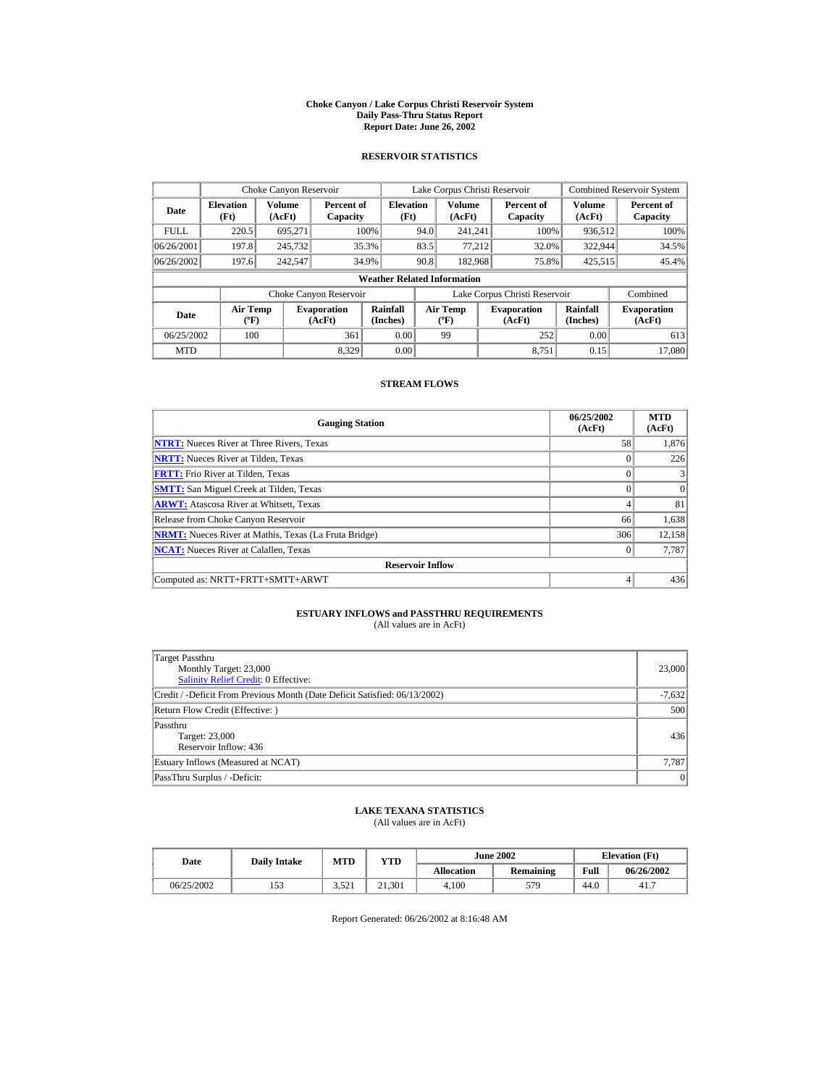#### **Choke Canyon / Lake Corpus Christi Reservoir System Daily Pass-Thru Status Report Report Date: June 26, 2002**

### **RESERVOIR STATISTICS**

|             | Choke Canyon Reservoir                      |                  |                              |                                    | Lake Corpus Christi Reservoir |                                  |  |                               |                      | Combined Reservoir System    |
|-------------|---------------------------------------------|------------------|------------------------------|------------------------------------|-------------------------------|----------------------------------|--|-------------------------------|----------------------|------------------------------|
| Date        | <b>Elevation</b><br>(Ft)                    | Volume<br>(AcFt) | Percent of<br>Capacity       | <b>Elevation</b><br>(Ft)           |                               | Volume<br>(AcFt)                 |  | Percent of<br>Capacity        | Volume<br>(AcFt)     | Percent of<br>Capacity       |
| <b>FULL</b> | 220.5                                       | 695.271          |                              | 100%                               | 94.0                          | 241.241                          |  | 100%                          | 936,512              | 100%                         |
| 06/26/2001  | 197.8                                       | 245,732          |                              | 35.3%                              | 83.5                          | 77.212                           |  | 32.0%                         | 322,944              | 34.5%                        |
| 06/26/2002  | 197.6                                       | 242,547          |                              | 34.9%                              | 90.8                          | 182,968                          |  | 75.8%                         | 425,515              | 45.4%                        |
|             |                                             |                  |                              | <b>Weather Related Information</b> |                               |                                  |  |                               |                      |                              |
|             |                                             |                  | Choke Canyon Reservoir       |                                    |                               |                                  |  | Lake Corpus Christi Reservoir |                      | Combined                     |
| Date        | <b>Air Temp</b><br>$({}^{\circ}\mathrm{F})$ |                  | <b>Evaporation</b><br>(AcFt) | Rainfall<br>(Inches)               |                               | <b>Air Temp</b><br>$(^{\circ}F)$ |  | <b>Evaporation</b><br>(AcFt)  | Rainfall<br>(Inches) | <b>Evaporation</b><br>(AcFt) |
| 06/25/2002  | 100                                         |                  | 361                          | 0.00                               |                               | 99                               |  | 252                           | 0.00                 | 613                          |
| <b>MTD</b>  |                                             |                  | 8.329                        | 0.00                               |                               |                                  |  | 8.751                         | 0.15                 | 17,080                       |

### **STREAM FLOWS**

| <b>Gauging Station</b>                                       | 06/25/2002<br>(AcFt) | <b>MTD</b><br>(AcFt) |
|--------------------------------------------------------------|----------------------|----------------------|
| <b>NTRT:</b> Nueces River at Three Rivers, Texas             | 58                   | 1,876                |
| <b>NRTT:</b> Nueces River at Tilden, Texas                   | $\Omega$             | 226                  |
| <b>FRTT:</b> Frio River at Tilden, Texas                     | $\theta$             |                      |
| <b>SMTT:</b> San Miguel Creek at Tilden, Texas               | $\Omega$             | $\Omega$             |
| <b>ARWT:</b> Atascosa River at Whitsett, Texas               |                      | 81                   |
| Release from Choke Canyon Reservoir                          | 66                   | 1,638                |
| <b>NRMT:</b> Nueces River at Mathis, Texas (La Fruta Bridge) | 306                  | 12,158               |
| <b>NCAT:</b> Nueces River at Calallen, Texas                 | $\Omega$             | 7,787                |
| <b>Reservoir Inflow</b>                                      |                      |                      |
| Computed as: NRTT+FRTT+SMTT+ARWT                             | 4                    | 436                  |

# **ESTUARY INFLOWS and PASSTHRU REQUIREMENTS**<br>(All values are in AcFt)

| Target Passthru<br>Monthly Target: 23,000<br>Salinity Relief Credit: 0 Effective: | 23,000   |  |  |  |
|-----------------------------------------------------------------------------------|----------|--|--|--|
| Credit / -Deficit From Previous Month (Date Deficit Satisfied: 06/13/2002)        | $-7,632$ |  |  |  |
| Return Flow Credit (Effective: )                                                  |          |  |  |  |
| Passthru<br>Target: 23,000<br>Reservoir Inflow: 436                               | 436      |  |  |  |
| Estuary Inflows (Measured at NCAT)                                                | 7,787    |  |  |  |
| PassThru Surplus / -Deficit:                                                      | 0        |  |  |  |

## **LAKE TEXANA STATISTICS**

(All values are in AcFt)

| Date       | <b>Daily Intake</b> | MTD   | $_{\rm VTD}$ |            | <b>June 2002</b> |      | <b>Elevation</b> (Ft) |
|------------|---------------------|-------|--------------|------------|------------------|------|-----------------------|
|            |                     |       |              | Allocation | Remaining        | Full | 06/26/2002            |
| 06/25/2002 |                     | 3.521 | 21.301       | 4.100      | 579              | 44.0 | 41.7                  |

Report Generated: 06/26/2002 at 8:16:48 AM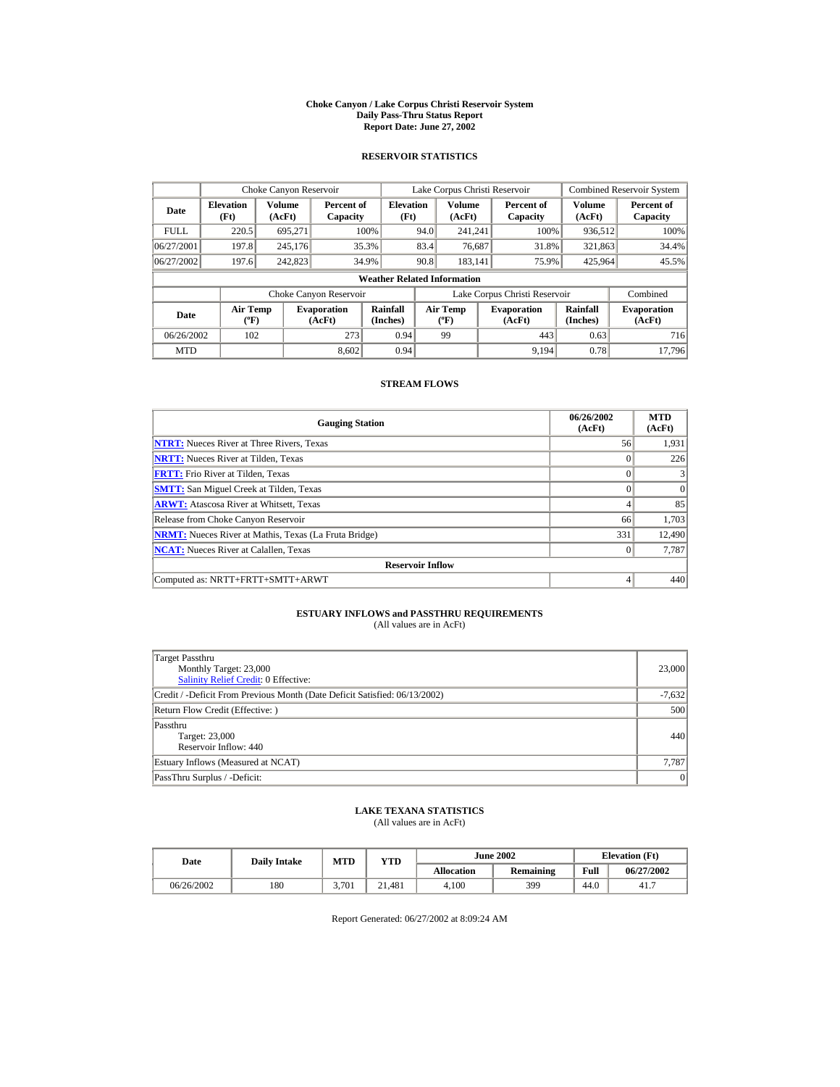#### **Choke Canyon / Lake Corpus Christi Reservoir System Daily Pass-Thru Status Report Report Date: June 27, 2002**

### **RESERVOIR STATISTICS**

|             | Choke Canyon Reservoir                      |                  |                              |                                    | Lake Corpus Christi Reservoir |                                  |  |                               |                      | Combined Reservoir System    |
|-------------|---------------------------------------------|------------------|------------------------------|------------------------------------|-------------------------------|----------------------------------|--|-------------------------------|----------------------|------------------------------|
| Date        | <b>Elevation</b><br>(Ft)                    | Volume<br>(AcFt) | Percent of<br>Capacity       | <b>Elevation</b><br>(Ft)           |                               | Volume<br>(AcFt)                 |  | Percent of<br>Capacity        | Volume<br>(AcFt)     | Percent of<br>Capacity       |
| <b>FULL</b> | 220.5                                       | 695.271          |                              | 100%                               | 94.0                          | 241.241                          |  | 100%                          | 936,512              | 100%                         |
| 06/27/2001  | 197.8                                       | 245,176          |                              | 35.3%                              | 83.4                          | 76,687                           |  | 31.8%                         | 321,863              | 34.4%                        |
| 06/27/2002  | 197.6                                       | 242,823          |                              | 34.9%                              | 90.8                          | 183.141                          |  | 75.9%                         | 425,964              | 45.5%                        |
|             |                                             |                  |                              | <b>Weather Related Information</b> |                               |                                  |  |                               |                      |                              |
|             |                                             |                  | Choke Canyon Reservoir       |                                    |                               |                                  |  | Lake Corpus Christi Reservoir |                      | Combined                     |
| Date        | <b>Air Temp</b><br>$({}^{\circ}\mathrm{F})$ |                  | <b>Evaporation</b><br>(AcFt) | Rainfall<br>(Inches)               |                               | <b>Air Temp</b><br>$(^{\circ}F)$ |  | <b>Evaporation</b><br>(AcFt)  | Rainfall<br>(Inches) | <b>Evaporation</b><br>(AcFt) |
| 06/26/2002  | 102                                         |                  | 273                          | 0.94                               |                               | 99                               |  | 443                           | 0.63                 | 716                          |
| <b>MTD</b>  |                                             |                  | 8.602                        | 0.94                               |                               |                                  |  | 9.194                         | 0.78                 | 17.796                       |

# **STREAM FLOWS**

| <b>Gauging Station</b>                                       | 06/26/2002<br>(AcFt) | <b>MTD</b><br>(AcFt) |
|--------------------------------------------------------------|----------------------|----------------------|
| <b>NTRT:</b> Nueces River at Three Rivers, Texas             | 56                   | 1,931                |
| <b>NRTT:</b> Nueces River at Tilden, Texas                   | $\Omega$             | 226                  |
| <b>FRTT:</b> Frio River at Tilden, Texas                     | 0                    |                      |
| <b>SMTT:</b> San Miguel Creek at Tilden, Texas               | $\Omega$             | $\Omega$             |
| <b>ARWT:</b> Atascosa River at Whitsett, Texas               | 4                    | 85                   |
| Release from Choke Canyon Reservoir                          | 66                   | 1,703                |
| <b>NRMT:</b> Nueces River at Mathis, Texas (La Fruta Bridge) | 331                  | 12,490               |
| <b>NCAT:</b> Nueces River at Calallen, Texas                 | $\Omega$             | 7,787                |
| <b>Reservoir Inflow</b>                                      |                      |                      |
| Computed as: NRTT+FRTT+SMTT+ARWT                             | 4                    | 440                  |

# **ESTUARY INFLOWS and PASSTHRU REQUIREMENTS**<br>(All values are in AcFt)

| Target Passthru<br>Monthly Target: 23,000<br>Salinity Relief Credit: 0 Effective: | 23,000   |  |  |
|-----------------------------------------------------------------------------------|----------|--|--|
| Credit / -Deficit From Previous Month (Date Deficit Satisfied: 06/13/2002)        | $-7,632$ |  |  |
| Return Flow Credit (Effective: )                                                  |          |  |  |
| Passthru<br>Target: 23,000<br>Reservoir Inflow: 440                               | 440      |  |  |
| Estuary Inflows (Measured at NCAT)                                                | 7,787    |  |  |
| PassThru Surplus / -Deficit:                                                      | 0        |  |  |

## **LAKE TEXANA STATISTICS**

(All values are in AcFt)

| Date       | <b>Daily Intake</b> | MTD<br>$_{\rm VTD}$ |        | <b>June 2002</b>  |           |      | <b>Elevation</b> (Ft) |
|------------|---------------------|---------------------|--------|-------------------|-----------|------|-----------------------|
|            |                     |                     |        | <b>Allocation</b> | Remaining | Full | 06/27/2002            |
| 06/26/2002 | 180                 | 3.701               | 21.481 | 4.100             | 399       | 44.0 | 41.7                  |

Report Generated: 06/27/2002 at 8:09:24 AM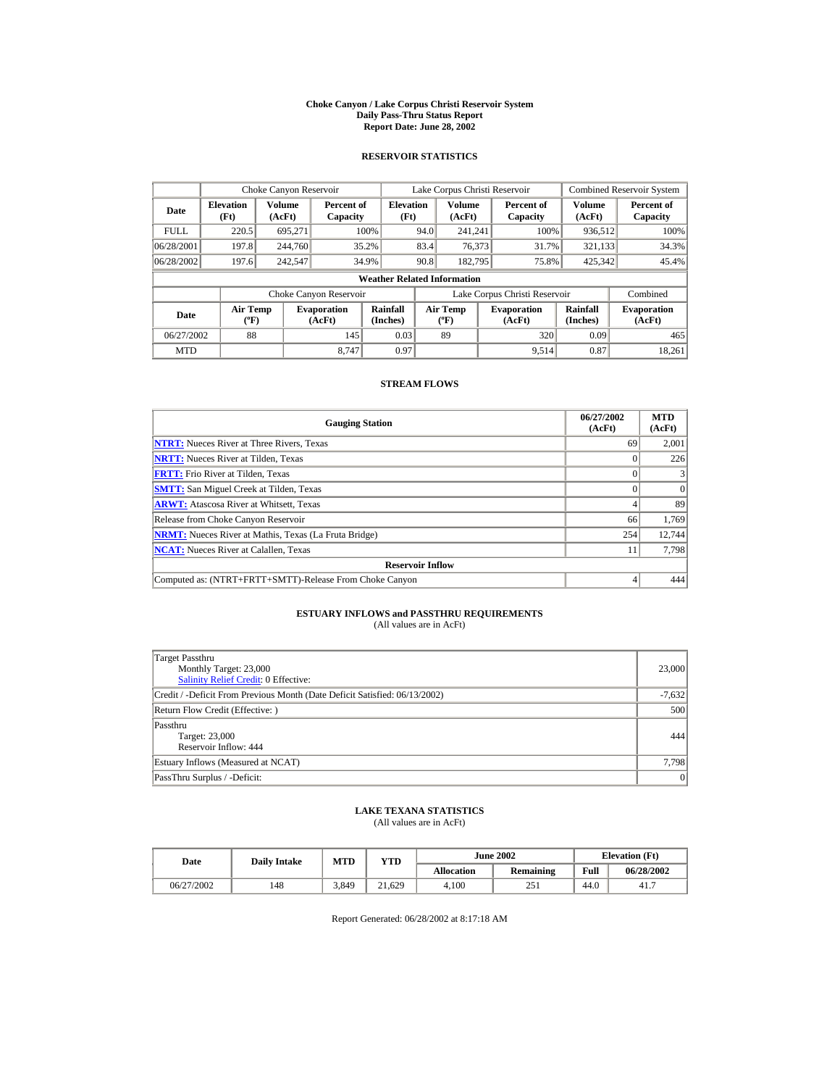#### **Choke Canyon / Lake Corpus Christi Reservoir System Daily Pass-Thru Status Report Report Date: June 28, 2002**

### **RESERVOIR STATISTICS**

|             |                                             | Choke Canyon Reservoir |                              |                                    |      | Lake Corpus Christi Reservoir    |                               |                      | <b>Combined Reservoir System</b> |
|-------------|---------------------------------------------|------------------------|------------------------------|------------------------------------|------|----------------------------------|-------------------------------|----------------------|----------------------------------|
| Date        | <b>Elevation</b><br>(Ft)                    | Volume<br>(AcFt)       | Percent of<br>Capacity       | <b>Elevation</b><br>(Ft)           |      | Volume<br>(AcFt)                 | Percent of<br>Capacity        | Volume<br>(AcFt)     | Percent of<br>Capacity           |
| <b>FULL</b> | 220.5                                       | 695.271                |                              | 100%                               | 94.0 | 241.241                          | 100%                          | 936,512              | 100%                             |
| 06/28/2001  | 197.8                                       | 244,760                |                              | 35.2%                              | 83.4 | 76,373                           | 31.7%                         | 321,133              | 34.3%                            |
| 06/28/2002  | 197.6                                       | 242,547                |                              | 34.9%                              | 90.8 | 182,795                          | 75.8%                         | 425,342              | 45.4%                            |
|             |                                             |                        |                              | <b>Weather Related Information</b> |      |                                  |                               |                      |                                  |
|             |                                             |                        | Choke Canyon Reservoir       |                                    |      |                                  | Lake Corpus Christi Reservoir |                      | Combined                         |
| Date        | <b>Air Temp</b><br>$({}^{\circ}\mathrm{F})$ |                        | <b>Evaporation</b><br>(AcFt) | Rainfall<br>(Inches)               |      | <b>Air Temp</b><br>$(^{\circ}F)$ | <b>Evaporation</b><br>(AcFt)  | Rainfall<br>(Inches) | <b>Evaporation</b><br>(AcFt)     |
| 06/27/2002  | 88                                          |                        | 145                          | 0.03                               |      | 89                               | 320                           | 0.09                 | 465                              |
| <b>MTD</b>  |                                             |                        | 8.747                        | 0.97                               |      |                                  | 9.514                         | 0.87                 | 18.261                           |

# **STREAM FLOWS**

| <b>Gauging Station</b>                                       | 06/27/2002<br>(AcFt) | <b>MTD</b><br>(AcFt) |
|--------------------------------------------------------------|----------------------|----------------------|
| <b>NTRT:</b> Nueces River at Three Rivers, Texas             | 69                   | 2,001                |
| <b>NRTT:</b> Nueces River at Tilden, Texas                   |                      | 226                  |
| <b>FRTT:</b> Frio River at Tilden, Texas                     |                      |                      |
| <b>SMTT:</b> San Miguel Creek at Tilden, Texas               |                      | $\Omega$             |
| <b>ARWT:</b> Atascosa River at Whitsett, Texas               |                      | 89                   |
| Release from Choke Canyon Reservoir                          | 66                   | 1,769                |
| <b>NRMT:</b> Nueces River at Mathis, Texas (La Fruta Bridge) | 254                  | 12,744               |
| <b>NCAT:</b> Nueces River at Calallen, Texas                 |                      | 7.798                |
| <b>Reservoir Inflow</b>                                      |                      |                      |
| Computed as: (NTRT+FRTT+SMTT)-Release From Choke Canyon      |                      | 444                  |

# **ESTUARY INFLOWS and PASSTHRU REQUIREMENTS**<br>(All values are in AcFt)

| Target Passthru<br>Monthly Target: 23,000<br><b>Salinity Relief Credit: 0 Effective:</b> | 23,000   |
|------------------------------------------------------------------------------------------|----------|
| Credit / -Deficit From Previous Month (Date Deficit Satisfied: 06/13/2002)               | $-7,632$ |
| Return Flow Credit (Effective: )                                                         | 500      |
| Passthru<br>Target: 23,000<br>Reservoir Inflow: 444                                      | 444      |
| Estuary Inflows (Measured at NCAT)                                                       | 7,798    |
| PassThru Surplus / -Deficit:                                                             | 0        |

## **LAKE TEXANA STATISTICS**

(All values are in AcFt)

| Date       | <b>Daily Intake</b> | <b>MTD</b><br>YTD |        | <b>June 2002</b>  |           |      | <b>Elevation</b> (Ft) |
|------------|---------------------|-------------------|--------|-------------------|-----------|------|-----------------------|
|            |                     |                   |        | <b>Allocation</b> | Remaining | Full | 06/28/2002            |
| 06/27/2002 | 148                 | 3.849             | 21.629 | 4.100             | 251       | 44.0 | 41.7                  |

Report Generated: 06/28/2002 at 8:17:18 AM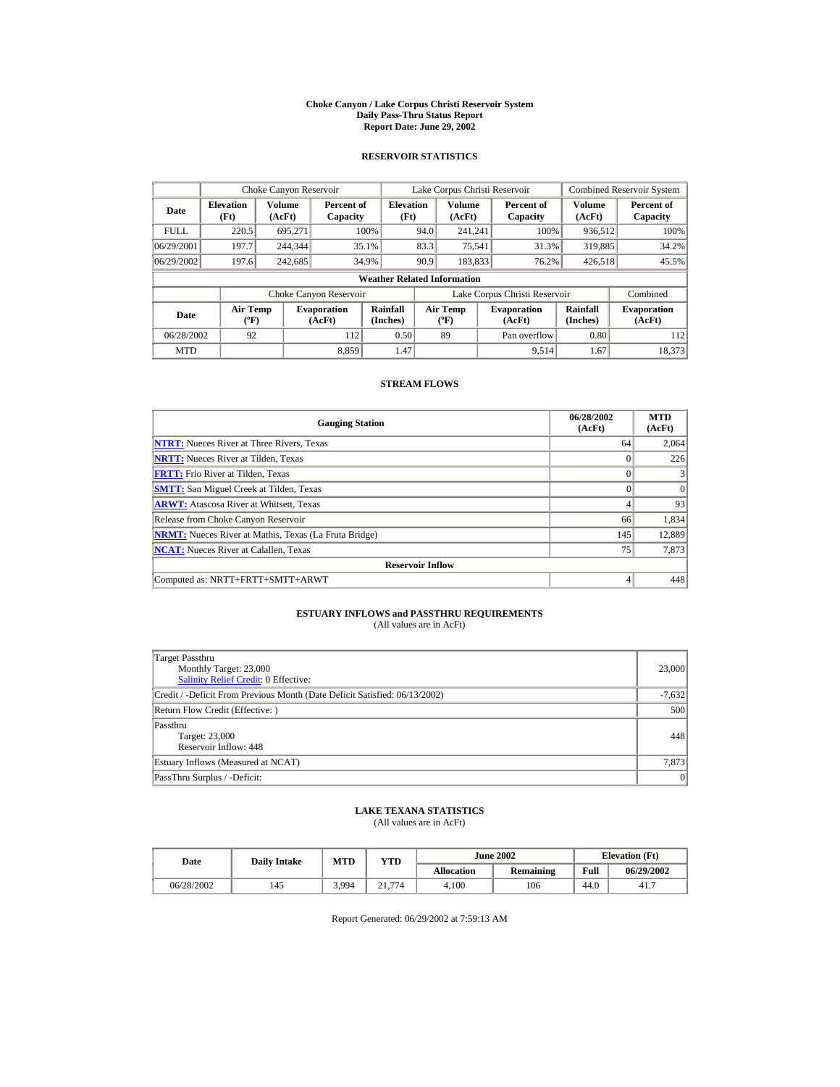#### **Choke Canyon / Lake Corpus Christi Reservoir System Daily Pass-Thru Status Report Report Date: June 29, 2002**

### **RESERVOIR STATISTICS**

|             |                                             | Choke Canyon Reservoir |                              |                                    |      | Lake Corpus Christi Reservoir    |                               |                      | <b>Combined Reservoir System</b> |
|-------------|---------------------------------------------|------------------------|------------------------------|------------------------------------|------|----------------------------------|-------------------------------|----------------------|----------------------------------|
| Date        | <b>Elevation</b><br>(Ft)                    | Volume<br>(AcFt)       | Percent of<br>Capacity       | <b>Elevation</b><br>(Ft)           |      | Volume<br>(AcFt)                 | Percent of<br>Capacity        | Volume<br>(AcFt)     | Percent of<br>Capacity           |
| <b>FULL</b> | 220.5                                       | 695.271                |                              | 100%                               | 94.0 | 241.241                          | 100%                          | 936,512              | 100%                             |
| 06/29/2001  | 197.7                                       | 244,344                |                              | 35.1%                              | 83.3 | 75,541                           | 31.3%                         | 319,885              | 34.2%                            |
| 06/29/2002  | 197.6                                       | 242,685                |                              | 34.9%                              | 90.9 | 183,833                          | 76.2%                         | 426,518              | 45.5%                            |
|             |                                             |                        |                              | <b>Weather Related Information</b> |      |                                  |                               |                      |                                  |
|             |                                             |                        | Choke Canyon Reservoir       |                                    |      |                                  | Lake Corpus Christi Reservoir |                      | Combined                         |
| Date        | <b>Air Temp</b><br>$({}^{\circ}\mathrm{F})$ |                        | <b>Evaporation</b><br>(AcFt) | Rainfall<br>(Inches)               |      | <b>Air Temp</b><br>$(^{\circ}F)$ | <b>Evaporation</b><br>(AcFt)  | Rainfall<br>(Inches) | <b>Evaporation</b><br>(AcFt)     |
| 06/28/2002  | 92                                          |                        | 112                          | 0.50                               |      | 89                               | Pan overflow                  | 0.80                 | 112                              |
| <b>MTD</b>  |                                             |                        | 8.859                        | 1.47                               |      |                                  | 9.514                         | 1.67                 | 18,373                           |

# **STREAM FLOWS**

| <b>Gauging Station</b>                                       | 06/28/2002<br>(AcFt) | <b>MTD</b><br>(AcFt) |
|--------------------------------------------------------------|----------------------|----------------------|
| <b>NTRT:</b> Nueces River at Three Rivers, Texas             | 64                   | 2,064                |
| <b>NRTT:</b> Nueces River at Tilden, Texas                   | $\Omega$             | 226                  |
| <b>FRTT:</b> Frio River at Tilden, Texas                     | $\theta$             |                      |
| <b>SMTT:</b> San Miguel Creek at Tilden, Texas               | $\Omega$             | $\Omega$             |
| <b>ARWT:</b> Atascosa River at Whitsett, Texas               | 4                    | 93                   |
| Release from Choke Canyon Reservoir                          | 66                   | 1,834                |
| <b>NRMT:</b> Nueces River at Mathis, Texas (La Fruta Bridge) | 145                  | 12,889               |
| <b>NCAT:</b> Nueces River at Calallen, Texas                 | 75                   | 7,873                |
| <b>Reservoir Inflow</b>                                      |                      |                      |
| Computed as: NRTT+FRTT+SMTT+ARWT                             | 4                    | 448                  |

# **ESTUARY INFLOWS and PASSTHRU REQUIREMENTS**<br>(All values are in AcFt)

| Target Passthru<br>Monthly Target: 23,000<br>Salinity Relief Credit: 0 Effective: | 23,000   |
|-----------------------------------------------------------------------------------|----------|
| Credit / -Deficit From Previous Month (Date Deficit Satisfied: 06/13/2002)        | $-7,632$ |
| Return Flow Credit (Effective: )                                                  | 500      |
| Passthru<br>Target: 23,000<br>Reservoir Inflow: 448                               | 448      |
| Estuary Inflows (Measured at NCAT)                                                | 7,873    |
| PassThru Surplus / -Deficit:                                                      | 0        |

## **LAKE TEXANA STATISTICS**

(All values are in AcFt)

| Date       | <b>Daily Intake</b> | MTD<br>$v_{\rm TD}$ |           | <b>June 2002</b> |           |      | <b>Elevation</b> (Ft) |
|------------|---------------------|---------------------|-----------|------------------|-----------|------|-----------------------|
|            |                     |                     |           | Allocation       | Remaining | Full | 06/29/2002            |
| 06/28/2002 | 145                 | 3.994               | 774<br>21 | 4.100            | 106       | 44.0 | 41.7                  |

Report Generated: 06/29/2002 at 7:59:13 AM